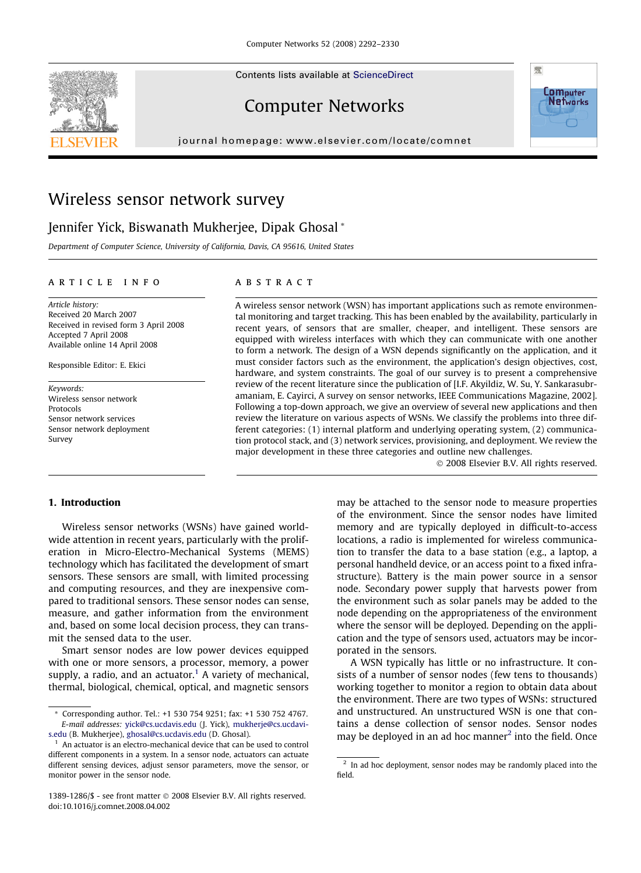Contents lists available at [ScienceDirect](http://www.sciencedirect.com/science/journal/13891286)





journal homepage: [www.elsevier.com/locate/comnet](http://www.elsevier.com/locate/comnet)



# Wireless sensor network survey

# Jennifer Yick, Biswanath Mukherjee, Dipak Ghosal \*

Department of Computer Science, University of California, Davis, CA 95616, United States

# article info

Article history: Received 20 March 2007 Received in revised form 3 April 2008 Accepted 7 April 2008 Available online 14 April 2008

Responsible Editor: E. Ekici

Keywords: Wireless sensor network Protocols Sensor network services Sensor network deployment Survey

### **ABSTRACT**

A wireless sensor network (WSN) has important applications such as remote environmental monitoring and target tracking. This has been enabled by the availability, particularly in recent years, of sensors that are smaller, cheaper, and intelligent. These sensors are equipped with wireless interfaces with which they can communicate with one another to form a network. The design of a WSN depends significantly on the application, and it must consider factors such as the environment, the application's design objectives, cost, hardware, and system constraints. The goal of our survey is to present a comprehensive review of the recent literature since the publication of [I.F. Akyildiz, W. Su, Y. Sankarasubramaniam, E. Cayirci, A survey on sensor networks, IEEE Communications Magazine, 2002]. Following a top-down approach, we give an overview of several new applications and then review the literature on various aspects of WSNs. We classify the problems into three different categories: (1) internal platform and underlying operating system, (2) communication protocol stack, and (3) network services, provisioning, and deployment. We review the major development in these three categories and outline new challenges.

- 2008 Elsevier B.V. All rights reserved.

# 1. Introduction

Wireless sensor networks (WSNs) have gained worldwide attention in recent years, particularly with the proliferation in Micro-Electro-Mechanical Systems (MEMS) technology which has facilitated the development of smart sensors. These sensors are small, with limited processing and computing resources, and they are inexpensive compared to traditional sensors. These sensor nodes can sense, measure, and gather information from the environment and, based on some local decision process, they can transmit the sensed data to the user.

Smart sensor nodes are low power devices equipped with one or more sensors, a processor, memory, a power supply, a radio, and an actuator.<sup>1</sup> A variety of mechanical, thermal, biological, chemical, optical, and magnetic sensors

may be attached to the sensor node to measure properties of the environment. Since the sensor nodes have limited memory and are typically deployed in difficult-to-access locations, a radio is implemented for wireless communication to transfer the data to a base station (e.g., a laptop, a personal handheld device, or an access point to a fixed infrastructure). Battery is the main power source in a sensor node. Secondary power supply that harvests power from the environment such as solar panels may be added to the node depending on the appropriateness of the environment where the sensor will be deployed. Depending on the application and the type of sensors used, actuators may be incorporated in the sensors.

A WSN typically has little or no infrastructure. It consists of a number of sensor nodes (few tens to thousands) working together to monitor a region to obtain data about the environment. There are two types of WSNs: structured and unstructured. An unstructured WSN is one that contains a dense collection of sensor nodes. Sensor nodes may be deployed in an ad hoc manner<sup>2</sup> into the field. Once

Corresponding author. Tel.: +1 530 754 9251; fax: +1 530 752 4767. E-mail addresses: [yick@cs.ucdavis.edu](mailto:yick@cs.ucdavis.edu) (J. Yick), [mukherje@cs.ucdavi](mailto:mukherje@cs.ucdavis.edu)[s.edu](mailto:mukherje@cs.ucdavis.edu) (B. Mukherjee), [ghosal@cs.ucdavis.edu](mailto:ghosal@cs.ucdavis.edu) (D. Ghosal).

An actuator is an electro-mechanical device that can be used to control different components in a system. In a sensor node, actuators can actuate different sensing devices, adjust sensor parameters, move the sensor, or monitor power in the sensor node.

<sup>1389-1286/\$ -</sup> see front matter  $\odot$  2008 Elsevier B.V. All rights reserved. doi:10.1016/j.comnet.2008.04.002

 $2$  In ad hoc deployment, sensor nodes may be randomly placed into the field.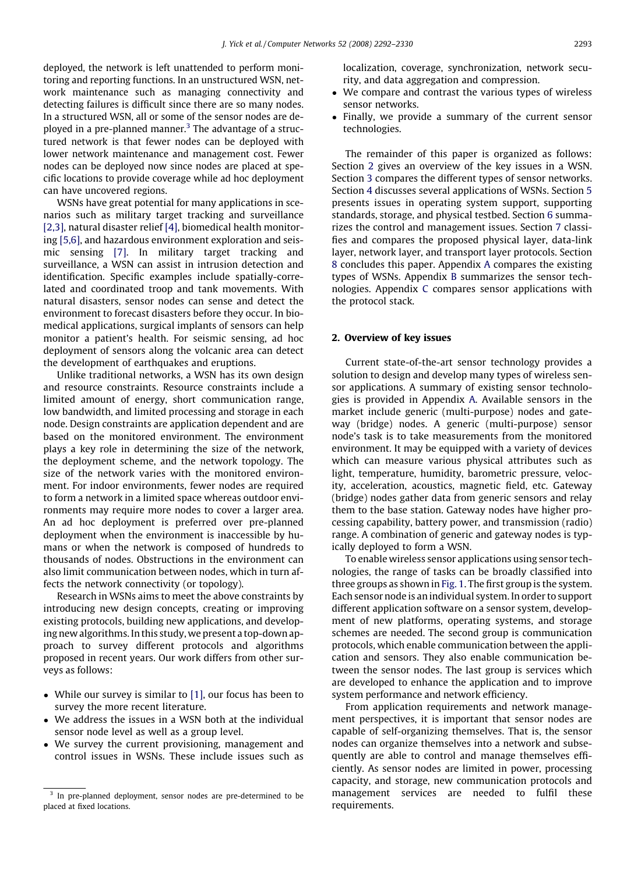deployed, the network is left unattended to perform monitoring and reporting functions. In an unstructured WSN, network maintenance such as managing connectivity and detecting failures is difficult since there are so many nodes. In a structured WSN, all or some of the sensor nodes are deployed in a pre-planned manner.<sup>3</sup> The advantage of a structured network is that fewer nodes can be deployed with lower network maintenance and management cost. Fewer nodes can be deployed now since nodes are placed at specific locations to provide coverage while ad hoc deployment can have uncovered regions.

WSNs have great potential for many applications in scenarios such as military target tracking and surveillance [\[2,3\]](#page-35-0), natural disaster relief [\[4\],](#page-35-0) biomedical health monitoring [\[5,6\],](#page-35-0) and hazardous environment exploration and seismic sensing [\[7\]](#page-35-0). In military target tracking and surveillance, a WSN can assist in intrusion detection and identification. Specific examples include spatially-correlated and coordinated troop and tank movements. With natural disasters, sensor nodes can sense and detect the environment to forecast disasters before they occur. In biomedical applications, surgical implants of sensors can help monitor a patient's health. For seismic sensing, ad hoc deployment of sensors along the volcanic area can detect the development of earthquakes and eruptions.

Unlike traditional networks, a WSN has its own design and resource constraints. Resource constraints include a limited amount of energy, short communication range, low bandwidth, and limited processing and storage in each node. Design constraints are application dependent and are based on the monitored environment. The environment plays a key role in determining the size of the network, the deployment scheme, and the network topology. The size of the network varies with the monitored environment. For indoor environments, fewer nodes are required to form a network in a limited space whereas outdoor environments may require more nodes to cover a larger area. An ad hoc deployment is preferred over pre-planned deployment when the environment is inaccessible by humans or when the network is composed of hundreds to thousands of nodes. Obstructions in the environment can also limit communication between nodes, which in turn affects the network connectivity (or topology).

Research in WSNs aims to meet the above constraints by introducing new design concepts, creating or improving existing protocols, building new applications, and developing new algorithms. In this study, we present a top-down approach to survey different protocols and algorithms proposed in recent years. Our work differs from other surveys as follows:

- While our survey is similar to [\[1\],](#page-35-0) our focus has been to survey the more recent literature.
- We address the issues in a WSN both at the individual sensor node level as well as a group level.
- We survey the current provisioning, management and control issues in WSNs. These include issues such as

localization, coverage, synchronization, network security, and data aggregation and compression.

- We compare and contrast the various types of wireless sensor networks.
- Finally, we provide a summary of the current sensor technologies.

The remainder of this paper is organized as follows: Section 2 gives an overview of the key issues in a WSN. Section 3 compares the different types of sensor networks. Section 4 discusses several applications of WSNs. Section 5 presents issues in operating system support, supporting standards, storage, and physical testbed. Section 6 summarizes the control and management issues. Section 7 classifies and compares the proposed physical layer, data-link layer, network layer, and transport layer protocols. Section 8 concludes this paper. Appendix [A](#page-30-0) compares the existing types of WSNs. Appendix [B](#page-32-0) summarizes the sensor technologies. Appendix [C](#page-33-0) compares sensor applications with the protocol stack.

# 2. Overview of key issues

Current state-of-the-art sensor technology provides a solution to design and develop many types of wireless sensor applications. A summary of existing sensor technologies is provided in Appendix [A.](#page-30-0) Available sensors in the market include generic (multi-purpose) nodes and gateway (bridge) nodes. A generic (multi-purpose) sensor node's task is to take measurements from the monitored environment. It may be equipped with a variety of devices which can measure various physical attributes such as light, temperature, humidity, barometric pressure, velocity, acceleration, acoustics, magnetic field, etc. Gateway (bridge) nodes gather data from generic sensors and relay them to the base station. Gateway nodes have higher processing capability, battery power, and transmission (radio) range. A combination of generic and gateway nodes is typically deployed to form a WSN.

To enable wireless sensor applications using sensor technologies, the range of tasks can be broadly classified into three groups as shown in [Fig. 1](#page-2-0). The first group is the system. Each sensor node is an individual system. In order to support different application software on a sensor system, development of new platforms, operating systems, and storage schemes are needed. The second group is communication protocols, which enable communication between the application and sensors. They also enable communication between the sensor nodes. The last group is services which are developed to enhance the application and to improve system performance and network efficiency.

From application requirements and network management perspectives, it is important that sensor nodes are capable of self-organizing themselves. That is, the sensor nodes can organize themselves into a network and subsequently are able to control and manage themselves efficiently. As sensor nodes are limited in power, processing capacity, and storage, new communication protocols and management services are needed to fulfil these requirements.

<sup>&</sup>lt;sup>3</sup> In pre-planned deployment, sensor nodes are pre-determined to be placed at fixed locations.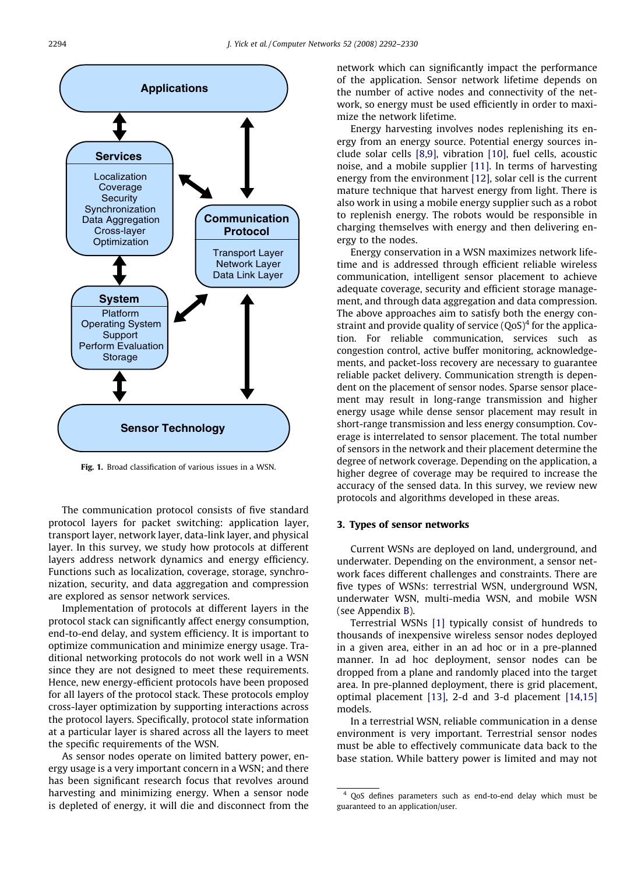<span id="page-2-0"></span>

Fig. 1. Broad classification of various issues in a WSN.

The communication protocol consists of five standard protocol layers for packet switching: application layer, transport layer, network layer, data-link layer, and physical layer. In this survey, we study how protocols at different layers address network dynamics and energy efficiency. Functions such as localization, coverage, storage, synchronization, security, and data aggregation and compression are explored as sensor network services.

Implementation of protocols at different layers in the protocol stack can significantly affect energy consumption, end-to-end delay, and system efficiency. It is important to optimize communication and minimize energy usage. Traditional networking protocols do not work well in a WSN since they are not designed to meet these requirements. Hence, new energy-efficient protocols have been proposed for all layers of the protocol stack. These protocols employ cross-layer optimization by supporting interactions across the protocol layers. Specifically, protocol state information at a particular layer is shared across all the layers to meet the specific requirements of the WSN.

As sensor nodes operate on limited battery power, energy usage is a very important concern in a WSN; and there has been significant research focus that revolves around harvesting and minimizing energy. When a sensor node is depleted of energy, it will die and disconnect from the

network which can significantly impact the performance of the application. Sensor network lifetime depends on the number of active nodes and connectivity of the network, so energy must be used efficiently in order to maximize the network lifetime.

Energy harvesting involves nodes replenishing its energy from an energy source. Potential energy sources include solar cells [\[8,9\],](#page-35-0) vibration [\[10\]](#page-35-0), fuel cells, acoustic noise, and a mobile supplier [\[11\].](#page-35-0) In terms of harvesting energy from the environment [\[12\]](#page-35-0), solar cell is the current mature technique that harvest energy from light. There is also work in using a mobile energy supplier such as a robot to replenish energy. The robots would be responsible in charging themselves with energy and then delivering energy to the nodes.

Energy conservation in a WSN maximizes network lifetime and is addressed through efficient reliable wireless communication, intelligent sensor placement to achieve adequate coverage, security and efficient storage management, and through data aggregation and data compression. The above approaches aim to satisfy both the energy constraint and provide quality of service  $(QoS)^4$  for the application. For reliable communication, services such as congestion control, active buffer monitoring, acknowledgements, and packet-loss recovery are necessary to guarantee reliable packet delivery. Communication strength is dependent on the placement of sensor nodes. Sparse sensor placement may result in long-range transmission and higher energy usage while dense sensor placement may result in short-range transmission and less energy consumption. Coverage is interrelated to sensor placement. The total number of sensors in the network and their placement determine the degree of network coverage. Depending on the application, a higher degree of coverage may be required to increase the accuracy of the sensed data. In this survey, we review new protocols and algorithms developed in these areas.

### 3. Types of sensor networks

Current WSNs are deployed on land, underground, and underwater. Depending on the environment, a sensor network faces different challenges and constraints. There are five types of WSNs: terrestrial WSN, underground WSN, underwater WSN, multi-media WSN, and mobile WSN (see Appendix [B\)](#page-32-0).

Terrestrial WSNs [\[1\]](#page-35-0) typically consist of hundreds to thousands of inexpensive wireless sensor nodes deployed in a given area, either in an ad hoc or in a pre-planned manner. In ad hoc deployment, sensor nodes can be dropped from a plane and randomly placed into the target area. In pre-planned deployment, there is grid placement, optimal placement [\[13\],](#page-35-0) 2-d and 3-d placement [\[14,15\]](#page-35-0) models.

In a terrestrial WSN, reliable communication in a dense environment is very important. Terrestrial sensor nodes must be able to effectively communicate data back to the base station. While battery power is limited and may not

QoS defines parameters such as end-to-end delay which must be guaranteed to an application/user.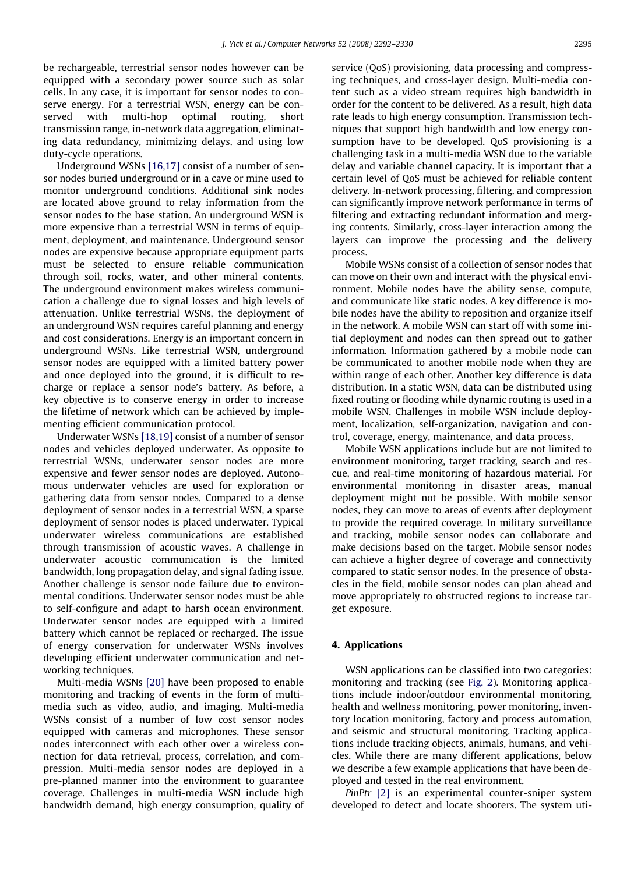be rechargeable, terrestrial sensor nodes however can be equipped with a secondary power source such as solar cells. In any case, it is important for sensor nodes to conserve energy. For a terrestrial WSN, energy can be conserved with multi-hop optimal routing, short transmission range, in-network data aggregation, eliminating data redundancy, minimizing delays, and using low duty-cycle operations.

Underground WSNs [\[16,17\]](#page-35-0) consist of a number of sensor nodes buried underground or in a cave or mine used to monitor underground conditions. Additional sink nodes are located above ground to relay information from the sensor nodes to the base station. An underground WSN is more expensive than a terrestrial WSN in terms of equipment, deployment, and maintenance. Underground sensor nodes are expensive because appropriate equipment parts must be selected to ensure reliable communication through soil, rocks, water, and other mineral contents. The underground environment makes wireless communication a challenge due to signal losses and high levels of attenuation. Unlike terrestrial WSNs, the deployment of an underground WSN requires careful planning and energy and cost considerations. Energy is an important concern in underground WSNs. Like terrestrial WSN, underground sensor nodes are equipped with a limited battery power and once deployed into the ground, it is difficult to recharge or replace a sensor node's battery. As before, a key objective is to conserve energy in order to increase the lifetime of network which can be achieved by implementing efficient communication protocol.

Underwater WSNs [\[18,19\]](#page-35-0) consist of a number of sensor nodes and vehicles deployed underwater. As opposite to terrestrial WSNs, underwater sensor nodes are more expensive and fewer sensor nodes are deployed. Autonomous underwater vehicles are used for exploration or gathering data from sensor nodes. Compared to a dense deployment of sensor nodes in a terrestrial WSN, a sparse deployment of sensor nodes is placed underwater. Typical underwater wireless communications are established through transmission of acoustic waves. A challenge in underwater acoustic communication is the limited bandwidth, long propagation delay, and signal fading issue. Another challenge is sensor node failure due to environmental conditions. Underwater sensor nodes must be able to self-configure and adapt to harsh ocean environment. Underwater sensor nodes are equipped with a limited battery which cannot be replaced or recharged. The issue of energy conservation for underwater WSNs involves developing efficient underwater communication and networking techniques.

Multi-media WSNs [\[20\]](#page-35-0) have been proposed to enable monitoring and tracking of events in the form of multimedia such as video, audio, and imaging. Multi-media WSNs consist of a number of low cost sensor nodes equipped with cameras and microphones. These sensor nodes interconnect with each other over a wireless connection for data retrieval, process, correlation, and compression. Multi-media sensor nodes are deployed in a pre-planned manner into the environment to guarantee coverage. Challenges in multi-media WSN include high bandwidth demand, high energy consumption, quality of service (QoS) provisioning, data processing and compressing techniques, and cross-layer design. Multi-media content such as a video stream requires high bandwidth in order for the content to be delivered. As a result, high data rate leads to high energy consumption. Transmission techniques that support high bandwidth and low energy consumption have to be developed. QoS provisioning is a challenging task in a multi-media WSN due to the variable delay and variable channel capacity. It is important that a certain level of QoS must be achieved for reliable content delivery. In-network processing, filtering, and compression can significantly improve network performance in terms of filtering and extracting redundant information and merging contents. Similarly, cross-layer interaction among the layers can improve the processing and the delivery process.

Mobile WSNs consist of a collection of sensor nodes that can move on their own and interact with the physical environment. Mobile nodes have the ability sense, compute, and communicate like static nodes. A key difference is mobile nodes have the ability to reposition and organize itself in the network. A mobile WSN can start off with some initial deployment and nodes can then spread out to gather information. Information gathered by a mobile node can be communicated to another mobile node when they are within range of each other. Another key difference is data distribution. In a static WSN, data can be distributed using fixed routing or flooding while dynamic routing is used in a mobile WSN. Challenges in mobile WSN include deployment, localization, self-organization, navigation and control, coverage, energy, maintenance, and data process.

Mobile WSN applications include but are not limited to environment monitoring, target tracking, search and rescue, and real-time monitoring of hazardous material. For environmental monitoring in disaster areas, manual deployment might not be possible. With mobile sensor nodes, they can move to areas of events after deployment to provide the required coverage. In military surveillance and tracking, mobile sensor nodes can collaborate and make decisions based on the target. Mobile sensor nodes can achieve a higher degree of coverage and connectivity compared to static sensor nodes. In the presence of obstacles in the field, mobile sensor nodes can plan ahead and move appropriately to obstructed regions to increase target exposure.

# 4. Applications

WSN applications can be classified into two categories: monitoring and tracking (see [Fig. 2\)](#page-4-0). Monitoring applications include indoor/outdoor environmental monitoring, health and wellness monitoring, power monitoring, inventory location monitoring, factory and process automation, and seismic and structural monitoring. Tracking applications include tracking objects, animals, humans, and vehicles. While there are many different applications, below we describe a few example applications that have been deployed and tested in the real environment.

PinPtr [\[2\]](#page-35-0) is an experimental counter-sniper system developed to detect and locate shooters. The system uti-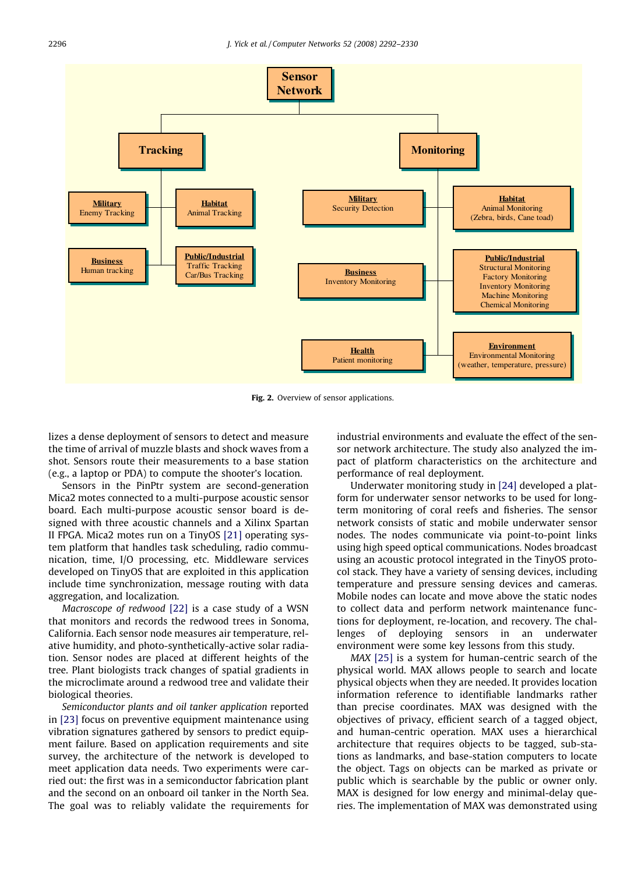<span id="page-4-0"></span>

Fig. 2. Overview of sensor applications.

lizes a dense deployment of sensors to detect and measure the time of arrival of muzzle blasts and shock waves from a shot. Sensors route their measurements to a base station (e.g., a laptop or PDA) to compute the shooter's location.

Sensors in the PinPtr system are second-generation Mica2 motes connected to a multi-purpose acoustic sensor board. Each multi-purpose acoustic sensor board is designed with three acoustic channels and a Xilinx Spartan II FPGA. Mica2 motes run on a TinyOS [\[21\]](#page-35-0) operating system platform that handles task scheduling, radio communication, time, I/O processing, etc. Middleware services developed on TinyOS that are exploited in this application include time synchronization, message routing with data aggregation, and localization.

Macroscope of redwood [\[22\]](#page-35-0) is a case study of a WSN that monitors and records the redwood trees in Sonoma, California. Each sensor node measures air temperature, relative humidity, and photo-synthetically-active solar radiation. Sensor nodes are placed at different heights of the tree. Plant biologists track changes of spatial gradients in the microclimate around a redwood tree and validate their biological theories.

Semiconductor plants and oil tanker application reported in [\[23\]](#page-35-0) focus on preventive equipment maintenance using vibration signatures gathered by sensors to predict equipment failure. Based on application requirements and site survey, the architecture of the network is developed to meet application data needs. Two experiments were carried out: the first was in a semiconductor fabrication plant and the second on an onboard oil tanker in the North Sea. The goal was to reliably validate the requirements for

industrial environments and evaluate the effect of the sensor network architecture. The study also analyzed the impact of platform characteristics on the architecture and performance of real deployment.

Underwater monitoring study in [\[24\]](#page-35-0) developed a platform for underwater sensor networks to be used for longterm monitoring of coral reefs and fisheries. The sensor network consists of static and mobile underwater sensor nodes. The nodes communicate via point-to-point links using high speed optical communications. Nodes broadcast using an acoustic protocol integrated in the TinyOS protocol stack. They have a variety of sensing devices, including temperature and pressure sensing devices and cameras. Mobile nodes can locate and move above the static nodes to collect data and perform network maintenance functions for deployment, re-location, and recovery. The challenges of deploying sensors in an underwater environment were some key lessons from this study.

MAX [\[25\]](#page-35-0) is a system for human-centric search of the physical world. MAX allows people to search and locate physical objects when they are needed. It provides location information reference to identifiable landmarks rather than precise coordinates. MAX was designed with the objectives of privacy, efficient search of a tagged object, and human-centric operation. MAX uses a hierarchical architecture that requires objects to be tagged, sub-stations as landmarks, and base-station computers to locate the object. Tags on objects can be marked as private or public which is searchable by the public or owner only. MAX is designed for low energy and minimal-delay queries. The implementation of MAX was demonstrated using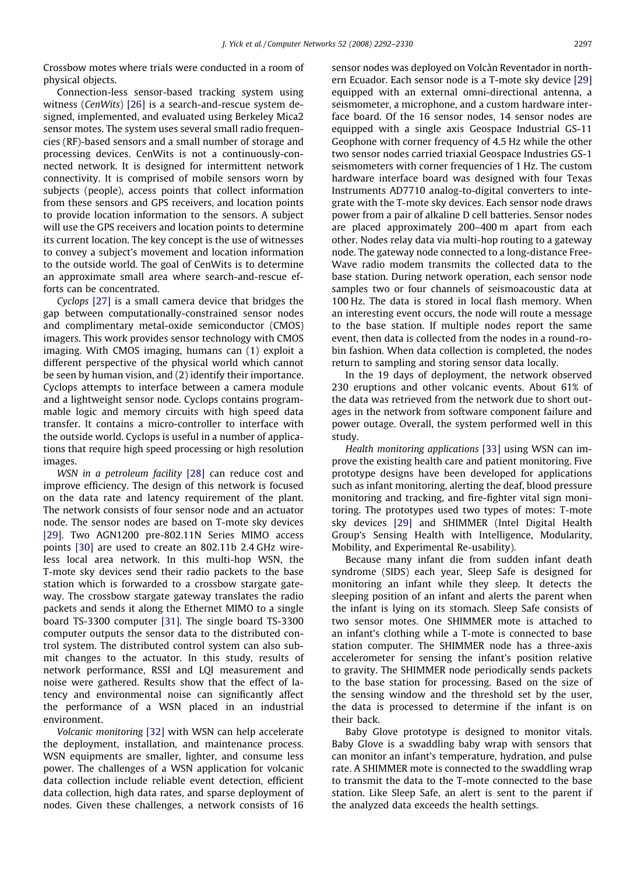Crossbow motes where trials were conducted in a room of physical objects.

Connection-less sensor-based tracking system using witness (CenWits) [\[26\]](#page-35-0) is a search-and-rescue system designed, implemented, and evaluated using Berkeley Mica2 sensor motes. The system uses several small radio frequencies (RF)-based sensors and a small number of storage and processing devices. CenWits is not a continuously-connected network. It is designed for intermittent network connectivity. It is comprised of mobile sensors worn by subjects (people), access points that collect information from these sensors and GPS receivers, and location points to provide location information to the sensors. A subject will use the GPS receivers and location points to determine its current location. The key concept is the use of witnesses to convey a subject's movement and location information to the outside world. The goal of CenWits is to determine an approximate small area where search-and-rescue efforts can be concentrated.

Cyclops [\[27\]](#page-35-0) is a small camera device that bridges the gap between computationally-constrained sensor nodes and complimentary metal-oxide semiconductor (CMOS) imagers. This work provides sensor technology with CMOS imaging. With CMOS imaging, humans can (1) exploit a different perspective of the physical world which cannot be seen by human vision, and (2) identify their importance. Cyclops attempts to interface between a camera module and a lightweight sensor node. Cyclops contains programmable logic and memory circuits with high speed data transfer. It contains a micro-controller to interface with the outside world. Cyclops is useful in a number of applications that require high speed processing or high resolution images.

WSN in a petroleum facility [\[28\]](#page-35-0) can reduce cost and improve efficiency. The design of this network is focused on the data rate and latency requirement of the plant. The network consists of four sensor node and an actuator node. The sensor nodes are based on T-mote sky devices [\[29\]](#page-35-0). Two AGN1200 pre-802.11N Series MIMO access points [\[30\]](#page-35-0) are used to create an 802.11b 2.4 GHz wireless local area network. In this multi-hop WSN, the T-mote sky devices send their radio packets to the base station which is forwarded to a crossbow stargate gateway. The crossbow stargate gateway translates the radio packets and sends it along the Ethernet MIMO to a single board TS-3300 computer [\[31\].](#page-35-0) The single board TS-3300 computer outputs the sensor data to the distributed control system. The distributed control system can also submit changes to the actuator. In this study, results of network performance, RSSI and LQI measurement and noise were gathered. Results show that the effect of latency and environmental noise can significantly affect the performance of a WSN placed in an industrial environment.

Volcanic monitoring [\[32\]](#page-35-0) with WSN can help accelerate the deployment, installation, and maintenance process. WSN equipments are smaller, lighter, and consume less power. The challenges of a WSN application for volcanic data collection include reliable event detection, efficient data collection, high data rates, and sparse deployment of nodes. Given these challenges, a network consists of 16

sensor nodes was deployed on Volcàn Reventador in northern Ecuador. Each sensor node is a T-mote sky device [\[29\]](#page-35-0) equipped with an external omni-directional antenna, a seismometer, a microphone, and a custom hardware interface board. Of the 16 sensor nodes, 14 sensor nodes are equipped with a single axis Geospace Industrial GS-11 Geophone with corner frequency of 4.5 Hz while the other two sensor nodes carried triaxial Geospace Industries GS-1 seismometers with corner frequencies of 1 Hz. The custom hardware interface board was designed with four Texas Instruments AD7710 analog-to-digital converters to integrate with the T-mote sky devices. Each sensor node draws power from a pair of alkaline D cell batteries. Sensor nodes are placed approximately 200–400 m apart from each other. Nodes relay data via multi-hop routing to a gateway node. The gateway node connected to a long-distance Free-Wave radio modem transmits the collected data to the base station. During network operation, each sensor node samples two or four channels of seismoacoustic data at 100 Hz. The data is stored in local flash memory. When an interesting event occurs, the node will route a message to the base station. If multiple nodes report the same event, then data is collected from the nodes in a round-robin fashion. When data collection is completed, the nodes return to sampling and storing sensor data locally.

In the 19 days of deployment, the network observed 230 eruptions and other volcanic events. About 61% of the data was retrieved from the network due to short outages in the network from software component failure and power outage. Overall, the system performed well in this study.

Health monitoring applications [\[33\]](#page-35-0) using WSN can improve the existing health care and patient monitoring. Five prototype designs have been developed for applications such as infant monitoring, alerting the deaf, blood pressure monitoring and tracking, and fire-fighter vital sign monitoring. The prototypes used two types of motes: T-mote sky devices [\[29\]](#page-35-0) and SHIMMER (Intel Digital Health Group's Sensing Health with Intelligence, Modularity, Mobility, and Experimental Re-usability).

Because many infant die from sudden infant death syndrome (SIDS) each year, Sleep Safe is designed for monitoring an infant while they sleep. It detects the sleeping position of an infant and alerts the parent when the infant is lying on its stomach. Sleep Safe consists of two sensor motes. One SHIMMER mote is attached to an infant's clothing while a T-mote is connected to base station computer. The SHIMMER node has a three-axis accelerometer for sensing the infant's position relative to gravity. The SHIMMER node periodically sends packets to the base station for processing. Based on the size of the sensing window and the threshold set by the user, the data is processed to determine if the infant is on their back.

Baby Glove prototype is designed to monitor vitals. Baby Glove is a swaddling baby wrap with sensors that can monitor an infant's temperature, hydration, and pulse rate. A SHIMMER mote is connected to the swaddling wrap to transmit the data to the T-mote connected to the base station. Like Sleep Safe, an alert is sent to the parent if the analyzed data exceeds the health settings.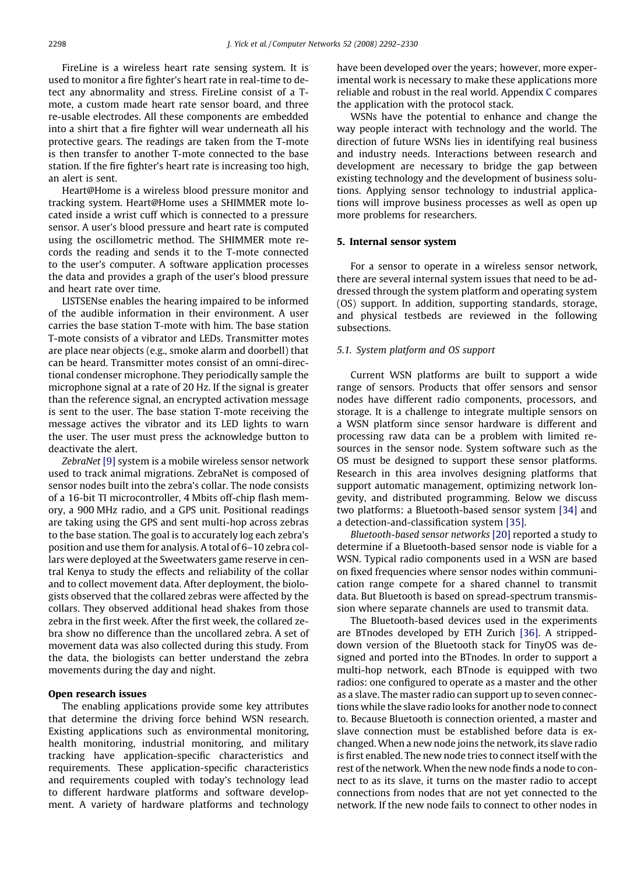FireLine is a wireless heart rate sensing system. It is used to monitor a fire fighter's heart rate in real-time to detect any abnormality and stress. FireLine consist of a Tmote, a custom made heart rate sensor board, and three re-usable electrodes. All these components are embedded into a shirt that a fire fighter will wear underneath all his protective gears. The readings are taken from the T-mote is then transfer to another T-mote connected to the base station. If the fire fighter's heart rate is increasing too high, an alert is sent.

Heart@Home is a wireless blood pressure monitor and tracking system. Heart@Home uses a SHIMMER mote located inside a wrist cuff which is connected to a pressure sensor. A user's blood pressure and heart rate is computed using the oscillometric method. The SHIMMER mote records the reading and sends it to the T-mote connected to the user's computer. A software application processes the data and provides a graph of the user's blood pressure and heart rate over time.

LISTSENse enables the hearing impaired to be informed of the audible information in their environment. A user carries the base station T-mote with him. The base station T-mote consists of a vibrator and LEDs. Transmitter motes are place near objects (e.g., smoke alarm and doorbell) that can be heard. Transmitter motes consist of an omni-directional condenser microphone. They periodically sample the microphone signal at a rate of 20 Hz. If the signal is greater than the reference signal, an encrypted activation message is sent to the user. The base station T-mote receiving the message actives the vibrator and its LED lights to warn the user. The user must press the acknowledge button to deactivate the alert.

ZebraNet [\[9\]](#page-35-0) system is a mobile wireless sensor network used to track animal migrations. ZebraNet is composed of sensor nodes built into the zebra's collar. The node consists of a 16-bit TI microcontroller, 4 Mbits off-chip flash memory, a 900 MHz radio, and a GPS unit. Positional readings are taking using the GPS and sent multi-hop across zebras to the base station. The goal is to accurately log each zebra's position and use them for analysis. A total of 6–10 zebra collars were deployed at the Sweetwaters game reserve in central Kenya to study the effects and reliability of the collar and to collect movement data. After deployment, the biologists observed that the collared zebras were affected by the collars. They observed additional head shakes from those zebra in the first week. After the first week, the collared zebra show no difference than the uncollared zebra. A set of movement data was also collected during this study. From the data, the biologists can better understand the zebra movements during the day and night.

# Open research issues

The enabling applications provide some key attributes that determine the driving force behind WSN research. Existing applications such as environmental monitoring, health monitoring, industrial monitoring, and military tracking have application-specific characteristics and requirements. These application-specific characteristics and requirements coupled with today's technology lead to different hardware platforms and software development. A variety of hardware platforms and technology have been developed over the years; however, more experimental work is necessary to make these applications more reliable and robust in the real world. Appendix [C](#page-33-0) compares the application with the protocol stack.

WSNs have the potential to enhance and change the way people interact with technology and the world. The direction of future WSNs lies in identifying real business and industry needs. Interactions between research and development are necessary to bridge the gap between existing technology and the development of business solutions. Applying sensor technology to industrial applications will improve business processes as well as open up more problems for researchers.

### 5. Internal sensor system

For a sensor to operate in a wireless sensor network, there are several internal system issues that need to be addressed through the system platform and operating system (OS) support. In addition, supporting standards, storage, and physical testbeds are reviewed in the following subsections.

# 5.1. System platform and OS support

Current WSN platforms are built to support a wide range of sensors. Products that offer sensors and sensor nodes have different radio components, processors, and storage. It is a challenge to integrate multiple sensors on a WSN platform since sensor hardware is different and processing raw data can be a problem with limited resources in the sensor node. System software such as the OS must be designed to support these sensor platforms. Research in this area involves designing platforms that support automatic management, optimizing network longevity, and distributed programming. Below we discuss two platforms: a Bluetooth-based sensor system [\[34\]](#page-35-0) and a detection-and-classification system [\[35\]](#page-35-0).

Bluetooth-based sensor networks [\[20\]](#page-35-0) reported a study to determine if a Bluetooth-based sensor node is viable for a WSN. Typical radio components used in a WSN are based on fixed frequencies where sensor nodes within communication range compete for a shared channel to transmit data. But Bluetooth is based on spread-spectrum transmission where separate channels are used to transmit data.

The Bluetooth-based devices used in the experiments are BTnodes developed by ETH Zurich [\[36\]](#page-35-0). A strippeddown version of the Bluetooth stack for TinyOS was designed and ported into the BTnodes. In order to support a multi-hop network, each BTnode is equipped with two radios: one configured to operate as a master and the other as a slave. The master radio can support up to seven connections while the slave radio looks for another node to connect to. Because Bluetooth is connection oriented, a master and slave connection must be established before data is exchanged.When a new node joins the network, its slave radio is first enabled. The new node tries to connect itself with the rest of the network. When the new node finds a node to connect to as its slave, it turns on the master radio to accept connections from nodes that are not yet connected to the network. If the new node fails to connect to other nodes in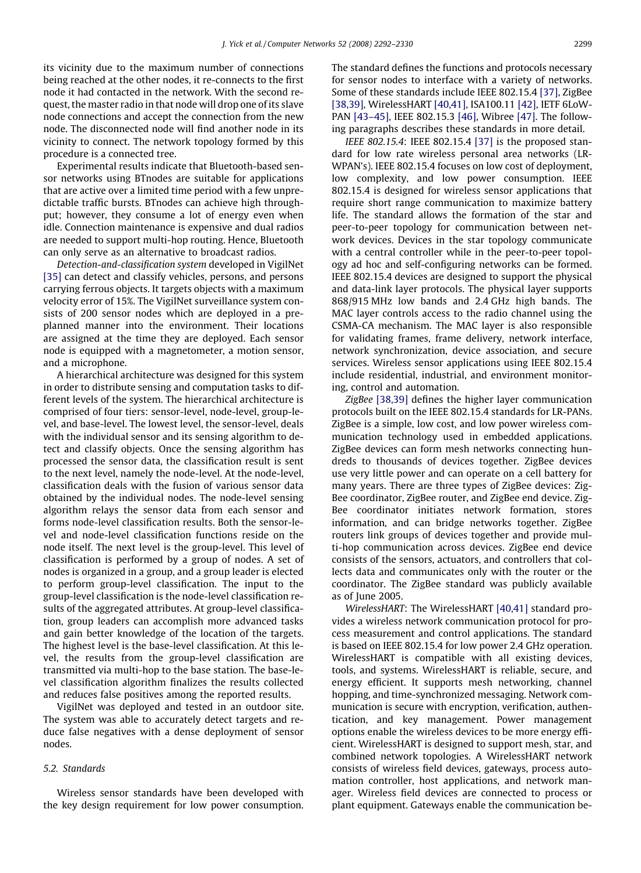its vicinity due to the maximum number of connections being reached at the other nodes, it re-connects to the first node it had contacted in the network. With the second request, the master radio in that node will drop one of its slave node connections and accept the connection from the new node. The disconnected node will find another node in its vicinity to connect. The network topology formed by this procedure is a connected tree.

Experimental results indicate that Bluetooth-based sensor networks using BTnodes are suitable for applications that are active over a limited time period with a few unpredictable traffic bursts. BTnodes can achieve high throughput; however, they consume a lot of energy even when idle. Connection maintenance is expensive and dual radios are needed to support multi-hop routing. Hence, Bluetooth can only serve as an alternative to broadcast radios.

Detection-and-classification system developed in VigilNet [\[35\]](#page-35-0) can detect and classify vehicles, persons, and persons carrying ferrous objects. It targets objects with a maximum velocity error of 15%. The VigilNet surveillance system consists of 200 sensor nodes which are deployed in a preplanned manner into the environment. Their locations are assigned at the time they are deployed. Each sensor node is equipped with a magnetometer, a motion sensor, and a microphone.

A hierarchical architecture was designed for this system in order to distribute sensing and computation tasks to different levels of the system. The hierarchical architecture is comprised of four tiers: sensor-level, node-level, group-level, and base-level. The lowest level, the sensor-level, deals with the individual sensor and its sensing algorithm to detect and classify objects. Once the sensing algorithm has processed the sensor data, the classification result is sent to the next level, namely the node-level. At the node-level, classification deals with the fusion of various sensor data obtained by the individual nodes. The node-level sensing algorithm relays the sensor data from each sensor and forms node-level classification results. Both the sensor-level and node-level classification functions reside on the node itself. The next level is the group-level. This level of classification is performed by a group of nodes. A set of nodes is organized in a group, and a group leader is elected to perform group-level classification. The input to the group-level classification is the node-level classification results of the aggregated attributes. At group-level classification, group leaders can accomplish more advanced tasks and gain better knowledge of the location of the targets. The highest level is the base-level classification. At this level, the results from the group-level classification are transmitted via multi-hop to the base station. The base-level classification algorithm finalizes the results collected and reduces false positives among the reported results.

VigilNet was deployed and tested in an outdoor site. The system was able to accurately detect targets and reduce false negatives with a dense deployment of sensor nodes.

## 5.2. Standards

Wireless sensor standards have been developed with the key design requirement for low power consumption.

The standard defines the functions and protocols necessary for sensor nodes to interface with a variety of networks. Some of these standards include IEEE 802.15.4 [\[37\]](#page-35-0), ZigBee [\[38,39\],](#page-35-0) WirelessHART [\[40,41\],](#page-35-0) ISA100.11 [\[42\]](#page-35-0), IETF 6LoW-PAN [\[43–45\]](#page-35-0), IEEE 802.15.3 [\[46\],](#page-35-0) Wibree [\[47\].](#page-35-0) The following paragraphs describes these standards in more detail.

IEEE 802.15.4: IEEE 802.15.4 [\[37\]](#page-35-0) is the proposed standard for low rate wireless personal area networks (LR-WPAN's). IEEE 802.15.4 focuses on low cost of deployment, low complexity, and low power consumption. IEEE 802.15.4 is designed for wireless sensor applications that require short range communication to maximize battery life. The standard allows the formation of the star and peer-to-peer topology for communication between network devices. Devices in the star topology communicate with a central controller while in the peer-to-peer topology ad hoc and self-configuring networks can be formed. IEEE 802.15.4 devices are designed to support the physical and data-link layer protocols. The physical layer supports 868/915 MHz low bands and 2.4 GHz high bands. The MAC layer controls access to the radio channel using the CSMA-CA mechanism. The MAC layer is also responsible for validating frames, frame delivery, network interface, network synchronization, device association, and secure services. Wireless sensor applications using IEEE 802.15.4 include residential, industrial, and environment monitoring, control and automation.

ZigBee [\[38,39\]](#page-35-0) defines the higher layer communication protocols built on the IEEE 802.15.4 standards for LR-PANs. ZigBee is a simple, low cost, and low power wireless communication technology used in embedded applications. ZigBee devices can form mesh networks connecting hundreds to thousands of devices together. ZigBee devices use very little power and can operate on a cell battery for many years. There are three types of ZigBee devices: Zig-Bee coordinator, ZigBee router, and ZigBee end device. Zig-Bee coordinator initiates network formation, stores information, and can bridge networks together. ZigBee routers link groups of devices together and provide multi-hop communication across devices. ZigBee end device consists of the sensors, actuators, and controllers that collects data and communicates only with the router or the coordinator. The ZigBee standard was publicly available as of June 2005.

WirelessHART: The WirelessHART [\[40,41\]](#page-35-0) standard provides a wireless network communication protocol for process measurement and control applications. The standard is based on IEEE 802.15.4 for low power 2.4 GHz operation. WirelessHART is compatible with all existing devices, tools, and systems. WirelessHART is reliable, secure, and energy efficient. It supports mesh networking, channel hopping, and time-synchronized messaging. Network communication is secure with encryption, verification, authentication, and key management. Power management options enable the wireless devices to be more energy efficient. WirelessHART is designed to support mesh, star, and combined network topologies. A WirelessHART network consists of wireless field devices, gateways, process automation controller, host applications, and network manager. Wireless field devices are connected to process or plant equipment. Gateways enable the communication be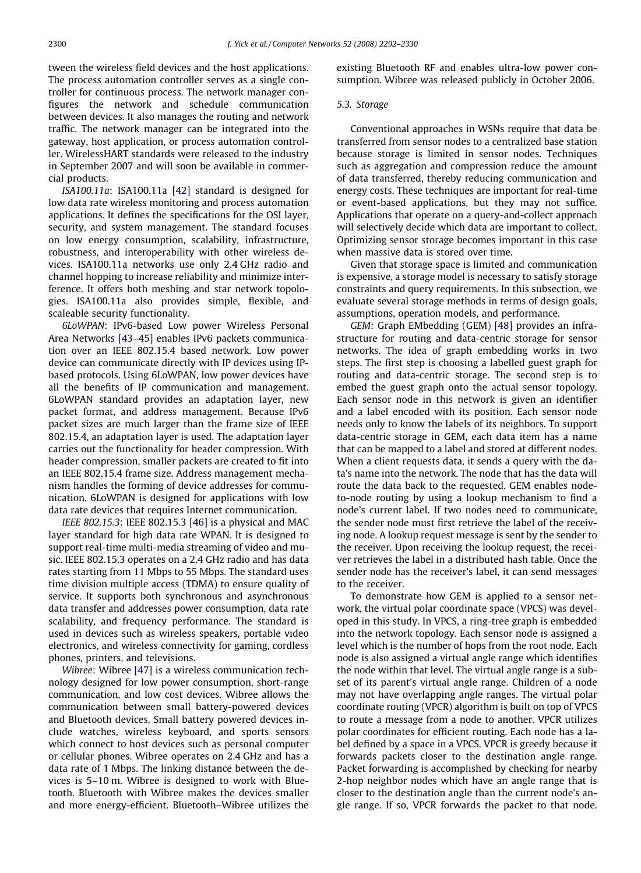tween the wireless field devices and the host applications. The process automation controller serves as a single controller for continuous process. The network manager configures the network and schedule communication between devices. It also manages the routing and network traffic. The network manager can be integrated into the gateway, host application, or process automation controller. WirelessHART standards were released to the industry in September 2007 and will soon be available in commercial products.

ISA100.11a: ISA100.11a [\[42\]](#page-35-0) standard is designed for low data rate wireless monitoring and process automation applications. It defines the specifications for the OSI layer, security, and system management. The standard focuses on low energy consumption, scalability, infrastructure, robustness, and interoperability with other wireless devices. ISA100.11a networks use only 2.4 GHz radio and channel hopping to increase reliability and minimize interference. It offers both meshing and star network topologies. ISA100.11a also provides simple, flexible, and scaleable security functionality.

6LoWPAN: IPv6-based Low power Wireless Personal Area Networks [\[43–45\]](#page-35-0) enables IPv6 packets communication over an IEEE 802.15.4 based network. Low power device can communicate directly with IP devices using IPbased protocols. Using 6LoWPAN, low power devices have all the benefits of IP communication and management. 6LoWPAN standard provides an adaptation layer, new packet format, and address management. Because IPv6 packet sizes are much larger than the frame size of IEEE 802.15.4, an adaptation layer is used. The adaptation layer carries out the functionality for header compression. With header compression, smaller packets are created to fit into an IEEE 802.15.4 frame size. Address management mechanism handles the forming of device addresses for communication. 6LoWPAN is designed for applications with low data rate devices that requires Internet communication.

IEEE 802.15.3: IEEE 802.15.3 [\[46\]](#page-35-0) is a physical and MAC layer standard for high data rate WPAN. It is designed to support real-time multi-media streaming of video and music. IEEE 802.15.3 operates on a 2.4 GHz radio and has data rates starting from 11 Mbps to 55 Mbps. The standard uses time division multiple access (TDMA) to ensure quality of service. It supports both synchronous and asynchronous data transfer and addresses power consumption, data rate scalability, and frequency performance. The standard is used in devices such as wireless speakers, portable video electronics, and wireless connectivity for gaming, cordless phones, printers, and televisions.

Wibree: Wibree [\[47\]](#page-35-0) is a wireless communication technology designed for low power consumption, short-range communication, and low cost devices. Wibree allows the communication between small battery-powered devices and Bluetooth devices. Small battery powered devices include watches, wireless keyboard, and sports sensors which connect to host devices such as personal computer or cellular phones. Wibree operates on 2.4 GHz and has a data rate of 1 Mbps. The linking distance between the devices is 5–10 m. Wibree is designed to work with Bluetooth. Bluetooth with Wibree makes the devices smaller and more energy-efficient. Bluetooth–Wibree utilizes the

existing Bluetooth RF and enables ultra-low power consumption. Wibree was released publicly in October 2006.

### 5.3. Storage

Conventional approaches in WSNs require that data be transferred from sensor nodes to a centralized base station because storage is limited in sensor nodes. Techniques such as aggregation and compression reduce the amount of data transferred, thereby reducing communication and energy costs. These techniques are important for real-time or event-based applications, but they may not suffice. Applications that operate on a query-and-collect approach will selectively decide which data are important to collect. Optimizing sensor storage becomes important in this case when massive data is stored over time.

Given that storage space is limited and communication is expensive, a storage model is necessary to satisfy storage constraints and query requirements. In this subsection, we evaluate several storage methods in terms of design goals, assumptions, operation models, and performance.

GEM: Graph EMbedding (GEM) [\[48\]](#page-35-0) provides an infrastructure for routing and data-centric storage for sensor networks. The idea of graph embedding works in two steps. The first step is choosing a labelled guest graph for routing and data-centric storage. The second step is to embed the guest graph onto the actual sensor topology. Each sensor node in this network is given an identifier and a label encoded with its position. Each sensor node needs only to know the labels of its neighbors. To support data-centric storage in GEM, each data item has a name that can be mapped to a label and stored at different nodes. When a client requests data, it sends a query with the data's name into the network. The node that has the data will route the data back to the requested. GEM enables nodeto-node routing by using a lookup mechanism to find a node's current label. If two nodes need to communicate, the sender node must first retrieve the label of the receiving node. A lookup request message is sent by the sender to the receiver. Upon receiving the lookup request, the receiver retrieves the label in a distributed hash table. Once the sender node has the receiver's label, it can send messages to the receiver.

To demonstrate how GEM is applied to a sensor network, the virtual polar coordinate space (VPCS) was developed in this study. In VPCS, a ring-tree graph is embedded into the network topology. Each sensor node is assigned a level which is the number of hops from the root node. Each node is also assigned a virtual angle range which identifies the node within that level. The virtual angle range is a subset of its parent's virtual angle range. Children of a node may not have overlapping angle ranges. The virtual polar coordinate routing (VPCR) algorithm is built on top of VPCS to route a message from a node to another. VPCR utilizes polar coordinates for efficient routing. Each node has a label defined by a space in a VPCS. VPCR is greedy because it forwards packets closer to the destination angle range. Packet forwarding is accomplished by checking for nearby 2-hop neighbor nodes which have an angle range that is closer to the destination angle than the current node's angle range. If so, VPCR forwards the packet to that node.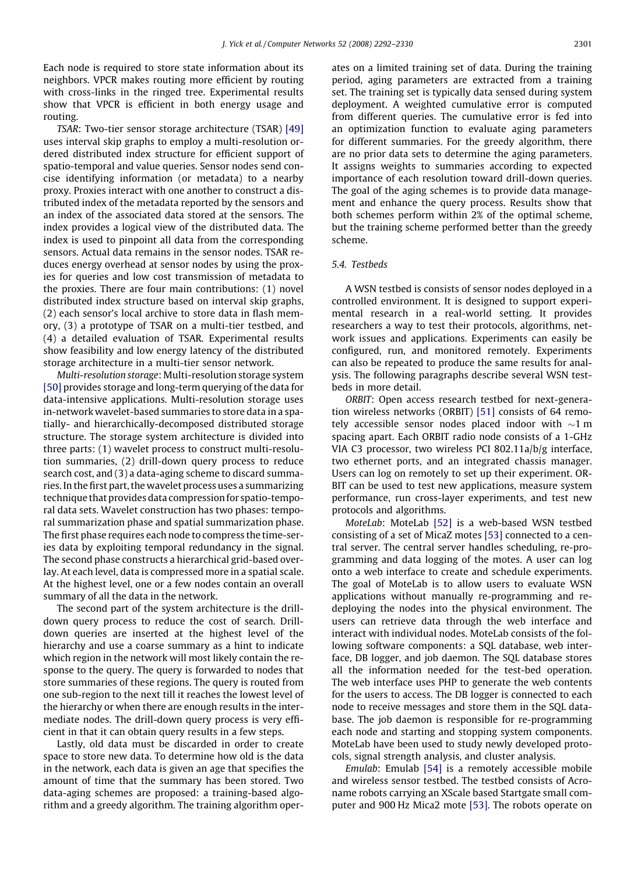Each node is required to store state information about its neighbors. VPCR makes routing more efficient by routing with cross-links in the ringed tree. Experimental results show that VPCR is efficient in both energy usage and routing.

TSAR: Two-tier sensor storage architecture (TSAR) [\[49\]](#page-35-0) uses interval skip graphs to employ a multi-resolution ordered distributed index structure for efficient support of spatio-temporal and value queries. Sensor nodes send concise identifying information (or metadata) to a nearby proxy. Proxies interact with one another to construct a distributed index of the metadata reported by the sensors and an index of the associated data stored at the sensors. The index provides a logical view of the distributed data. The index is used to pinpoint all data from the corresponding sensors. Actual data remains in the sensor nodes. TSAR reduces energy overhead at sensor nodes by using the proxies for queries and low cost transmission of metadata to the proxies. There are four main contributions: (1) novel distributed index structure based on interval skip graphs, (2) each sensor's local archive to store data in flash memory, (3) a prototype of TSAR on a multi-tier testbed, and (4) a detailed evaluation of TSAR. Experimental results show feasibility and low energy latency of the distributed storage architecture in a multi-tier sensor network.

Multi-resolution storage: Multi-resolution storage system [\[50\]](#page-35-0) provides storage and long-term querying of the data for data-intensive applications. Multi-resolution storage uses in-network wavelet-based summaries to store data in a spatially- and hierarchically-decomposed distributed storage structure. The storage system architecture is divided into three parts: (1) wavelet process to construct multi-resolution summaries, (2) drill-down query process to reduce search cost, and (3) a data-aging scheme to discard summaries. In the first part, the wavelet process uses a summarizing technique that provides data compression for spatio-temporal data sets. Wavelet construction has two phases: temporal summarization phase and spatial summarization phase. The first phase requires each node to compress the time-series data by exploiting temporal redundancy in the signal. The second phase constructs a hierarchical grid-based overlay. At each level, data is compressed more in a spatial scale. At the highest level, one or a few nodes contain an overall summary of all the data in the network.

The second part of the system architecture is the drilldown query process to reduce the cost of search. Drilldown queries are inserted at the highest level of the hierarchy and use a coarse summary as a hint to indicate which region in the network will most likely contain the response to the query. The query is forwarded to nodes that store summaries of these regions. The query is routed from one sub-region to the next till it reaches the lowest level of the hierarchy or when there are enough results in the intermediate nodes. The drill-down query process is very efficient in that it can obtain query results in a few steps.

Lastly, old data must be discarded in order to create space to store new data. To determine how old is the data in the network, each data is given an age that specifies the amount of time that the summary has been stored. Two data-aging schemes are proposed: a training-based algorithm and a greedy algorithm. The training algorithm operates on a limited training set of data. During the training period, aging parameters are extracted from a training set. The training set is typically data sensed during system deployment. A weighted cumulative error is computed from different queries. The cumulative error is fed into an optimization function to evaluate aging parameters for different summaries. For the greedy algorithm, there are no prior data sets to determine the aging parameters. It assigns weights to summaries according to expected importance of each resolution toward drill-down queries. The goal of the aging schemes is to provide data management and enhance the query process. Results show that both schemes perform within 2% of the optimal scheme, but the training scheme performed better than the greedy scheme.

# 5.4. Testbeds

A WSN testbed is consists of sensor nodes deployed in a controlled environment. It is designed to support experimental research in a real-world setting. It provides researchers a way to test their protocols, algorithms, network issues and applications. Experiments can easily be configured, run, and monitored remotely. Experiments can also be repeated to produce the same results for analysis. The following paragraphs describe several WSN testbeds in more detail.

ORBIT: Open access research testbed for next-generation wireless networks (ORBIT) [\[51\]](#page-36-0) consists of 64 remotely accessible sensor nodes placed indoor with  $\sim$ 1 m spacing apart. Each ORBIT radio node consists of a 1-GHz VIA C3 processor, two wireless PCI 802.11a/b/g interface, two ethernet ports, and an integrated chassis manager. Users can log on remotely to set up their experiment. OR-BIT can be used to test new applications, measure system performance, run cross-layer experiments, and test new protocols and algorithms.

MoteLab: MoteLab [\[52\]](#page-36-0) is a web-based WSN testbed consisting of a set of MicaZ motes [\[53\]](#page-36-0) connected to a central server. The central server handles scheduling, re-programming and data logging of the motes. A user can log onto a web interface to create and schedule experiments. The goal of MoteLab is to allow users to evaluate WSN applications without manually re-programming and redeploying the nodes into the physical environment. The users can retrieve data through the web interface and interact with individual nodes. MoteLab consists of the following software components: a SQL database, web interface, DB logger, and job daemon. The SQL database stores all the information needed for the test-bed operation. The web interface uses PHP to generate the web contents for the users to access. The DB logger is connected to each node to receive messages and store them in the SQL database. The job daemon is responsible for re-programming each node and starting and stopping system components. MoteLab have been used to study newly developed protocols, signal strength analysis, and cluster analysis.

Emulab: Emulab [\[54\]](#page-36-0) is a remotely accessible mobile and wireless sensor testbed. The testbed consists of Acroname robots carrying an XScale based Startgate small computer and 900 Hz Mica2 mote [\[53\]](#page-36-0). The robots operate on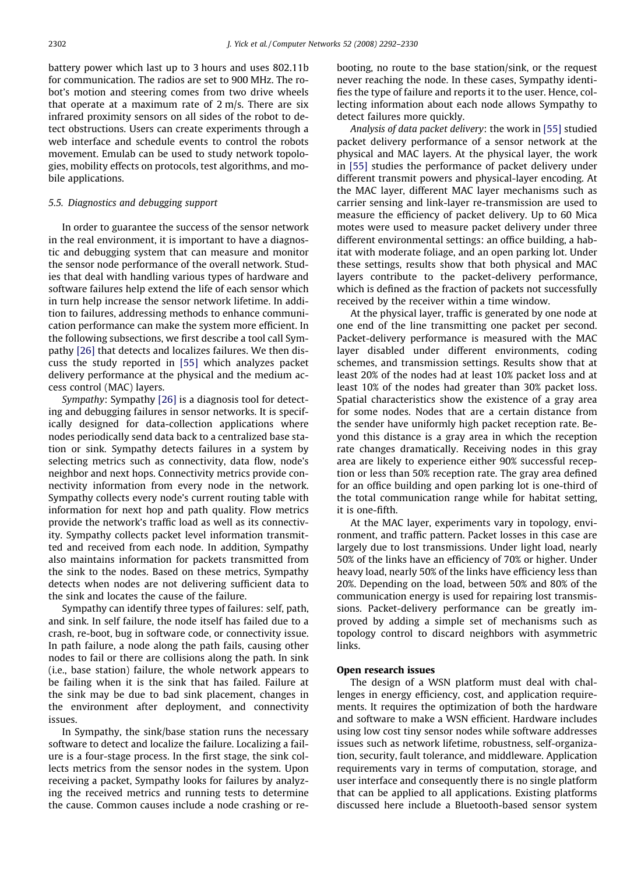battery power which last up to 3 hours and uses 802.11b for communication. The radios are set to 900 MHz. The robot's motion and steering comes from two drive wheels that operate at a maximum rate of 2 m/s. There are six infrared proximity sensors on all sides of the robot to detect obstructions. Users can create experiments through a web interface and schedule events to control the robots movement. Emulab can be used to study network topologies, mobility effects on protocols, test algorithms, and mobile applications.

### 5.5. Diagnostics and debugging support

In order to guarantee the success of the sensor network in the real environment, it is important to have a diagnostic and debugging system that can measure and monitor the sensor node performance of the overall network. Studies that deal with handling various types of hardware and software failures help extend the life of each sensor which in turn help increase the sensor network lifetime. In addition to failures, addressing methods to enhance communication performance can make the system more efficient. In the following subsections, we first describe a tool call Sympathy [\[26\]](#page-35-0) that detects and localizes failures. We then discuss the study reported in [\[55\]](#page-36-0) which analyzes packet delivery performance at the physical and the medium access control (MAC) layers.

Sympathy: Sympathy [\[26\]](#page-35-0) is a diagnosis tool for detecting and debugging failures in sensor networks. It is specifically designed for data-collection applications where nodes periodically send data back to a centralized base station or sink. Sympathy detects failures in a system by selecting metrics such as connectivity, data flow, node's neighbor and next hops. Connectivity metrics provide connectivity information from every node in the network. Sympathy collects every node's current routing table with information for next hop and path quality. Flow metrics provide the network's traffic load as well as its connectivity. Sympathy collects packet level information transmitted and received from each node. In addition, Sympathy also maintains information for packets transmitted from the sink to the nodes. Based on these metrics, Sympathy detects when nodes are not delivering sufficient data to the sink and locates the cause of the failure.

Sympathy can identify three types of failures: self, path, and sink. In self failure, the node itself has failed due to a crash, re-boot, bug in software code, or connectivity issue. In path failure, a node along the path fails, causing other nodes to fail or there are collisions along the path. In sink (i.e., base station) failure, the whole network appears to be failing when it is the sink that has failed. Failure at the sink may be due to bad sink placement, changes in the environment after deployment, and connectivity issues.

In Sympathy, the sink/base station runs the necessary software to detect and localize the failure. Localizing a failure is a four-stage process. In the first stage, the sink collects metrics from the sensor nodes in the system. Upon receiving a packet, Sympathy looks for failures by analyzing the received metrics and running tests to determine the cause. Common causes include a node crashing or rebooting, no route to the base station/sink, or the request never reaching the node. In these cases, Sympathy identifies the type of failure and reports it to the user. Hence, collecting information about each node allows Sympathy to detect failures more quickly.

Analysis of data packet delivery: the work in [\[55\]](#page-36-0) studied packet delivery performance of a sensor network at the physical and MAC layers. At the physical layer, the work in [\[55\]](#page-36-0) studies the performance of packet delivery under different transmit powers and physical-layer encoding. At the MAC layer, different MAC layer mechanisms such as carrier sensing and link-layer re-transmission are used to measure the efficiency of packet delivery. Up to 60 Mica motes were used to measure packet delivery under three different environmental settings: an office building, a habitat with moderate foliage, and an open parking lot. Under these settings, results show that both physical and MAC layers contribute to the packet-delivery performance, which is defined as the fraction of packets not successfully received by the receiver within a time window.

At the physical layer, traffic is generated by one node at one end of the line transmitting one packet per second. Packet-delivery performance is measured with the MAC layer disabled under different environments, coding schemes, and transmission settings. Results show that at least 20% of the nodes had at least 10% packet loss and at least 10% of the nodes had greater than 30% packet loss. Spatial characteristics show the existence of a gray area for some nodes. Nodes that are a certain distance from the sender have uniformly high packet reception rate. Beyond this distance is a gray area in which the reception rate changes dramatically. Receiving nodes in this gray area are likely to experience either 90% successful reception or less than 50% reception rate. The gray area defined for an office building and open parking lot is one-third of the total communication range while for habitat setting, it is one-fifth.

At the MAC layer, experiments vary in topology, environment, and traffic pattern. Packet losses in this case are largely due to lost transmissions. Under light load, nearly 50% of the links have an efficiency of 70% or higher. Under heavy load, nearly 50% of the links have efficiency less than 20%. Depending on the load, between 50% and 80% of the communication energy is used for repairing lost transmissions. Packet-delivery performance can be greatly improved by adding a simple set of mechanisms such as topology control to discard neighbors with asymmetric links.

### Open research issues

The design of a WSN platform must deal with challenges in energy efficiency, cost, and application requirements. It requires the optimization of both the hardware and software to make a WSN efficient. Hardware includes using low cost tiny sensor nodes while software addresses issues such as network lifetime, robustness, self-organization, security, fault tolerance, and middleware. Application requirements vary in terms of computation, storage, and user interface and consequently there is no single platform that can be applied to all applications. Existing platforms discussed here include a Bluetooth-based sensor system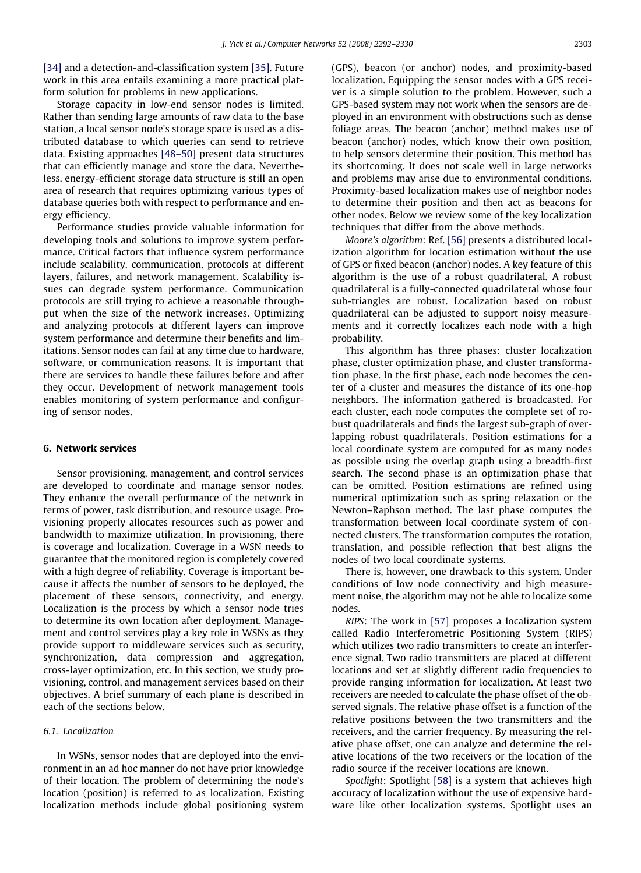[\[34\]](#page-35-0) and a detection-and-classification system [\[35\]](#page-35-0). Future work in this area entails examining a more practical platform solution for problems in new applications.

Storage capacity in low-end sensor nodes is limited. Rather than sending large amounts of raw data to the base station, a local sensor node's storage space is used as a distributed database to which queries can send to retrieve data. Existing approaches [\[48–50\]](#page-35-0) present data structures that can efficiently manage and store the data. Nevertheless, energy-efficient storage data structure is still an open area of research that requires optimizing various types of database queries both with respect to performance and energy efficiency.

Performance studies provide valuable information for developing tools and solutions to improve system performance. Critical factors that influence system performance include scalability, communication, protocols at different layers, failures, and network management. Scalability issues can degrade system performance. Communication protocols are still trying to achieve a reasonable throughput when the size of the network increases. Optimizing and analyzing protocols at different layers can improve system performance and determine their benefits and limitations. Sensor nodes can fail at any time due to hardware, software, or communication reasons. It is important that there are services to handle these failures before and after they occur. Development of network management tools enables monitoring of system performance and configuring of sensor nodes.

# 6. Network services

Sensor provisioning, management, and control services are developed to coordinate and manage sensor nodes. They enhance the overall performance of the network in terms of power, task distribution, and resource usage. Provisioning properly allocates resources such as power and bandwidth to maximize utilization. In provisioning, there is coverage and localization. Coverage in a WSN needs to guarantee that the monitored region is completely covered with a high degree of reliability. Coverage is important because it affects the number of sensors to be deployed, the placement of these sensors, connectivity, and energy. Localization is the process by which a sensor node tries to determine its own location after deployment. Management and control services play a key role in WSNs as they provide support to middleware services such as security, synchronization, data compression and aggregation, cross-layer optimization, etc. In this section, we study provisioning, control, and management services based on their objectives. A brief summary of each plane is described in each of the sections below.

# 6.1. Localization

In WSNs, sensor nodes that are deployed into the environment in an ad hoc manner do not have prior knowledge of their location. The problem of determining the node's location (position) is referred to as localization. Existing localization methods include global positioning system

(GPS), beacon (or anchor) nodes, and proximity-based localization. Equipping the sensor nodes with a GPS receiver is a simple solution to the problem. However, such a GPS-based system may not work when the sensors are deployed in an environment with obstructions such as dense foliage areas. The beacon (anchor) method makes use of beacon (anchor) nodes, which know their own position, to help sensors determine their position. This method has its shortcoming. It does not scale well in large networks and problems may arise due to environmental conditions. Proximity-based localization makes use of neighbor nodes to determine their position and then act as beacons for other nodes. Below we review some of the key localization techniques that differ from the above methods.

Moore's algorithm: Ref. [\[56\]](#page-36-0) presents a distributed localization algorithm for location estimation without the use of GPS or fixed beacon (anchor) nodes. A key feature of this algorithm is the use of a robust quadrilateral. A robust quadrilateral is a fully-connected quadrilateral whose four sub-triangles are robust. Localization based on robust quadrilateral can be adjusted to support noisy measurements and it correctly localizes each node with a high probability.

This algorithm has three phases: cluster localization phase, cluster optimization phase, and cluster transformation phase. In the first phase, each node becomes the center of a cluster and measures the distance of its one-hop neighbors. The information gathered is broadcasted. For each cluster, each node computes the complete set of robust quadrilaterals and finds the largest sub-graph of overlapping robust quadrilaterals. Position estimations for a local coordinate system are computed for as many nodes as possible using the overlap graph using a breadth-first search. The second phase is an optimization phase that can be omitted. Position estimations are refined using numerical optimization such as spring relaxation or the Newton–Raphson method. The last phase computes the transformation between local coordinate system of connected clusters. The transformation computes the rotation, translation, and possible reflection that best aligns the nodes of two local coordinate systems.

There is, however, one drawback to this system. Under conditions of low node connectivity and high measurement noise, the algorithm may not be able to localize some nodes.

RIPS: The work in [\[57\]](#page-36-0) proposes a localization system called Radio Interferometric Positioning System (RIPS) which utilizes two radio transmitters to create an interference signal. Two radio transmitters are placed at different locations and set at slightly different radio frequencies to provide ranging information for localization. At least two receivers are needed to calculate the phase offset of the observed signals. The relative phase offset is a function of the relative positions between the two transmitters and the receivers, and the carrier frequency. By measuring the relative phase offset, one can analyze and determine the relative locations of the two receivers or the location of the radio source if the receiver locations are known.

Spotlight: Spotlight [\[58\]](#page-36-0) is a system that achieves high accuracy of localization without the use of expensive hardware like other localization systems. Spotlight uses an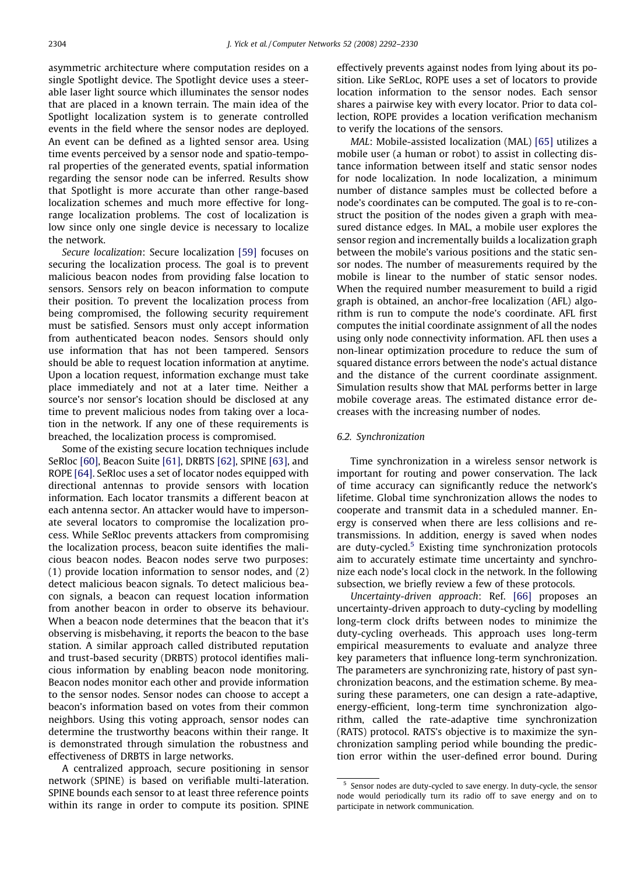asymmetric architecture where computation resides on a single Spotlight device. The Spotlight device uses a steerable laser light source which illuminates the sensor nodes that are placed in a known terrain. The main idea of the Spotlight localization system is to generate controlled events in the field where the sensor nodes are deployed. An event can be defined as a lighted sensor area. Using time events perceived by a sensor node and spatio-temporal properties of the generated events, spatial information regarding the sensor node can be inferred. Results show that Spotlight is more accurate than other range-based localization schemes and much more effective for longrange localization problems. The cost of localization is low since only one single device is necessary to localize the network.

Secure localization: Secure localization [\[59\]](#page-36-0) focuses on securing the localization process. The goal is to prevent malicious beacon nodes from providing false location to sensors. Sensors rely on beacon information to compute their position. To prevent the localization process from being compromised, the following security requirement must be satisfied. Sensors must only accept information from authenticated beacon nodes. Sensors should only use information that has not been tampered. Sensors should be able to request location information at anytime. Upon a location request, information exchange must take place immediately and not at a later time. Neither a source's nor sensor's location should be disclosed at any time to prevent malicious nodes from taking over a location in the network. If any one of these requirements is breached, the localization process is compromised.

Some of the existing secure location techniques include SeRloc [\[60\]](#page-36-0), Beacon Suite [\[61\]](#page-36-0), DRBTS [\[62\]](#page-36-0), SPINE [\[63\]](#page-36-0), and ROPE [\[64\].](#page-36-0) SeRloc uses a set of locator nodes equipped with directional antennas to provide sensors with location information. Each locator transmits a different beacon at each antenna sector. An attacker would have to impersonate several locators to compromise the localization process. While SeRloc prevents attackers from compromising the localization process, beacon suite identifies the malicious beacon nodes. Beacon nodes serve two purposes: (1) provide location information to sensor nodes, and (2) detect malicious beacon signals. To detect malicious beacon signals, a beacon can request location information from another beacon in order to observe its behaviour. When a beacon node determines that the beacon that it's observing is misbehaving, it reports the beacon to the base station. A similar approach called distributed reputation and trust-based security (DRBTS) protocol identifies malicious information by enabling beacon node monitoring. Beacon nodes monitor each other and provide information to the sensor nodes. Sensor nodes can choose to accept a beacon's information based on votes from their common neighbors. Using this voting approach, sensor nodes can determine the trustworthy beacons within their range. It is demonstrated through simulation the robustness and effectiveness of DRBTS in large networks.

A centralized approach, secure positioning in sensor network (SPINE) is based on verifiable multi-lateration. SPINE bounds each sensor to at least three reference points within its range in order to compute its position. SPINE

effectively prevents against nodes from lying about its position. Like SeRLoc, ROPE uses a set of locators to provide location information to the sensor nodes. Each sensor shares a pairwise key with every locator. Prior to data collection, ROPE provides a location verification mechanism to verify the locations of the sensors.

MAL: Mobile-assisted localization (MAL) [\[65\]](#page-36-0) utilizes a mobile user (a human or robot) to assist in collecting distance information between itself and static sensor nodes for node localization. In node localization, a minimum number of distance samples must be collected before a node's coordinates can be computed. The goal is to re-construct the position of the nodes given a graph with measured distance edges. In MAL, a mobile user explores the sensor region and incrementally builds a localization graph between the mobile's various positions and the static sensor nodes. The number of measurements required by the mobile is linear to the number of static sensor nodes. When the required number measurement to build a rigid graph is obtained, an anchor-free localization (AFL) algorithm is run to compute the node's coordinate. AFL first computes the initial coordinate assignment of all the nodes using only node connectivity information. AFL then uses a non-linear optimization procedure to reduce the sum of squared distance errors between the node's actual distance and the distance of the current coordinate assignment. Simulation results show that MAL performs better in large mobile coverage areas. The estimated distance error decreases with the increasing number of nodes.

### 6.2. Synchronization

Time synchronization in a wireless sensor network is important for routing and power conservation. The lack of time accuracy can significantly reduce the network's lifetime. Global time synchronization allows the nodes to cooperate and transmit data in a scheduled manner. Energy is conserved when there are less collisions and retransmissions. In addition, energy is saved when nodes are duty-cycled. $5$  Existing time synchronization protocols aim to accurately estimate time uncertainty and synchronize each node's local clock in the network. In the following subsection, we briefly review a few of these protocols.

Uncertainty-driven approach: Ref. [\[66\]](#page-36-0) proposes an uncertainty-driven approach to duty-cycling by modelling long-term clock drifts between nodes to minimize the duty-cycling overheads. This approach uses long-term empirical measurements to evaluate and analyze three key parameters that influence long-term synchronization. The parameters are synchronizing rate, history of past synchronization beacons, and the estimation scheme. By measuring these parameters, one can design a rate-adaptive, energy-efficient, long-term time synchronization algorithm, called the rate-adaptive time synchronization (RATS) protocol. RATS's objective is to maximize the synchronization sampling period while bounding the prediction error within the user-defined error bound. During

<sup>&</sup>lt;sup>5</sup> Sensor nodes are duty-cycled to save energy. In duty-cycle, the sensor node would periodically turn its radio off to save energy and on to participate in network communication.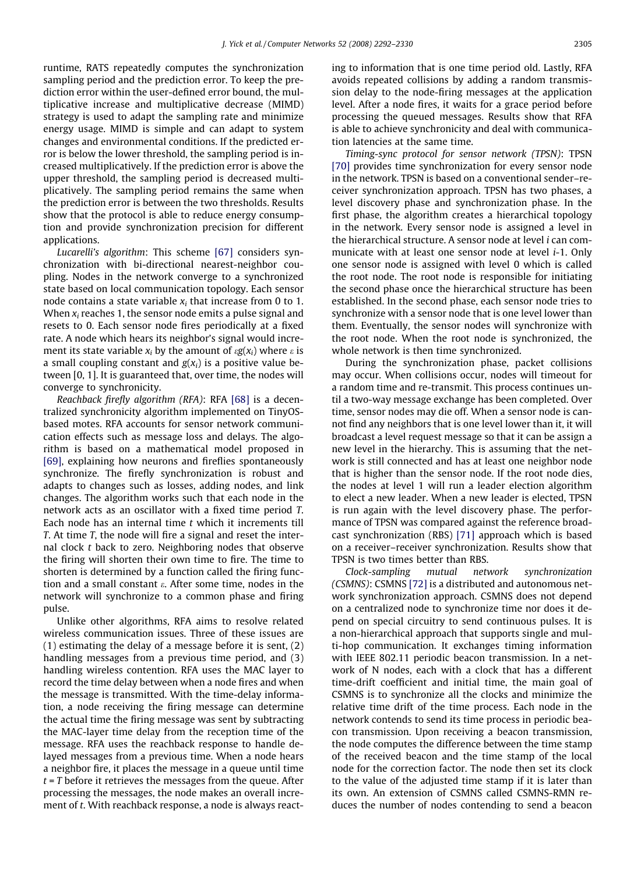runtime, RATS repeatedly computes the synchronization sampling period and the prediction error. To keep the prediction error within the user-defined error bound, the multiplicative increase and multiplicative decrease (MIMD) strategy is used to adapt the sampling rate and minimize energy usage. MIMD is simple and can adapt to system changes and environmental conditions. If the predicted error is below the lower threshold, the sampling period is increased multiplicatively. If the prediction error is above the upper threshold, the sampling period is decreased multiplicatively. The sampling period remains the same when the prediction error is between the two thresholds. Results show that the protocol is able to reduce energy consumption and provide synchronization precision for different applications.

Lucarelli's algorithm: This scheme [\[67\]](#page-36-0) considers synchronization with bi-directional nearest-neighbor coupling. Nodes in the network converge to a synchronized state based on local communication topology. Each sensor node contains a state variable  $x_i$  that increase from 0 to 1. When  $x_i$  reaches 1, the sensor node emits a pulse signal and resets to 0. Each sensor node fires periodically at a fixed rate. A node which hears its neighbor's signal would increment its state variable  $x_i$  by the amount of  $\epsilon g(x_i)$  where  $\epsilon$  is a small coupling constant and  $g(x_i)$  is a positive value between [0, 1]. It is guaranteed that, over time, the nodes will converge to synchronicity.

Reachback firefly algorithm (RFA): RFA [\[68\]](#page-36-0) is a decentralized synchronicity algorithm implemented on TinyOSbased motes. RFA accounts for sensor network communication effects such as message loss and delays. The algorithm is based on a mathematical model proposed in [\[69\]](#page-36-0), explaining how neurons and fireflies spontaneously synchronize. The firefly synchronization is robust and adapts to changes such as losses, adding nodes, and link changes. The algorithm works such that each node in the network acts as an oscillator with a fixed time period T. Each node has an internal time  $t$  which it increments till T. At time T, the node will fire a signal and reset the internal clock t back to zero. Neighboring nodes that observe the firing will shorten their own time to fire. The time to shorten is determined by a function called the firing function and a small constant  $\varepsilon$ . After some time, nodes in the network will synchronize to a common phase and firing pulse.

Unlike other algorithms, RFA aims to resolve related wireless communication issues. Three of these issues are (1) estimating the delay of a message before it is sent, (2) handling messages from a previous time period, and (3) handling wireless contention. RFA uses the MAC layer to record the time delay between when a node fires and when the message is transmitted. With the time-delay information, a node receiving the firing message can determine the actual time the firing message was sent by subtracting the MAC-layer time delay from the reception time of the message. RFA uses the reachback response to handle delayed messages from a previous time. When a node hears a neighbor fire, it places the message in a queue until time  $t = T$  before it retrieves the messages from the queue. After processing the messages, the node makes an overall increment of t. With reachback response, a node is always reacting to information that is one time period old. Lastly, RFA avoids repeated collisions by adding a random transmission delay to the node-firing messages at the application level. After a node fires, it waits for a grace period before processing the queued messages. Results show that RFA is able to achieve synchronicity and deal with communication latencies at the same time.

Timing-sync protocol for sensor network (TPSN): TPSN [\[70\]](#page-36-0) provides time synchronization for every sensor node in the network. TPSN is based on a conventional sender–receiver synchronization approach. TPSN has two phases, a level discovery phase and synchronization phase. In the first phase, the algorithm creates a hierarchical topology in the network. Every sensor node is assigned a level in the hierarchical structure. A sensor node at level i can communicate with at least one sensor node at level i-1. Only one sensor node is assigned with level 0 which is called the root node. The root node is responsible for initiating the second phase once the hierarchical structure has been established. In the second phase, each sensor node tries to synchronize with a sensor node that is one level lower than them. Eventually, the sensor nodes will synchronize with the root node. When the root node is synchronized, the whole network is then time synchronized.

During the synchronization phase, packet collisions may occur. When collisions occur, nodes will timeout for a random time and re-transmit. This process continues until a two-way message exchange has been completed. Over time, sensor nodes may die off. When a sensor node is cannot find any neighbors that is one level lower than it, it will broadcast a level request message so that it can be assign a new level in the hierarchy. This is assuming that the network is still connected and has at least one neighbor node that is higher than the sensor node. If the root node dies, the nodes at level 1 will run a leader election algorithm to elect a new leader. When a new leader is elected, TPSN is run again with the level discovery phase. The performance of TPSN was compared against the reference broadcast synchronization (RBS) [\[71\]](#page-36-0) approach which is based on a receiver–receiver synchronization. Results show that TPSN is two times better than RBS.

Clock-sampling mutual network synchronization (CSMNS): CSMNS [\[72\]](#page-36-0) is a distributed and autonomous network synchronization approach. CSMNS does not depend on a centralized node to synchronize time nor does it depend on special circuitry to send continuous pulses. It is a non-hierarchical approach that supports single and multi-hop communication. It exchanges timing information with IEEE 802.11 periodic beacon transmission. In a network of N nodes, each with a clock that has a different time-drift coefficient and initial time, the main goal of CSMNS is to synchronize all the clocks and minimize the relative time drift of the time process. Each node in the network contends to send its time process in periodic beacon transmission. Upon receiving a beacon transmission, the node computes the difference between the time stamp of the received beacon and the time stamp of the local node for the correction factor. The node then set its clock to the value of the adjusted time stamp if it is later than its own. An extension of CSMNS called CSMNS-RMN reduces the number of nodes contending to send a beacon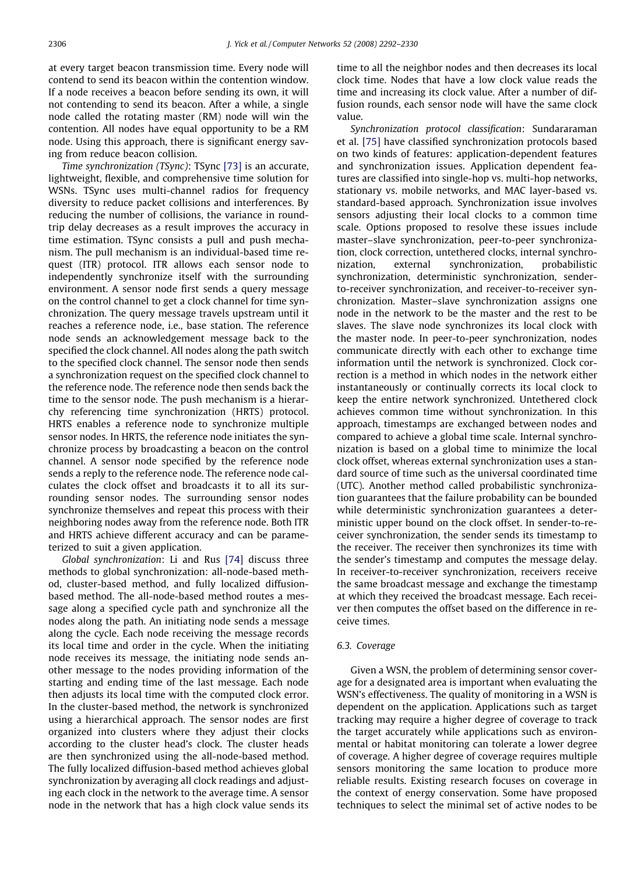at every target beacon transmission time. Every node will contend to send its beacon within the contention window. If a node receives a beacon before sending its own, it will not contending to send its beacon. After a while, a single node called the rotating master (RM) node will win the contention. All nodes have equal opportunity to be a RM node. Using this approach, there is significant energy saving from reduce beacon collision.

Time synchronization (TSync): TSync [\[73\]](#page-36-0) is an accurate, lightweight, flexible, and comprehensive time solution for WSNs. TSync uses multi-channel radios for frequency diversity to reduce packet collisions and interferences. By reducing the number of collisions, the variance in roundtrip delay decreases as a result improves the accuracy in time estimation. TSync consists a pull and push mechanism. The pull mechanism is an individual-based time request (ITR) protocol. ITR allows each sensor node to independently synchronize itself with the surrounding environment. A sensor node first sends a query message on the control channel to get a clock channel for time synchronization. The query message travels upstream until it reaches a reference node, i.e., base station. The reference node sends an acknowledgement message back to the specified the clock channel. All nodes along the path switch to the specified clock channel. The sensor node then sends a synchronization request on the specified clock channel to the reference node. The reference node then sends back the time to the sensor node. The push mechanism is a hierarchy referencing time synchronization (HRTS) protocol. HRTS enables a reference node to synchronize multiple sensor nodes. In HRTS, the reference node initiates the synchronize process by broadcasting a beacon on the control channel. A sensor node specified by the reference node sends a reply to the reference node. The reference node calculates the clock offset and broadcasts it to all its surrounding sensor nodes. The surrounding sensor nodes synchronize themselves and repeat this process with their neighboring nodes away from the reference node. Both ITR and HRTS achieve different accuracy and can be parameterized to suit a given application.

Global synchronization: Li and Rus [\[74\]](#page-36-0) discuss three methods to global synchronization: all-node-based method, cluster-based method, and fully localized diffusionbased method. The all-node-based method routes a message along a specified cycle path and synchronize all the nodes along the path. An initiating node sends a message along the cycle. Each node receiving the message records its local time and order in the cycle. When the initiating node receives its message, the initiating node sends another message to the nodes providing information of the starting and ending time of the last message. Each node then adjusts its local time with the computed clock error. In the cluster-based method, the network is synchronized using a hierarchical approach. The sensor nodes are first organized into clusters where they adjust their clocks according to the cluster head's clock. The cluster heads are then synchronized using the all-node-based method. The fully localized diffusion-based method achieves global synchronization by averaging all clock readings and adjusting each clock in the network to the average time. A sensor node in the network that has a high clock value sends its time to all the neighbor nodes and then decreases its local clock time. Nodes that have a low clock value reads the time and increasing its clock value. After a number of diffusion rounds, each sensor node will have the same clock value.

Synchronization protocol classification: Sundararaman et al. [\[75\]](#page-36-0) have classified synchronization protocols based on two kinds of features: application-dependent features and synchronization issues. Application dependent features are classified into single-hop vs. multi-hop networks, stationary vs. mobile networks, and MAC layer-based vs. standard-based approach. Synchronization issue involves sensors adjusting their local clocks to a common time scale. Options proposed to resolve these issues include master–slave synchronization, peer-to-peer synchronization, clock correction, untethered clocks, internal synchronization, external synchronization, probabilistic synchronization, deterministic synchronization, senderto-receiver synchronization, and receiver-to-receiver synchronization. Master–slave synchronization assigns one node in the network to be the master and the rest to be slaves. The slave node synchronizes its local clock with the master node. In peer-to-peer synchronization, nodes communicate directly with each other to exchange time information until the network is synchronized. Clock correction is a method in which nodes in the network either instantaneously or continually corrects its local clock to keep the entire network synchronized. Untethered clock achieves common time without synchronization. In this approach, timestamps are exchanged between nodes and compared to achieve a global time scale. Internal synchronization is based on a global time to minimize the local clock offset, whereas external synchronization uses a standard source of time such as the universal coordinated time (UTC). Another method called probabilistic synchronization guarantees that the failure probability can be bounded while deterministic synchronization guarantees a deterministic upper bound on the clock offset. In sender-to-receiver synchronization, the sender sends its timestamp to the receiver. The receiver then synchronizes its time with the sender's timestamp and computes the message delay. In receiver-to-receiver synchronization, receivers receive the same broadcast message and exchange the timestamp at which they received the broadcast message. Each receiver then computes the offset based on the difference in receive times.

### 6.3. Coverage

Given a WSN, the problem of determining sensor coverage for a designated area is important when evaluating the WSN's effectiveness. The quality of monitoring in a WSN is dependent on the application. Applications such as target tracking may require a higher degree of coverage to track the target accurately while applications such as environmental or habitat monitoring can tolerate a lower degree of coverage. A higher degree of coverage requires multiple sensors monitoring the same location to produce more reliable results. Existing research focuses on coverage in the context of energy conservation. Some have proposed techniques to select the minimal set of active nodes to be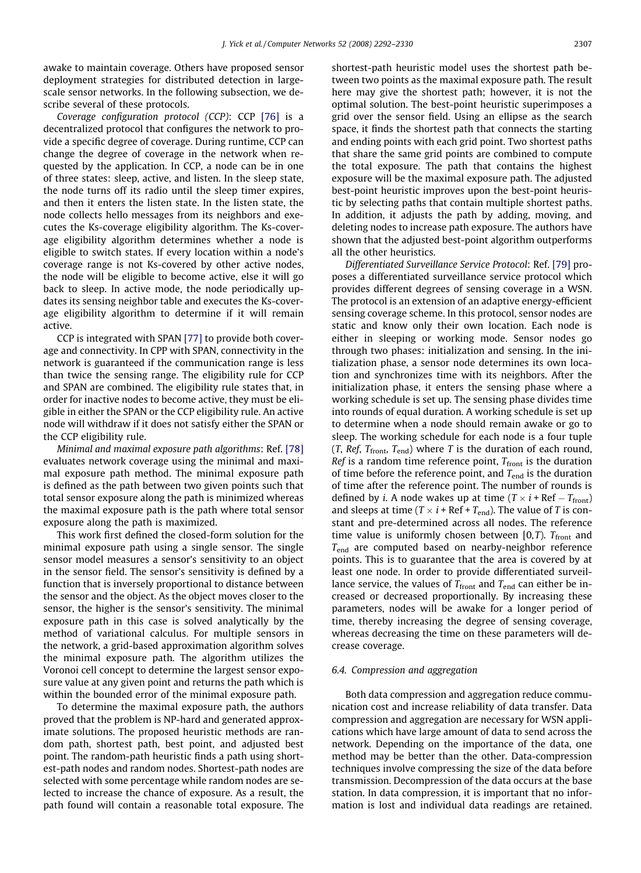awake to maintain coverage. Others have proposed sensor deployment strategies for distributed detection in largescale sensor networks. In the following subsection, we describe several of these protocols.

Coverage configuration protocol (CCP): CCP [\[76\]](#page-36-0) is a decentralized protocol that configures the network to provide a specific degree of coverage. During runtime, CCP can change the degree of coverage in the network when requested by the application. In CCP, a node can be in one of three states: sleep, active, and listen. In the sleep state, the node turns off its radio until the sleep timer expires, and then it enters the listen state. In the listen state, the node collects hello messages from its neighbors and executes the Ks-coverage eligibility algorithm. The Ks-coverage eligibility algorithm determines whether a node is eligible to switch states. If every location within a node's coverage range is not Ks-covered by other active nodes, the node will be eligible to become active, else it will go back to sleep. In active mode, the node periodically updates its sensing neighbor table and executes the Ks-coverage eligibility algorithm to determine if it will remain active.

CCP is integrated with SPAN [\[77\]](#page-36-0) to provide both coverage and connectivity. In CPP with SPAN, connectivity in the network is guaranteed if the communication range is less than twice the sensing range. The eligibility rule for CCP and SPAN are combined. The eligibility rule states that, in order for inactive nodes to become active, they must be eligible in either the SPAN or the CCP eligibility rule. An active node will withdraw if it does not satisfy either the SPAN or the CCP eligibility rule.

Minimal and maximal exposure path algorithms: Ref. [\[78\]](#page-36-0) evaluates network coverage using the minimal and maximal exposure path method. The minimal exposure path is defined as the path between two given points such that total sensor exposure along the path is minimized whereas the maximal exposure path is the path where total sensor exposure along the path is maximized.

This work first defined the closed-form solution for the minimal exposure path using a single sensor. The single sensor model measures a sensor's sensitivity to an object in the sensor field. The sensor's sensitivity is defined by a function that is inversely proportional to distance between the sensor and the object. As the object moves closer to the sensor, the higher is the sensor's sensitivity. The minimal exposure path in this case is solved analytically by the method of variational calculus. For multiple sensors in the network, a grid-based approximation algorithm solves the minimal exposure path. The algorithm utilizes the Voronoi cell concept to determine the largest sensor exposure value at any given point and returns the path which is within the bounded error of the minimal exposure path.

To determine the maximal exposure path, the authors proved that the problem is NP-hard and generated approximate solutions. The proposed heuristic methods are random path, shortest path, best point, and adjusted best point. The random-path heuristic finds a path using shortest-path nodes and random nodes. Shortest-path nodes are selected with some percentage while random nodes are selected to increase the chance of exposure. As a result, the path found will contain a reasonable total exposure. The

shortest-path heuristic model uses the shortest path between two points as the maximal exposure path. The result here may give the shortest path; however, it is not the optimal solution. The best-point heuristic superimposes a grid over the sensor field. Using an ellipse as the search space, it finds the shortest path that connects the starting and ending points with each grid point. Two shortest paths that share the same grid points are combined to compute the total exposure. The path that contains the highest exposure will be the maximal exposure path. The adjusted best-point heuristic improves upon the best-point heuristic by selecting paths that contain multiple shortest paths. In addition, it adjusts the path by adding, moving, and deleting nodes to increase path exposure. The authors have shown that the adjusted best-point algorithm outperforms all the other heuristics.

Differentiated Surveillance Service Protocol: Ref. [\[79\]](#page-36-0) proposes a differentiated surveillance service protocol which provides different degrees of sensing coverage in a WSN. The protocol is an extension of an adaptive energy-efficient sensing coverage scheme. In this protocol, sensor nodes are static and know only their own location. Each node is either in sleeping or working mode. Sensor nodes go through two phases: initialization and sensing. In the initialization phase, a sensor node determines its own location and synchronizes time with its neighbors. After the initialization phase, it enters the sensing phase where a working schedule is set up. The sensing phase divides time into rounds of equal duration. A working schedule is set up to determine when a node should remain awake or go to sleep. The working schedule for each node is a four tuple (T, Ref,  $T_{front}$ ,  $T_{end}$ ) where T is the duration of each round, Ref is a random time reference point,  $T_{front}$  is the duration of time before the reference point, and  $T_{end}$  is the duration of time after the reference point. The number of rounds is defined by *i*. A node wakes up at time  $(T \times i + \text{Ref} - T_{front})$ and sleeps at time ( $T \times i$  + Ref +  $T_{end}$ ). The value of T is constant and pre-determined across all nodes. The reference time value is uniformly chosen between  $[0, T)$ .  $T_{front}$  and  $T_{\text{end}}$  are computed based on nearby-neighbor reference points. This is to guarantee that the area is covered by at least one node. In order to provide differentiated surveillance service, the values of  $T_{front}$  and  $T_{end}$  can either be increased or decreased proportionally. By increasing these parameters, nodes will be awake for a longer period of time, thereby increasing the degree of sensing coverage, whereas decreasing the time on these parameters will decrease coverage.

### 6.4. Compression and aggregation

Both data compression and aggregation reduce communication cost and increase reliability of data transfer. Data compression and aggregation are necessary for WSN applications which have large amount of data to send across the network. Depending on the importance of the data, one method may be better than the other. Data-compression techniques involve compressing the size of the data before transmission. Decompression of the data occurs at the base station. In data compression, it is important that no information is lost and individual data readings are retained.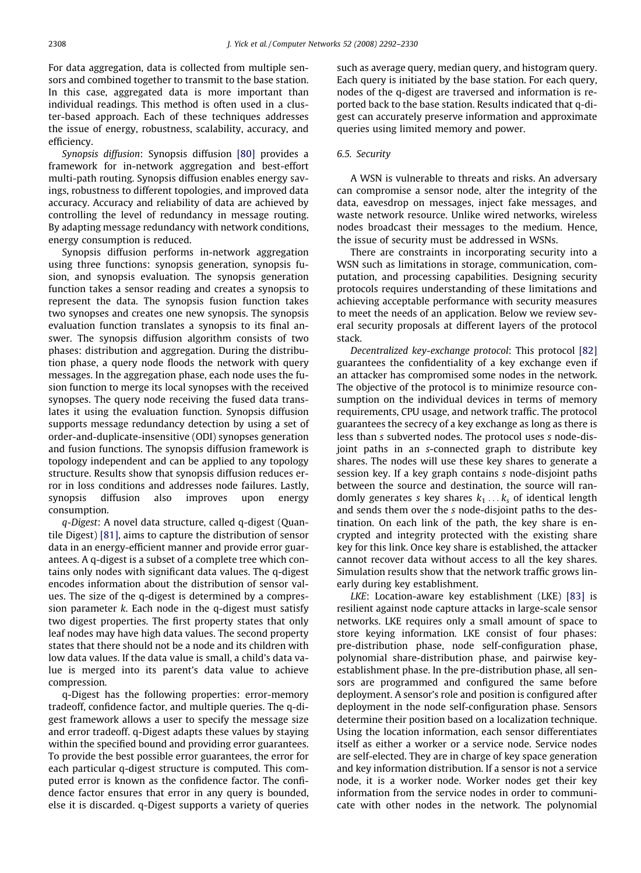For data aggregation, data is collected from multiple sensors and combined together to transmit to the base station. In this case, aggregated data is more important than individual readings. This method is often used in a cluster-based approach. Each of these techniques addresses the issue of energy, robustness, scalability, accuracy, and efficiency.

Synopsis diffusion: Synopsis diffusion [\[80\]](#page-36-0) provides a framework for in-network aggregation and best-effort multi-path routing. Synopsis diffusion enables energy savings, robustness to different topologies, and improved data accuracy. Accuracy and reliability of data are achieved by controlling the level of redundancy in message routing. By adapting message redundancy with network conditions, energy consumption is reduced.

Synopsis diffusion performs in-network aggregation using three functions: synopsis generation, synopsis fusion, and synopsis evaluation. The synopsis generation function takes a sensor reading and creates a synopsis to represent the data. The synopsis fusion function takes two synopses and creates one new synopsis. The synopsis evaluation function translates a synopsis to its final answer. The synopsis diffusion algorithm consists of two phases: distribution and aggregation. During the distribution phase, a query node floods the network with query messages. In the aggregation phase, each node uses the fusion function to merge its local synopses with the received synopses. The query node receiving the fused data translates it using the evaluation function. Synopsis diffusion supports message redundancy detection by using a set of order-and-duplicate-insensitive (ODI) synopses generation and fusion functions. The synopsis diffusion framework is topology independent and can be applied to any topology structure. Results show that synopsis diffusion reduces error in loss conditions and addresses node failures. Lastly, synopsis diffusion also improves upon energy consumption.

q-Digest: A novel data structure, called q-digest (Quantile Digest) [\[81\],](#page-36-0) aims to capture the distribution of sensor data in an energy-efficient manner and provide error guarantees. A q-digest is a subset of a complete tree which contains only nodes with significant data values. The q-digest encodes information about the distribution of sensor values. The size of the q-digest is determined by a compression parameter k. Each node in the q-digest must satisfy two digest properties. The first property states that only leaf nodes may have high data values. The second property states that there should not be a node and its children with low data values. If the data value is small, a child's data value is merged into its parent's data value to achieve compression.

q-Digest has the following properties: error-memory tradeoff, confidence factor, and multiple queries. The q-digest framework allows a user to specify the message size and error tradeoff. q-Digest adapts these values by staying within the specified bound and providing error guarantees. To provide the best possible error guarantees, the error for each particular q-digest structure is computed. This computed error is known as the confidence factor. The confidence factor ensures that error in any query is bounded, else it is discarded. q-Digest supports a variety of queries

such as average query, median query, and histogram query. Each query is initiated by the base station. For each query, nodes of the q-digest are traversed and information is reported back to the base station. Results indicated that q-digest can accurately preserve information and approximate queries using limited memory and power.

# 6.5. Security

A WSN is vulnerable to threats and risks. An adversary can compromise a sensor node, alter the integrity of the data, eavesdrop on messages, inject fake messages, and waste network resource. Unlike wired networks, wireless nodes broadcast their messages to the medium. Hence, the issue of security must be addressed in WSNs.

There are constraints in incorporating security into a WSN such as limitations in storage, communication, computation, and processing capabilities. Designing security protocols requires understanding of these limitations and achieving acceptable performance with security measures to meet the needs of an application. Below we review several security proposals at different layers of the protocol stack.

Decentralized key-exchange protocol: This protocol [\[82\]](#page-36-0) guarantees the confidentiality of a key exchange even if an attacker has compromised some nodes in the network. The objective of the protocol is to minimize resource consumption on the individual devices in terms of memory requirements, CPU usage, and network traffic. The protocol guarantees the secrecy of a key exchange as long as there is less than s subverted nodes. The protocol uses s node-disjoint paths in an s-connected graph to distribute key shares. The nodes will use these key shares to generate a session key. If a key graph contains s node-disjoint paths between the source and destination, the source will randomly generates s key shares  $k_1 \ldots k_s$  of identical length and sends them over the s node-disjoint paths to the destination. On each link of the path, the key share is encrypted and integrity protected with the existing share key for this link. Once key share is established, the attacker cannot recover data without access to all the key shares. Simulation results show that the network traffic grows linearly during key establishment.

LKE: Location-aware key establishment (LKE) [\[83\]](#page-36-0) is resilient against node capture attacks in large-scale sensor networks. LKE requires only a small amount of space to store keying information. LKE consist of four phases: pre-distribution phase, node self-configuration phase, polynomial share-distribution phase, and pairwise keyestablishment phase. In the pre-distribution phase, all sensors are programmed and configured the same before deployment. A sensor's role and position is configured after deployment in the node self-configuration phase. Sensors determine their position based on a localization technique. Using the location information, each sensor differentiates itself as either a worker or a service node. Service nodes are self-elected. They are in charge of key space generation and key information distribution. If a sensor is not a service node, it is a worker node. Worker nodes get their key information from the service nodes in order to communicate with other nodes in the network. The polynomial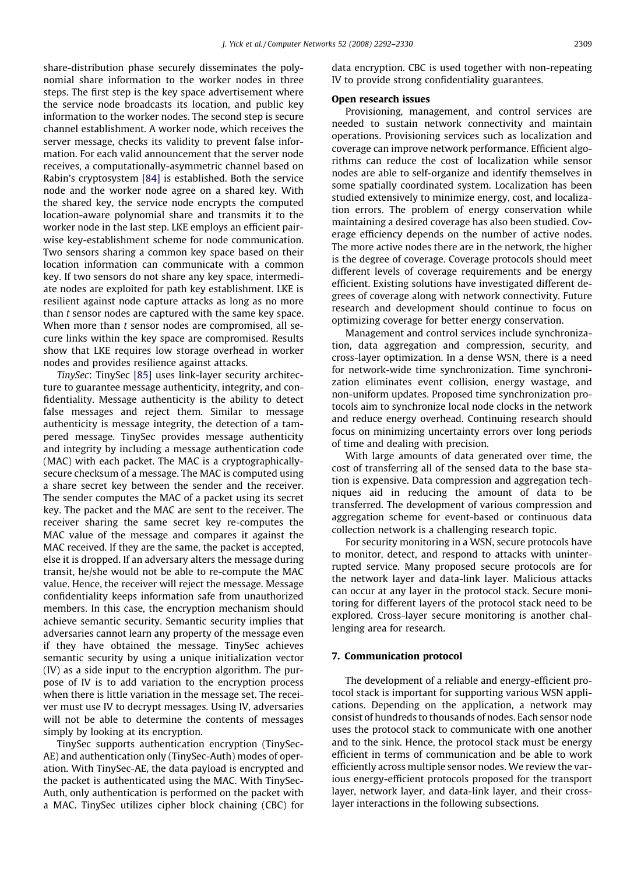share-distribution phase securely disseminates the polynomial share information to the worker nodes in three steps. The first step is the key space advertisement where the service node broadcasts its location, and public key information to the worker nodes. The second step is secure channel establishment. A worker node, which receives the server message, checks its validity to prevent false information. For each valid announcement that the server node receives, a computationally-asymmetric channel based on Rabin's cryptosystem [\[84\]](#page-36-0) is established. Both the service node and the worker node agree on a shared key. With the shared key, the service node encrypts the computed location-aware polynomial share and transmits it to the worker node in the last step. LKE employs an efficient pairwise key-establishment scheme for node communication. Two sensors sharing a common key space based on their location information can communicate with a common key. If two sensors do not share any key space, intermediate nodes are exploited for path key establishment. LKE is resilient against node capture attacks as long as no more than t sensor nodes are captured with the same key space. When more than t sensor nodes are compromised, all secure links within the key space are compromised. Results show that LKE requires low storage overhead in worker nodes and provides resilience against attacks.

TinySec: TinySec [\[85\]](#page-36-0) uses link-layer security architecture to guarantee message authenticity, integrity, and confidentiality. Message authenticity is the ability to detect false messages and reject them. Similar to message authenticity is message integrity, the detection of a tampered message. TinySec provides message authenticity and integrity by including a message authentication code (MAC) with each packet. The MAC is a cryptographicallysecure checksum of a message. The MAC is computed using a share secret key between the sender and the receiver. The sender computes the MAC of a packet using its secret key. The packet and the MAC are sent to the receiver. The receiver sharing the same secret key re-computes the MAC value of the message and compares it against the MAC received. If they are the same, the packet is accepted, else it is dropped. If an adversary alters the message during transit, he/she would not be able to re-compute the MAC value. Hence, the receiver will reject the message. Message confidentiality keeps information safe from unauthorized members. In this case, the encryption mechanism should achieve semantic security. Semantic security implies that adversaries cannot learn any property of the message even if they have obtained the message. TinySec achieves semantic security by using a unique initialization vector (IV) as a side input to the encryption algorithm. The purpose of IV is to add variation to the encryption process when there is little variation in the message set. The receiver must use IV to decrypt messages. Using IV, adversaries will not be able to determine the contents of messages simply by looking at its encryption.

TinySec supports authentication encryption (TinySec-AE) and authentication only (TinySec-Auth) modes of operation. With TinySec-AE, the data payload is encrypted and the packet is authenticated using the MAC. With TinySec-Auth, only authentication is performed on the packet with a MAC. TinySec utilizes cipher block chaining (CBC) for

data encryption. CBC is used together with non-repeating IV to provide strong confidentiality guarantees.

### Open research issues

Provisioning, management, and control services are needed to sustain network connectivity and maintain operations. Provisioning services such as localization and coverage can improve network performance. Efficient algorithms can reduce the cost of localization while sensor nodes are able to self-organize and identify themselves in some spatially coordinated system. Localization has been studied extensively to minimize energy, cost, and localization errors. The problem of energy conservation while maintaining a desired coverage has also been studied. Coverage efficiency depends on the number of active nodes. The more active nodes there are in the network, the higher is the degree of coverage. Coverage protocols should meet different levels of coverage requirements and be energy efficient. Existing solutions have investigated different degrees of coverage along with network connectivity. Future research and development should continue to focus on optimizing coverage for better energy conservation.

Management and control services include synchronization, data aggregation and compression, security, and cross-layer optimization. In a dense WSN, there is a need for network-wide time synchronization. Time synchronization eliminates event collision, energy wastage, and non-uniform updates. Proposed time synchronization protocols aim to synchronize local node clocks in the network and reduce energy overhead. Continuing research should focus on minimizing uncertainty errors over long periods of time and dealing with precision.

With large amounts of data generated over time, the cost of transferring all of the sensed data to the base station is expensive. Data compression and aggregation techniques aid in reducing the amount of data to be transferred. The development of various compression and aggregation scheme for event-based or continuous data collection network is a challenging research topic.

For security monitoring in a WSN, secure protocols have to monitor, detect, and respond to attacks with uninterrupted service. Many proposed secure protocols are for the network layer and data-link layer. Malicious attacks can occur at any layer in the protocol stack. Secure monitoring for different layers of the protocol stack need to be explored. Cross-layer secure monitoring is another challenging area for research.

# 7. Communication protocol

The development of a reliable and energy-efficient protocol stack is important for supporting various WSN applications. Depending on the application, a network may consist of hundreds to thousands of nodes. Each sensor node uses the protocol stack to communicate with one another and to the sink. Hence, the protocol stack must be energy efficient in terms of communication and be able to work efficiently across multiple sensor nodes. We review the various energy-efficient protocols proposed for the transport layer, network layer, and data-link layer, and their crosslayer interactions in the following subsections.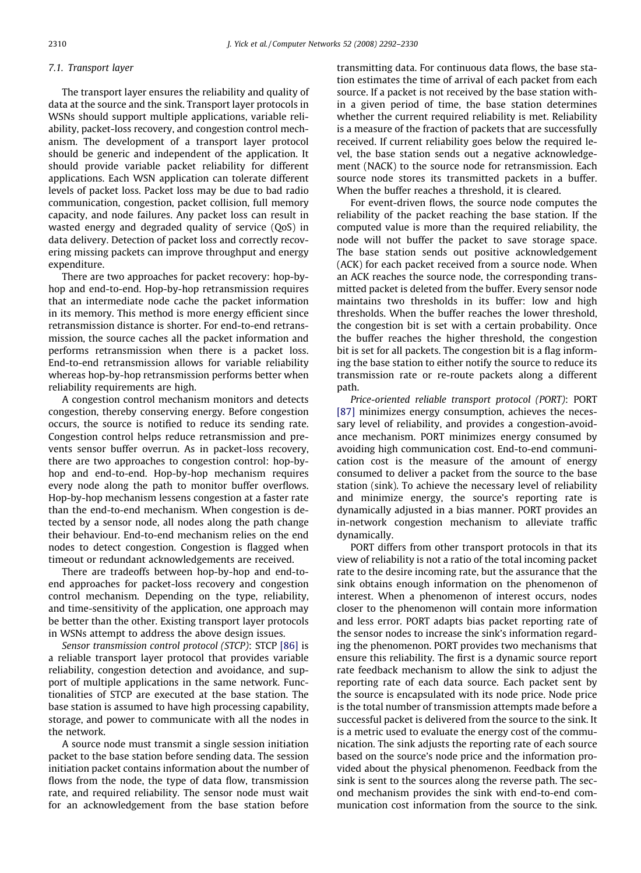# 7.1. Transport layer

The transport layer ensures the reliability and quality of data at the source and the sink. Transport layer protocols in WSNs should support multiple applications, variable reliability, packet-loss recovery, and congestion control mechanism. The development of a transport layer protocol should be generic and independent of the application. It should provide variable packet reliability for different applications. Each WSN application can tolerate different levels of packet loss. Packet loss may be due to bad radio communication, congestion, packet collision, full memory capacity, and node failures. Any packet loss can result in wasted energy and degraded quality of service (QoS) in data delivery. Detection of packet loss and correctly recovering missing packets can improve throughput and energy expenditure.

There are two approaches for packet recovery: hop-byhop and end-to-end. Hop-by-hop retransmission requires that an intermediate node cache the packet information in its memory. This method is more energy efficient since retransmission distance is shorter. For end-to-end retransmission, the source caches all the packet information and performs retransmission when there is a packet loss. End-to-end retransmission allows for variable reliability whereas hop-by-hop retransmission performs better when reliability requirements are high.

A congestion control mechanism monitors and detects congestion, thereby conserving energy. Before congestion occurs, the source is notified to reduce its sending rate. Congestion control helps reduce retransmission and prevents sensor buffer overrun. As in packet-loss recovery, there are two approaches to congestion control: hop-byhop and end-to-end. Hop-by-hop mechanism requires every node along the path to monitor buffer overflows. Hop-by-hop mechanism lessens congestion at a faster rate than the end-to-end mechanism. When congestion is detected by a sensor node, all nodes along the path change their behaviour. End-to-end mechanism relies on the end nodes to detect congestion. Congestion is flagged when timeout or redundant acknowledgements are received.

There are tradeoffs between hop-by-hop and end-toend approaches for packet-loss recovery and congestion control mechanism. Depending on the type, reliability, and time-sensitivity of the application, one approach may be better than the other. Existing transport layer protocols in WSNs attempt to address the above design issues.

Sensor transmission control protocol (STCP): STCP [\[86\]](#page-36-0) is a reliable transport layer protocol that provides variable reliability, congestion detection and avoidance, and support of multiple applications in the same network. Functionalities of STCP are executed at the base station. The base station is assumed to have high processing capability, storage, and power to communicate with all the nodes in the network.

A source node must transmit a single session initiation packet to the base station before sending data. The session initiation packet contains information about the number of flows from the node, the type of data flow, transmission rate, and required reliability. The sensor node must wait for an acknowledgement from the base station before

transmitting data. For continuous data flows, the base station estimates the time of arrival of each packet from each source. If a packet is not received by the base station within a given period of time, the base station determines whether the current required reliability is met. Reliability is a measure of the fraction of packets that are successfully received. If current reliability goes below the required level, the base station sends out a negative acknowledgement (NACK) to the source node for retransmission. Each source node stores its transmitted packets in a buffer. When the buffer reaches a threshold, it is cleared.

For event-driven flows, the source node computes the reliability of the packet reaching the base station. If the computed value is more than the required reliability, the node will not buffer the packet to save storage space. The base station sends out positive acknowledgement (ACK) for each packet received from a source node. When an ACK reaches the source node, the corresponding transmitted packet is deleted from the buffer. Every sensor node maintains two thresholds in its buffer: low and high thresholds. When the buffer reaches the lower threshold, the congestion bit is set with a certain probability. Once the buffer reaches the higher threshold, the congestion bit is set for all packets. The congestion bit is a flag informing the base station to either notify the source to reduce its transmission rate or re-route packets along a different path.

Price-oriented reliable transport protocol (PORT): PORT [\[87\]](#page-36-0) minimizes energy consumption, achieves the necessary level of reliability, and provides a congestion-avoidance mechanism. PORT minimizes energy consumed by avoiding high communication cost. End-to-end communication cost is the measure of the amount of energy consumed to deliver a packet from the source to the base station (sink). To achieve the necessary level of reliability and minimize energy, the source's reporting rate is dynamically adjusted in a bias manner. PORT provides an in-network congestion mechanism to alleviate traffic dynamically.

PORT differs from other transport protocols in that its view of reliability is not a ratio of the total incoming packet rate to the desire incoming rate, but the assurance that the sink obtains enough information on the phenomenon of interest. When a phenomenon of interest occurs, nodes closer to the phenomenon will contain more information and less error. PORT adapts bias packet reporting rate of the sensor nodes to increase the sink's information regarding the phenomenon. PORT provides two mechanisms that ensure this reliability. The first is a dynamic source report rate feedback mechanism to allow the sink to adjust the reporting rate of each data source. Each packet sent by the source is encapsulated with its node price. Node price is the total number of transmission attempts made before a successful packet is delivered from the source to the sink. It is a metric used to evaluate the energy cost of the communication. The sink adjusts the reporting rate of each source based on the source's node price and the information provided about the physical phenomenon. Feedback from the sink is sent to the sources along the reverse path. The second mechanism provides the sink with end-to-end communication cost information from the source to the sink.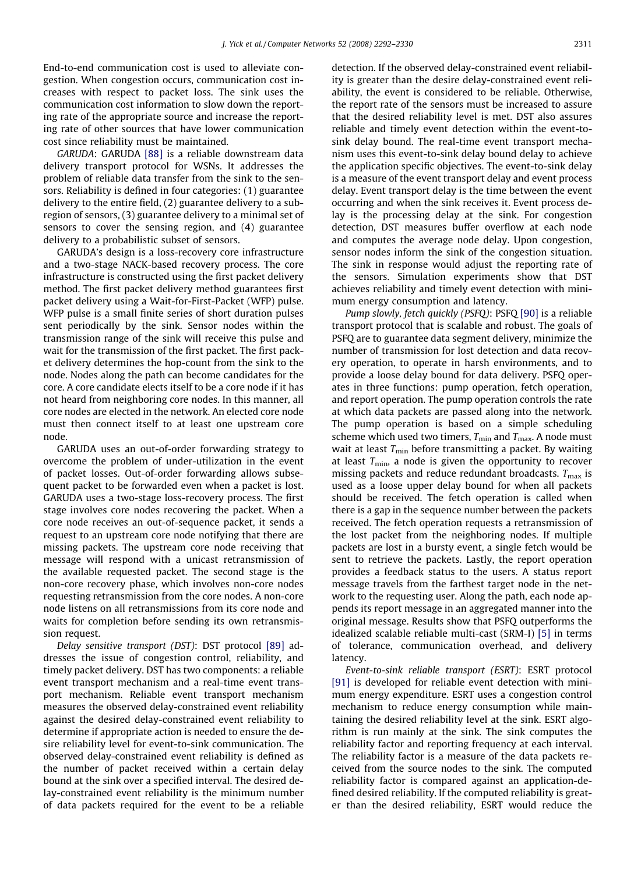End-to-end communication cost is used to alleviate congestion. When congestion occurs, communication cost increases with respect to packet loss. The sink uses the communication cost information to slow down the reporting rate of the appropriate source and increase the reporting rate of other sources that have lower communication cost since reliability must be maintained.

GARUDA: GARUDA [\[88\]](#page-36-0) is a reliable downstream data delivery transport protocol for WSNs. It addresses the problem of reliable data transfer from the sink to the sensors. Reliability is defined in four categories: (1) guarantee delivery to the entire field, (2) guarantee delivery to a subregion of sensors, (3) guarantee delivery to a minimal set of sensors to cover the sensing region, and (4) guarantee delivery to a probabilistic subset of sensors.

GARUDA's design is a loss-recovery core infrastructure and a two-stage NACK-based recovery process. The core infrastructure is constructed using the first packet delivery method. The first packet delivery method guarantees first packet delivery using a Wait-for-First-Packet (WFP) pulse. WFP pulse is a small finite series of short duration pulses sent periodically by the sink. Sensor nodes within the transmission range of the sink will receive this pulse and wait for the transmission of the first packet. The first packet delivery determines the hop-count from the sink to the node. Nodes along the path can become candidates for the core. A core candidate elects itself to be a core node if it has not heard from neighboring core nodes. In this manner, all core nodes are elected in the network. An elected core node must then connect itself to at least one upstream core node.

GARUDA uses an out-of-order forwarding strategy to overcome the problem of under-utilization in the event of packet losses. Out-of-order forwarding allows subsequent packet to be forwarded even when a packet is lost. GARUDA uses a two-stage loss-recovery process. The first stage involves core nodes recovering the packet. When a core node receives an out-of-sequence packet, it sends a request to an upstream core node notifying that there are missing packets. The upstream core node receiving that message will respond with a unicast retransmission of the available requested packet. The second stage is the non-core recovery phase, which involves non-core nodes requesting retransmission from the core nodes. A non-core node listens on all retransmissions from its core node and waits for completion before sending its own retransmission request.

Delay sensitive transport (DST): DST protocol [\[89\]](#page-36-0) addresses the issue of congestion control, reliability, and timely packet delivery. DST has two components: a reliable event transport mechanism and a real-time event transport mechanism. Reliable event transport mechanism measures the observed delay-constrained event reliability against the desired delay-constrained event reliability to determine if appropriate action is needed to ensure the desire reliability level for event-to-sink communication. The observed delay-constrained event reliability is defined as the number of packet received within a certain delay bound at the sink over a specified interval. The desired delay-constrained event reliability is the minimum number of data packets required for the event to be a reliable

detection. If the observed delay-constrained event reliability is greater than the desire delay-constrained event reliability, the event is considered to be reliable. Otherwise, the report rate of the sensors must be increased to assure that the desired reliability level is met. DST also assures reliable and timely event detection within the event-tosink delay bound. The real-time event transport mechanism uses this event-to-sink delay bound delay to achieve the application specific objectives. The event-to-sink delay is a measure of the event transport delay and event process delay. Event transport delay is the time between the event occurring and when the sink receives it. Event process delay is the processing delay at the sink. For congestion detection, DST measures buffer overflow at each node and computes the average node delay. Upon congestion, sensor nodes inform the sink of the congestion situation. The sink in response would adjust the reporting rate of the sensors. Simulation experiments show that DST achieves reliability and timely event detection with minimum energy consumption and latency.

Pump slowly, fetch quickly (PSFQ): PSFQ [\[90\]](#page-36-0) is a reliable transport protocol that is scalable and robust. The goals of PSFQ are to guarantee data segment delivery, minimize the number of transmission for lost detection and data recovery operation, to operate in harsh environments, and to provide a loose delay bound for data delivery. PSFQ operates in three functions: pump operation, fetch operation, and report operation. The pump operation controls the rate at which data packets are passed along into the network. The pump operation is based on a simple scheduling scheme which used two timers,  $T_{\text{min}}$  and  $T_{\text{max}}$ . A node must wait at least  $T_{\min}$  before transmitting a packet. By waiting at least  $T_{\text{min}}$ , a node is given the opportunity to recover missing packets and reduce redundant broadcasts.  $T_{\text{max}}$  is used as a loose upper delay bound for when all packets should be received. The fetch operation is called when there is a gap in the sequence number between the packets received. The fetch operation requests a retransmission of the lost packet from the neighboring nodes. If multiple packets are lost in a bursty event, a single fetch would be sent to retrieve the packets. Lastly, the report operation provides a feedback status to the users. A status report message travels from the farthest target node in the network to the requesting user. Along the path, each node appends its report message in an aggregated manner into the original message. Results show that PSFQ outperforms the idealized scalable reliable multi-cast (SRM-I) [\[5\]](#page-35-0) in terms of tolerance, communication overhead, and delivery latency.

Event-to-sink reliable transport (ESRT): ESRT protocol [\[91\]](#page-36-0) is developed for reliable event detection with minimum energy expenditure. ESRT uses a congestion control mechanism to reduce energy consumption while maintaining the desired reliability level at the sink. ESRT algorithm is run mainly at the sink. The sink computes the reliability factor and reporting frequency at each interval. The reliability factor is a measure of the data packets received from the source nodes to the sink. The computed reliability factor is compared against an application-defined desired reliability. If the computed reliability is greater than the desired reliability, ESRT would reduce the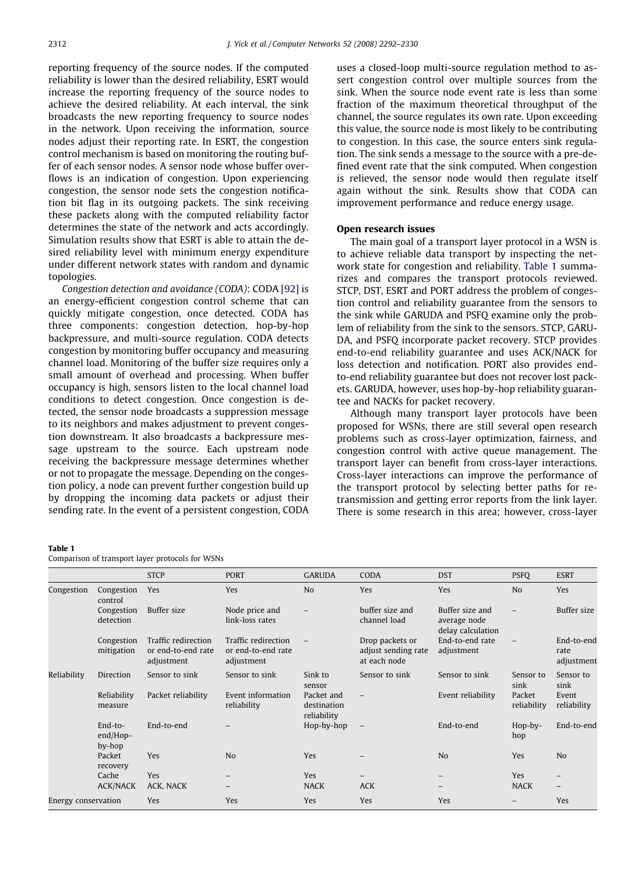reporting frequency of the source nodes. If the computed reliability is lower than the desired reliability, ESRT would increase the reporting frequency of the source nodes to achieve the desired reliability. At each interval, the sink broadcasts the new reporting frequency to source nodes in the network. Upon receiving the information, source nodes adjust their reporting rate. In ESRT, the congestion control mechanism is based on monitoring the routing buffer of each sensor nodes. A sensor node whose buffer overflows is an indication of congestion. Upon experiencing congestion, the sensor node sets the congestion notification bit flag in its outgoing packets. The sink receiving these packets along with the computed reliability factor determines the state of the network and acts accordingly. Simulation results show that ESRT is able to attain the desired reliability level with minimum energy expenditure under different network states with random and dynamic topologies.

Congestion detection and avoidance (CODA): CODA [\[92\]](#page-36-0) is an energy-efficient congestion control scheme that can quickly mitigate congestion, once detected. CODA has three components: congestion detection, hop-by-hop backpressure, and multi-source regulation. CODA detects congestion by monitoring buffer occupancy and measuring channel load. Monitoring of the buffer size requires only a small amount of overhead and processing. When buffer occupancy is high, sensors listen to the local channel load conditions to detect congestion. Once congestion is detected, the sensor node broadcasts a suppression message to its neighbors and makes adjustment to prevent congestion downstream. It also broadcasts a backpressure message upstream to the source. Each upstream node receiving the backpressure message determines whether or not to propagate the message. Depending on the congestion policy, a node can prevent further congestion build up by dropping the incoming data packets or adjust their sending rate. In the event of a persistent congestion, CODA uses a closed-loop multi-source regulation method to assert congestion control over multiple sources from the sink. When the source node event rate is less than some fraction of the maximum theoretical throughput of the channel, the source regulates its own rate. Upon exceeding this value, the source node is most likely to be contributing to congestion. In this case, the source enters sink regulation. The sink sends a message to the source with a pre-defined event rate that the sink computed. When congestion is relieved, the sensor node would then regulate itself again without the sink. Results show that CODA can improvement performance and reduce energy usage.

### Open research issues

The main goal of a transport layer protocol in a WSN is to achieve reliable data transport by inspecting the network state for congestion and reliability. Table 1 summarizes and compares the transport protocols reviewed. STCP, DST, ESRT and PORT address the problem of congestion control and reliability guarantee from the sensors to the sink while GARUDA and PSFQ examine only the problem of reliability from the sink to the sensors. STCP, GARU-DA, and PSFQ incorporate packet recovery. STCP provides end-to-end reliability guarantee and uses ACK/NACK for loss detection and notification. PORT also provides endto-end reliability guarantee but does not recover lost packets. GARUDA, however, uses hop-by-hop reliability guarantee and NACKs for packet recovery.

Although many transport layer protocols have been proposed for WSNs, there are still several open research problems such as cross-layer optimization, fairness, and congestion control with active queue management. The transport layer can benefit from cross-layer interactions. Cross-layer interactions can improve the performance of the transport protocol by selecting better paths for retransmission and getting error reports from the link layer. There is some research in this area; however, cross-layer

#### Table 1

Comparison of transport layer protocols for WSNs

|                     |                               | <b>STCP</b>                                             | <b>PORT</b>                                             | <b>GARUDA</b>                            | <b>CODA</b>                                            | <b>DST</b>                                           | <b>PSFQ</b>              | <b>ESRT</b>                      |
|---------------------|-------------------------------|---------------------------------------------------------|---------------------------------------------------------|------------------------------------------|--------------------------------------------------------|------------------------------------------------------|--------------------------|----------------------------------|
| Congestion          | Congestion<br>control         | <b>Yes</b>                                              | Yes                                                     | N <sub>o</sub>                           | <b>Yes</b>                                             | Yes                                                  | N <sub>o</sub>           | Yes                              |
|                     | Congestion<br>detection       | Buffer size                                             | Node price and<br>link-loss rates                       |                                          | buffer size and<br>channel load                        | Buffer size and<br>average node<br>delay calculation | $\equiv$                 | Buffer size                      |
|                     | Congestion<br>mitigation      | Traffic redirection<br>or end-to-end rate<br>adjustment | Traffic redirection<br>or end-to-end rate<br>adjustment |                                          | Drop packets or<br>adjust sending rate<br>at each node | End-to-end rate<br>adjustment                        | $\overline{\phantom{m}}$ | End-to-end<br>rate<br>adjustment |
| Reliability         | Direction                     | Sensor to sink                                          | Sensor to sink                                          | Sink to<br>sensor                        | Sensor to sink                                         | Sensor to sink                                       | Sensor to<br>sink        | Sensor to<br>sink                |
|                     | Reliability<br>measure        | Packet reliability                                      | Event information<br>reliability                        | Packet and<br>destination<br>reliability |                                                        | Event reliability                                    | Packet<br>reliability    | Event<br>reliability             |
|                     | End-to-<br>end/Hop-<br>by-hop | End-to-end                                              |                                                         | Hop-by-hop                               |                                                        | End-to-end                                           | Hop-by-<br>hop           | End-to-end                       |
|                     | Packet<br>recovery            | <b>Yes</b>                                              | N <sub>o</sub>                                          | <b>Yes</b>                               |                                                        | N <sub>o</sub>                                       | Yes                      | N <sub>o</sub>                   |
|                     | Cache                         | <b>Yes</b>                                              |                                                         | <b>Yes</b>                               |                                                        |                                                      | <b>Yes</b>               |                                  |
|                     | ACK/NACK                      | ACK, NACK                                               |                                                         | <b>NACK</b>                              | <b>ACK</b>                                             |                                                      | <b>NACK</b>              |                                  |
| Energy conservation |                               | Yes                                                     | Yes                                                     | Yes                                      | Yes                                                    | Yes                                                  | -                        | Yes                              |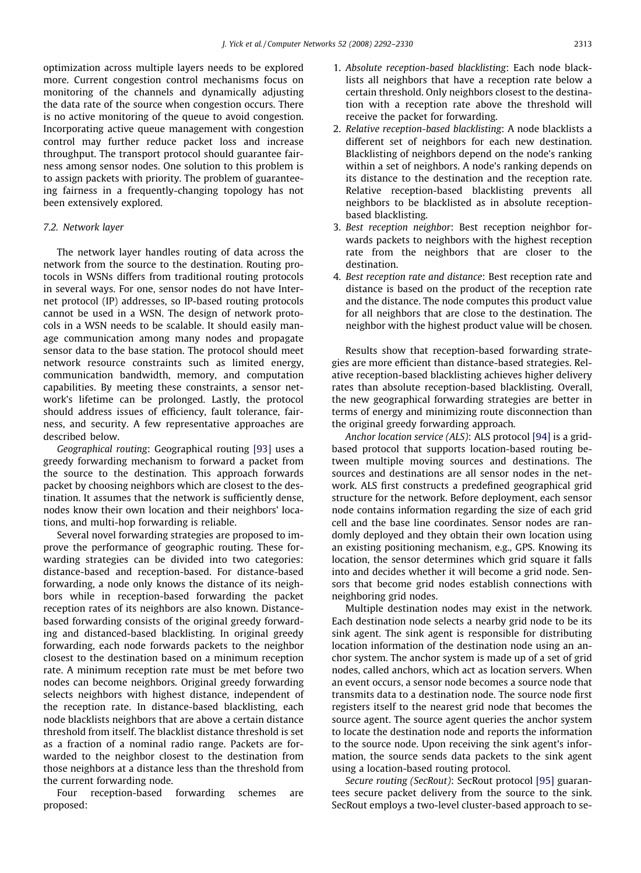optimization across multiple layers needs to be explored more. Current congestion control mechanisms focus on monitoring of the channels and dynamically adjusting the data rate of the source when congestion occurs. There is no active monitoring of the queue to avoid congestion. Incorporating active queue management with congestion control may further reduce packet loss and increase throughput. The transport protocol should guarantee fairness among sensor nodes. One solution to this problem is to assign packets with priority. The problem of guaranteeing fairness in a frequently-changing topology has not been extensively explored.

## 7.2. Network layer

The network layer handles routing of data across the network from the source to the destination. Routing protocols in WSNs differs from traditional routing protocols in several ways. For one, sensor nodes do not have Internet protocol (IP) addresses, so IP-based routing protocols cannot be used in a WSN. The design of network protocols in a WSN needs to be scalable. It should easily manage communication among many nodes and propagate sensor data to the base station. The protocol should meet network resource constraints such as limited energy, communication bandwidth, memory, and computation capabilities. By meeting these constraints, a sensor network's lifetime can be prolonged. Lastly, the protocol should address issues of efficiency, fault tolerance, fairness, and security. A few representative approaches are described below.

Geographical routing: Geographical routing [\[93\]](#page-36-0) uses a greedy forwarding mechanism to forward a packet from the source to the destination. This approach forwards packet by choosing neighbors which are closest to the destination. It assumes that the network is sufficiently dense, nodes know their own location and their neighbors' locations, and multi-hop forwarding is reliable.

Several novel forwarding strategies are proposed to improve the performance of geographic routing. These forwarding strategies can be divided into two categories: distance-based and reception-based. For distance-based forwarding, a node only knows the distance of its neighbors while in reception-based forwarding the packet reception rates of its neighbors are also known. Distancebased forwarding consists of the original greedy forwarding and distanced-based blacklisting. In original greedy forwarding, each node forwards packets to the neighbor closest to the destination based on a minimum reception rate. A minimum reception rate must be met before two nodes can become neighbors. Original greedy forwarding selects neighbors with highest distance, independent of the reception rate. In distance-based blacklisting, each node blacklists neighbors that are above a certain distance threshold from itself. The blacklist distance threshold is set as a fraction of a nominal radio range. Packets are forwarded to the neighbor closest to the destination from those neighbors at a distance less than the threshold from the current forwarding node.

Four reception-based forwarding schemes are proposed:

- 1. Absolute reception-based blacklisting: Each node blacklists all neighbors that have a reception rate below a certain threshold. Only neighbors closest to the destination with a reception rate above the threshold will receive the packet for forwarding.
- 2. Relative reception-based blacklisting: A node blacklists a different set of neighbors for each new destination. Blacklisting of neighbors depend on the node's ranking within a set of neighbors. A node's ranking depends on its distance to the destination and the reception rate. Relative reception-based blacklisting prevents all neighbors to be blacklisted as in absolute receptionbased blacklisting.
- 3. Best reception neighbor: Best reception neighbor forwards packets to neighbors with the highest reception rate from the neighbors that are closer to the destination.
- 4. Best reception rate and distance: Best reception rate and distance is based on the product of the reception rate and the distance. The node computes this product value for all neighbors that are close to the destination. The neighbor with the highest product value will be chosen.

Results show that reception-based forwarding strategies are more efficient than distance-based strategies. Relative reception-based blacklisting achieves higher delivery rates than absolute reception-based blacklisting. Overall, the new geographical forwarding strategies are better in terms of energy and minimizing route disconnection than the original greedy forwarding approach.

Anchor location service (ALS): ALS protocol [\[94\]](#page-36-0) is a gridbased protocol that supports location-based routing between multiple moving sources and destinations. The sources and destinations are all sensor nodes in the network. ALS first constructs a predefined geographical grid structure for the network. Before deployment, each sensor node contains information regarding the size of each grid cell and the base line coordinates. Sensor nodes are randomly deployed and they obtain their own location using an existing positioning mechanism, e.g., GPS. Knowing its location, the sensor determines which grid square it falls into and decides whether it will become a grid node. Sensors that become grid nodes establish connections with neighboring grid nodes.

Multiple destination nodes may exist in the network. Each destination node selects a nearby grid node to be its sink agent. The sink agent is responsible for distributing location information of the destination node using an anchor system. The anchor system is made up of a set of grid nodes, called anchors, which act as location servers. When an event occurs, a sensor node becomes a source node that transmits data to a destination node. The source node first registers itself to the nearest grid node that becomes the source agent. The source agent queries the anchor system to locate the destination node and reports the information to the source node. Upon receiving the sink agent's information, the source sends data packets to the sink agent using a location-based routing protocol.

Secure routing (SecRout): SecRout protocol [\[95\]](#page-36-0) guarantees secure packet delivery from the source to the sink. SecRout employs a two-level cluster-based approach to se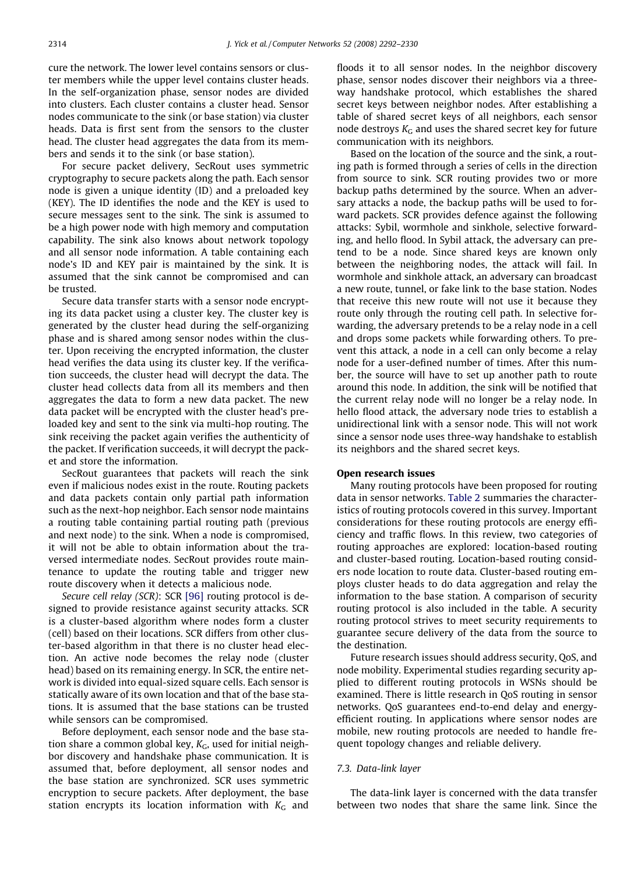cure the network. The lower level contains sensors or cluster members while the upper level contains cluster heads. In the self-organization phase, sensor nodes are divided into clusters. Each cluster contains a cluster head. Sensor nodes communicate to the sink (or base station) via cluster heads. Data is first sent from the sensors to the cluster head. The cluster head aggregates the data from its members and sends it to the sink (or base station).

For secure packet delivery, SecRout uses symmetric cryptography to secure packets along the path. Each sensor node is given a unique identity (ID) and a preloaded key (KEY). The ID identifies the node and the KEY is used to secure messages sent to the sink. The sink is assumed to be a high power node with high memory and computation capability. The sink also knows about network topology and all sensor node information. A table containing each node's ID and KEY pair is maintained by the sink. It is assumed that the sink cannot be compromised and can be trusted.

Secure data transfer starts with a sensor node encrypting its data packet using a cluster key. The cluster key is generated by the cluster head during the self-organizing phase and is shared among sensor nodes within the cluster. Upon receiving the encrypted information, the cluster head verifies the data using its cluster key. If the verification succeeds, the cluster head will decrypt the data. The cluster head collects data from all its members and then aggregates the data to form a new data packet. The new data packet will be encrypted with the cluster head's preloaded key and sent to the sink via multi-hop routing. The sink receiving the packet again verifies the authenticity of the packet. If verification succeeds, it will decrypt the packet and store the information.

SecRout guarantees that packets will reach the sink even if malicious nodes exist in the route. Routing packets and data packets contain only partial path information such as the next-hop neighbor. Each sensor node maintains a routing table containing partial routing path (previous and next node) to the sink. When a node is compromised, it will not be able to obtain information about the traversed intermediate nodes. SecRout provides route maintenance to update the routing table and trigger new route discovery when it detects a malicious node.

Secure cell relay (SCR): SCR [\[96\]](#page-37-0) routing protocol is designed to provide resistance against security attacks. SCR is a cluster-based algorithm where nodes form a cluster (cell) based on their locations. SCR differs from other cluster-based algorithm in that there is no cluster head election. An active node becomes the relay node (cluster head) based on its remaining energy. In SCR, the entire network is divided into equal-sized square cells. Each sensor is statically aware of its own location and that of the base stations. It is assumed that the base stations can be trusted while sensors can be compromised.

Before deployment, each sensor node and the base station share a common global key,  $K_G$ , used for initial neighbor discovery and handshake phase communication. It is assumed that, before deployment, all sensor nodes and the base station are synchronized. SCR uses symmetric encryption to secure packets. After deployment, the base station encrypts its location information with  $K_G$  and

floods it to all sensor nodes. In the neighbor discovery phase, sensor nodes discover their neighbors via a threeway handshake protocol, which establishes the shared secret keys between neighbor nodes. After establishing a table of shared secret keys of all neighbors, each sensor node destroys  $K_G$  and uses the shared secret key for future communication with its neighbors.

Based on the location of the source and the sink, a routing path is formed through a series of cells in the direction from source to sink. SCR routing provides two or more backup paths determined by the source. When an adversary attacks a node, the backup paths will be used to forward packets. SCR provides defence against the following attacks: Sybil, wormhole and sinkhole, selective forwarding, and hello flood. In Sybil attack, the adversary can pretend to be a node. Since shared keys are known only between the neighboring nodes, the attack will fail. In wormhole and sinkhole attack, an adversary can broadcast a new route, tunnel, or fake link to the base station. Nodes that receive this new route will not use it because they route only through the routing cell path. In selective forwarding, the adversary pretends to be a relay node in a cell and drops some packets while forwarding others. To prevent this attack, a node in a cell can only become a relay node for a user-defined number of times. After this number, the source will have to set up another path to route around this node. In addition, the sink will be notified that the current relay node will no longer be a relay node. In hello flood attack, the adversary node tries to establish a unidirectional link with a sensor node. This will not work since a sensor node uses three-way handshake to establish its neighbors and the shared secret keys.

# Open research issues

Many routing protocols have been proposed for routing data in sensor networks. [Table 2](#page-23-0) summaries the characteristics of routing protocols covered in this survey. Important considerations for these routing protocols are energy efficiency and traffic flows. In this review, two categories of routing approaches are explored: location-based routing and cluster-based routing. Location-based routing considers node location to route data. Cluster-based routing employs cluster heads to do data aggregation and relay the information to the base station. A comparison of security routing protocol is also included in the table. A security routing protocol strives to meet security requirements to guarantee secure delivery of the data from the source to the destination.

Future research issues should address security, QoS, and node mobility. Experimental studies regarding security applied to different routing protocols in WSNs should be examined. There is little research in QoS routing in sensor networks. QoS guarantees end-to-end delay and energyefficient routing. In applications where sensor nodes are mobile, new routing protocols are needed to handle frequent topology changes and reliable delivery.

# 7.3. Data-link layer

The data-link layer is concerned with the data transfer between two nodes that share the same link. Since the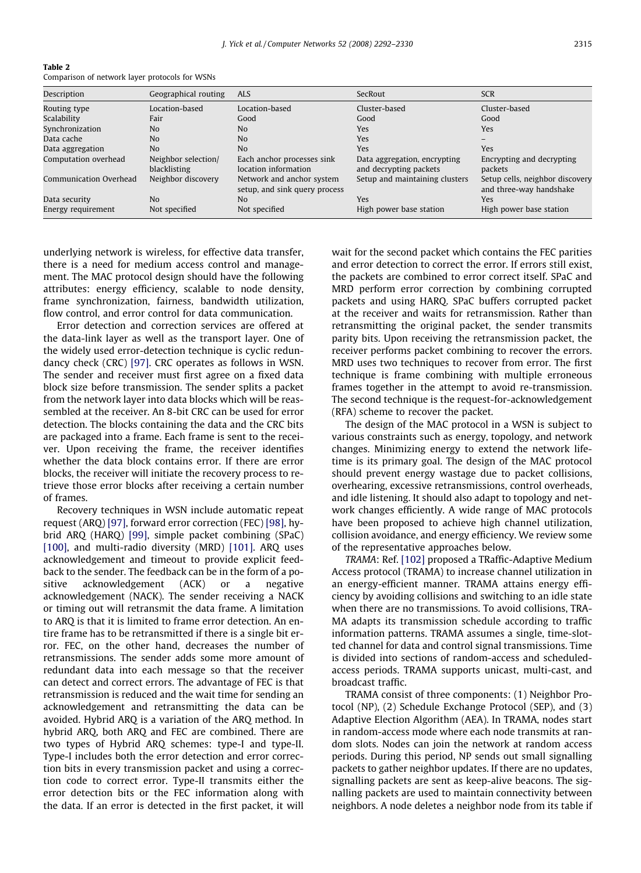| Table 4                                        |  |  |
|------------------------------------------------|--|--|
| Comparison of network layer protocols for WSNs |  |  |

<span id="page-23-0"></span>Table 2

| Description            | Geographical routing                | <b>ALS</b>                                                 | SecRout                                                | <b>SCR</b>                                                 |
|------------------------|-------------------------------------|------------------------------------------------------------|--------------------------------------------------------|------------------------------------------------------------|
| Routing type           | Location-based                      | Location-based                                             | Cluster-based                                          | Cluster-based                                              |
| Scalability            | Fair                                | Good                                                       | Good                                                   | Good                                                       |
| Synchronization        | N <sub>0</sub>                      | N <sub>0</sub>                                             | Yes                                                    | <b>Yes</b>                                                 |
| Data cache             | N <sub>0</sub>                      | N <sub>0</sub>                                             | <b>Yes</b>                                             | $\overline{\phantom{a}}$                                   |
| Data aggregation       | N <sub>0</sub>                      | N <sub>0</sub>                                             | Yes                                                    | <b>Yes</b>                                                 |
| Computation overhead   | Neighbor selection/<br>blacklisting | Each anchor processes sink<br>location information         | Data aggregation, encrypting<br>and decrypting packets | Encrypting and decrypting<br>packets                       |
| Communication Overhead | Neighbor discovery                  | Network and anchor system<br>setup, and sink query process | Setup and maintaining clusters                         | Setup cells, neighbor discovery<br>and three-way handshake |
| Data security          | N <sub>0</sub>                      | N <sub>0</sub>                                             | Yes                                                    | <b>Yes</b>                                                 |
| Energy requirement     | Not specified                       | Not specified                                              | High power base station                                | High power base station                                    |

underlying network is wireless, for effective data transfer, there is a need for medium access control and management. The MAC protocol design should have the following attributes: energy efficiency, scalable to node density, frame synchronization, fairness, bandwidth utilization, flow control, and error control for data communication.

Error detection and correction services are offered at the data-link layer as well as the transport layer. One of the widely used error-detection technique is cyclic redundancy check (CRC) [\[97\].](#page-37-0) CRC operates as follows in WSN. The sender and receiver must first agree on a fixed data block size before transmission. The sender splits a packet from the network layer into data blocks which will be reassembled at the receiver. An 8-bit CRC can be used for error detection. The blocks containing the data and the CRC bits are packaged into a frame. Each frame is sent to the receiver. Upon receiving the frame, the receiver identifies whether the data block contains error. If there are error blocks, the receiver will initiate the recovery process to retrieve those error blocks after receiving a certain number of frames.

Recovery techniques in WSN include automatic repeat request (ARQ) [\[97\],](#page-37-0) forward error correction (FEC) [\[98\]](#page-37-0), hybrid ARQ (HARQ) [\[99\]](#page-37-0), simple packet combining (SPaC) [\[100\],](#page-37-0) and multi-radio diversity (MRD) [\[101\].](#page-37-0) ARO uses acknowledgement and timeout to provide explicit feedback to the sender. The feedback can be in the form of a positive acknowledgement (ACK) or a negative acknowledgement (NACK). The sender receiving a NACK or timing out will retransmit the data frame. A limitation to ARQ is that it is limited to frame error detection. An entire frame has to be retransmitted if there is a single bit error. FEC, on the other hand, decreases the number of retransmissions. The sender adds some more amount of redundant data into each message so that the receiver can detect and correct errors. The advantage of FEC is that retransmission is reduced and the wait time for sending an acknowledgement and retransmitting the data can be avoided. Hybrid ARQ is a variation of the ARQ method. In hybrid ARQ, both ARQ and FEC are combined. There are two types of Hybrid ARQ schemes: type-I and type-II. Type-I includes both the error detection and error correction bits in every transmission packet and using a correction code to correct error. Type-II transmits either the error detection bits or the FEC information along with the data. If an error is detected in the first packet, it will

wait for the second packet which contains the FEC parities and error detection to correct the error. If errors still exist, the packets are combined to error correct itself. SPaC and MRD perform error correction by combining corrupted packets and using HARQ. SPaC buffers corrupted packet at the receiver and waits for retransmission. Rather than retransmitting the original packet, the sender transmits parity bits. Upon receiving the retransmission packet, the receiver performs packet combining to recover the errors. MRD uses two techniques to recover from error. The first technique is frame combining with multiple erroneous frames together in the attempt to avoid re-transmission. The second technique is the request-for-acknowledgement (RFA) scheme to recover the packet.

The design of the MAC protocol in a WSN is subject to various constraints such as energy, topology, and network changes. Minimizing energy to extend the network lifetime is its primary goal. The design of the MAC protocol should prevent energy wastage due to packet collisions, overhearing, excessive retransmissions, control overheads, and idle listening. It should also adapt to topology and network changes efficiently. A wide range of MAC protocols have been proposed to achieve high channel utilization, collision avoidance, and energy efficiency. We review some of the representative approaches below.

TRAMA: Ref. [\[102\]](#page-37-0) proposed a TRaffic-Adaptive Medium Access protocol (TRAMA) to increase channel utilization in an energy-efficient manner. TRAMA attains energy efficiency by avoiding collisions and switching to an idle state when there are no transmissions. To avoid collisions, TRA-MA adapts its transmission schedule according to traffic information patterns. TRAMA assumes a single, time-slotted channel for data and control signal transmissions. Time is divided into sections of random-access and scheduledaccess periods. TRAMA supports unicast, multi-cast, and broadcast traffic.

TRAMA consist of three components: (1) Neighbor Protocol (NP), (2) Schedule Exchange Protocol (SEP), and (3) Adaptive Election Algorithm (AEA). In TRAMA, nodes start in random-access mode where each node transmits at random slots. Nodes can join the network at random access periods. During this period, NP sends out small signalling packets to gather neighbor updates. If there are no updates, signalling packets are sent as keep-alive beacons. The signalling packets are used to maintain connectivity between neighbors. A node deletes a neighbor node from its table if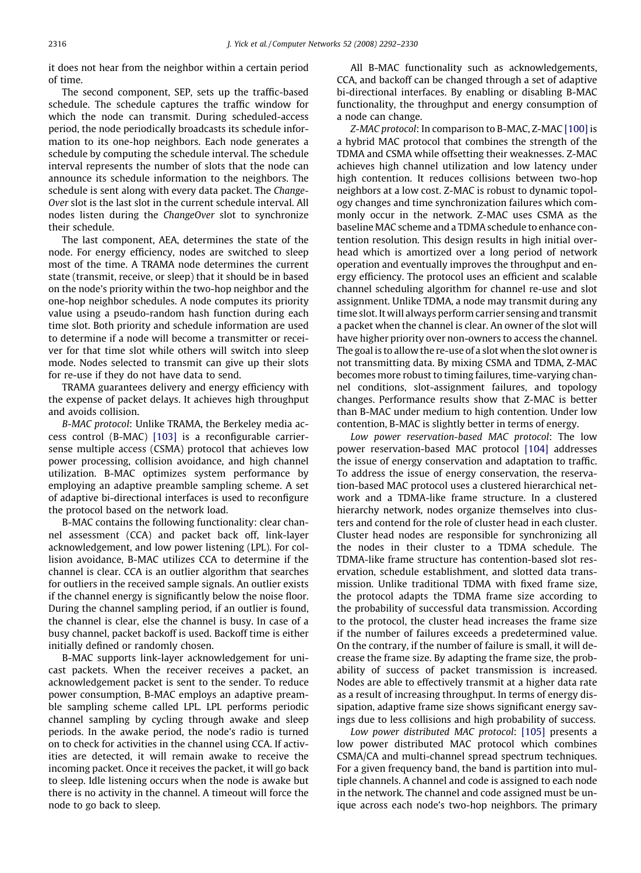it does not hear from the neighbor within a certain period of time.

The second component, SEP, sets up the traffic-based schedule. The schedule captures the traffic window for which the node can transmit. During scheduled-access period, the node periodically broadcasts its schedule information to its one-hop neighbors. Each node generates a schedule by computing the schedule interval. The schedule interval represents the number of slots that the node can announce its schedule information to the neighbors. The schedule is sent along with every data packet. The Change-Over slot is the last slot in the current schedule interval. All nodes listen during the ChangeOver slot to synchronize their schedule.

The last component, AEA, determines the state of the node. For energy efficiency, nodes are switched to sleep most of the time. A TRAMA node determines the current state (transmit, receive, or sleep) that it should be in based on the node's priority within the two-hop neighbor and the one-hop neighbor schedules. A node computes its priority value using a pseudo-random hash function during each time slot. Both priority and schedule information are used to determine if a node will become a transmitter or receiver for that time slot while others will switch into sleep mode. Nodes selected to transmit can give up their slots for re-use if they do not have data to send.

TRAMA guarantees delivery and energy efficiency with the expense of packet delays. It achieves high throughput and avoids collision.

B-MAC protocol: Unlike TRAMA, the Berkeley media access control (B-MAC) [\[103\]](#page-37-0) is a reconfigurable carriersense multiple access (CSMA) protocol that achieves low power processing, collision avoidance, and high channel utilization. B-MAC optimizes system performance by employing an adaptive preamble sampling scheme. A set of adaptive bi-directional interfaces is used to reconfigure the protocol based on the network load.

B-MAC contains the following functionality: clear channel assessment (CCA) and packet back off, link-layer acknowledgement, and low power listening (LPL). For collision avoidance, B-MAC utilizes CCA to determine if the channel is clear. CCA is an outlier algorithm that searches for outliers in the received sample signals. An outlier exists if the channel energy is significantly below the noise floor. During the channel sampling period, if an outlier is found, the channel is clear, else the channel is busy. In case of a busy channel, packet backoff is used. Backoff time is either initially defined or randomly chosen.

B-MAC supports link-layer acknowledgement for unicast packets. When the receiver receives a packet, an acknowledgement packet is sent to the sender. To reduce power consumption, B-MAC employs an adaptive preamble sampling scheme called LPL. LPL performs periodic channel sampling by cycling through awake and sleep periods. In the awake period, the node's radio is turned on to check for activities in the channel using CCA. If activities are detected, it will remain awake to receive the incoming packet. Once it receives the packet, it will go back to sleep. Idle listening occurs when the node is awake but there is no activity in the channel. A timeout will force the node to go back to sleep.

All B-MAC functionality such as acknowledgements, CCA, and backoff can be changed through a set of adaptive bi-directional interfaces. By enabling or disabling B-MAC functionality, the throughput and energy consumption of a node can change.

Z-MAC protocol: In comparison to B-MAC, Z-MAC [\[100\]](#page-37-0) is a hybrid MAC protocol that combines the strength of the TDMA and CSMA while offsetting their weaknesses. Z-MAC achieves high channel utilization and low latency under high contention. It reduces collisions between two-hop neighbors at a low cost. Z-MAC is robust to dynamic topology changes and time synchronization failures which commonly occur in the network. Z-MAC uses CSMA as the baseline MAC scheme and a TDMA schedule to enhance contention resolution. This design results in high initial overhead which is amortized over a long period of network operation and eventually improves the throughput and energy efficiency. The protocol uses an efficient and scalable channel scheduling algorithm for channel re-use and slot assignment. Unlike TDMA, a node may transmit during any time slot. It will always perform carrier sensing and transmit a packet when the channel is clear. An owner of the slot will have higher priority over non-owners to access the channel. The goal is to allow the re-use of a slot when the slot owner is not transmitting data. By mixing CSMA and TDMA, Z-MAC becomes more robust to timing failures, time-varying channel conditions, slot-assignment failures, and topology changes. Performance results show that Z-MAC is better than B-MAC under medium to high contention. Under low contention, B-MAC is slightly better in terms of energy.

Low power reservation-based MAC protocol: The low power reservation-based MAC protocol [\[104\]](#page-37-0) addresses the issue of energy conservation and adaptation to traffic. To address the issue of energy conservation, the reservation-based MAC protocol uses a clustered hierarchical network and a TDMA-like frame structure. In a clustered hierarchy network, nodes organize themselves into clusters and contend for the role of cluster head in each cluster. Cluster head nodes are responsible for synchronizing all the nodes in their cluster to a TDMA schedule. The TDMA-like frame structure has contention-based slot reservation, schedule establishment, and slotted data transmission. Unlike traditional TDMA with fixed frame size, the protocol adapts the TDMA frame size according to the probability of successful data transmission. According to the protocol, the cluster head increases the frame size if the number of failures exceeds a predetermined value. On the contrary, if the number of failure is small, it will decrease the frame size. By adapting the frame size, the probability of success of packet transmission is increased. Nodes are able to effectively transmit at a higher data rate as a result of increasing throughput. In terms of energy dissipation, adaptive frame size shows significant energy savings due to less collisions and high probability of success.

Low power distributed MAC protocol: [\[105\]](#page-37-0) presents a low power distributed MAC protocol which combines CSMA/CA and multi-channel spread spectrum techniques. For a given frequency band, the band is partition into multiple channels. A channel and code is assigned to each node in the network. The channel and code assigned must be unique across each node's two-hop neighbors. The primary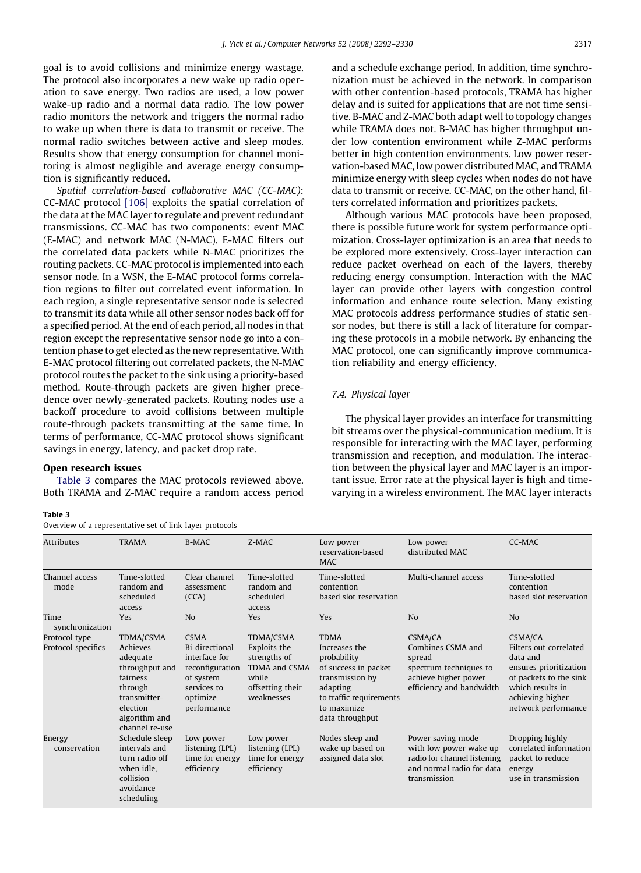goal is to avoid collisions and minimize energy wastage. The protocol also incorporates a new wake up radio operation to save energy. Two radios are used, a low power wake-up radio and a normal data radio. The low power radio monitors the network and triggers the normal radio to wake up when there is data to transmit or receive. The normal radio switches between active and sleep modes. Results show that energy consumption for channel monitoring is almost negligible and average energy consumption is significantly reduced.

Spatial correlation-based collaborative MAC (CC-MAC): CC-MAC protocol [\[106\]](#page-37-0) exploits the spatial correlation of the data at the MAC layer to regulate and prevent redundant transmissions. CC-MAC has two components: event MAC (E-MAC) and network MAC (N-MAC). E-MAC filters out the correlated data packets while N-MAC prioritizes the routing packets. CC-MAC protocol is implemented into each sensor node. In a WSN, the E-MAC protocol forms correlation regions to filter out correlated event information. In each region, a single representative sensor node is selected to transmit its data while all other sensor nodes back off for a specified period. At the end of each period, all nodes in that region except the representative sensor node go into a contention phase to get elected as the new representative. With E-MAC protocol filtering out correlated packets, the N-MAC protocol routes the packet to the sink using a priority-based method. Route-through packets are given higher precedence over newly-generated packets. Routing nodes use a backoff procedure to avoid collisions between multiple route-through packets transmitting at the same time. In terms of performance, CC-MAC protocol shows significant savings in energy, latency, and packet drop rate.

### Open research issues

Table 3 compares the MAC protocols reviewed above. Both TRAMA and Z-MAC require a random access period

## Table 3

Overview of a representative set of link-layer protocols

and a schedule exchange period. In addition, time synchronization must be achieved in the network. In comparison with other contention-based protocols, TRAMA has higher delay and is suited for applications that are not time sensitive. B-MAC and Z-MAC both adapt well to topology changes while TRAMA does not. B-MAC has higher throughput under low contention environment while Z-MAC performs better in high contention environments. Low power reservation-based MAC, low power distributed MAC, and TRAMA minimize energy with sleep cycles when nodes do not have data to transmit or receive. CC-MAC, on the other hand, filters correlated information and prioritizes packets.

Although various MAC protocols have been proposed, there is possible future work for system performance optimization. Cross-layer optimization is an area that needs to be explored more extensively. Cross-layer interaction can reduce packet overhead on each of the layers, thereby reducing energy consumption. Interaction with the MAC layer can provide other layers with congestion control information and enhance route selection. Many existing MAC protocols address performance studies of static sensor nodes, but there is still a lack of literature for comparing these protocols in a mobile network. By enhancing the MAC protocol, one can significantly improve communication reliability and energy efficiency.

# 7.4. Physical layer

The physical layer provides an interface for transmitting bit streams over the physical-communication medium. It is responsible for interacting with the MAC layer, performing transmission and reception, and modulation. The interaction between the physical layer and MAC layer is an important issue. Error rate at the physical layer is high and timevarying in a wireless environment. The MAC layer interacts

| <b>Attributes</b>       | <b>TRAMA</b>                                                                                                                 | <b>B-MAC</b>                                                                                              | Z-MAC                                                                                    | Low power<br>reservation-based<br><b>MAC</b>                                                                                                     | Low power<br>distributed MAC                                                                                            | CC-MAC                                                                                                                                                |
|-------------------------|------------------------------------------------------------------------------------------------------------------------------|-----------------------------------------------------------------------------------------------------------|------------------------------------------------------------------------------------------|--------------------------------------------------------------------------------------------------------------------------------------------------|-------------------------------------------------------------------------------------------------------------------------|-------------------------------------------------------------------------------------------------------------------------------------------------------|
| Channel access<br>mode  | Time-slotted<br>random and<br>scheduled<br>access                                                                            | Clear channel<br>assessment<br>(CCA)                                                                      | Time-slotted<br>random and<br>scheduled<br>access                                        | Time-slotted<br>contention<br>based slot reservation                                                                                             | Multi-channel access                                                                                                    | Time-slotted<br>contention<br>based slot reservation                                                                                                  |
| Time<br>synchronization | <b>Yes</b>                                                                                                                   | N <sub>o</sub>                                                                                            | Yes                                                                                      | Yes                                                                                                                                              | N <sub>o</sub>                                                                                                          | N <sub>o</sub>                                                                                                                                        |
| Protocol type           | TDMA/CSMA                                                                                                                    | <b>CSMA</b>                                                                                               | TDMA/CSMA                                                                                | <b>TDMA</b>                                                                                                                                      | CSMA/CA                                                                                                                 | CSMA/CA                                                                                                                                               |
| Protocol specifics      | Achieves<br>adequate<br>throughput and<br>fairness<br>through<br>transmitter-<br>election<br>algorithm and<br>channel re-use | Bi-directional<br>interface for<br>reconfiguration<br>of system<br>services to<br>optimize<br>performance | Exploits the<br>strengths of<br>TDMA and CSMA<br>while<br>offsetting their<br>weaknesses | Increases the<br>probability<br>of success in packet<br>transmission by<br>adapting<br>to traffic requirements<br>to maximize<br>data throughput | Combines CSMA and<br>spread<br>spectrum techniques to<br>achieve higher power<br>efficiency and bandwidth               | Filters out correlated<br>data and<br>ensures prioritization<br>of packets to the sink<br>which results in<br>achieving higher<br>network performance |
| Energy<br>conservation  | Schedule sleep<br>intervals and<br>turn radio off<br>when idle.<br>collision<br>avoidance<br>scheduling                      | Low power<br>listening (LPL)<br>time for energy<br>efficiency                                             | Low power<br>listening (LPL)<br>time for energy<br>efficiency                            | Nodes sleep and<br>wake up based on<br>assigned data slot                                                                                        | Power saving mode<br>with low power wake up<br>radio for channel listening<br>and normal radio for data<br>transmission | Dropping highly<br>correlated information<br>packet to reduce<br>energy<br>use in transmission                                                        |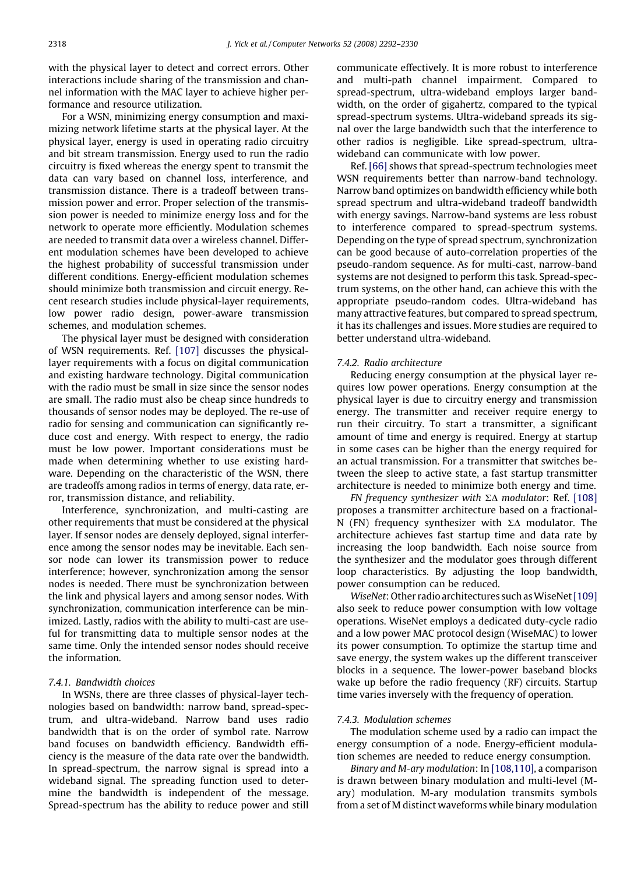with the physical layer to detect and correct errors. Other interactions include sharing of the transmission and channel information with the MAC layer to achieve higher performance and resource utilization.

For a WSN, minimizing energy consumption and maximizing network lifetime starts at the physical layer. At the physical layer, energy is used in operating radio circuitry and bit stream transmission. Energy used to run the radio circuitry is fixed whereas the energy spent to transmit the data can vary based on channel loss, interference, and transmission distance. There is a tradeoff between transmission power and error. Proper selection of the transmission power is needed to minimize energy loss and for the network to operate more efficiently. Modulation schemes are needed to transmit data over a wireless channel. Different modulation schemes have been developed to achieve the highest probability of successful transmission under different conditions. Energy-efficient modulation schemes should minimize both transmission and circuit energy. Recent research studies include physical-layer requirements, low power radio design, power-aware transmission schemes, and modulation schemes.

The physical layer must be designed with consideration of WSN requirements. Ref. [\[107\]](#page-37-0) discusses the physicallayer requirements with a focus on digital communication and existing hardware technology. Digital communication with the radio must be small in size since the sensor nodes are small. The radio must also be cheap since hundreds to thousands of sensor nodes may be deployed. The re-use of radio for sensing and communication can significantly reduce cost and energy. With respect to energy, the radio must be low power. Important considerations must be made when determining whether to use existing hardware. Depending on the characteristic of the WSN, there are tradeoffs among radios in terms of energy, data rate, error, transmission distance, and reliability.

Interference, synchronization, and multi-casting are other requirements that must be considered at the physical layer. If sensor nodes are densely deployed, signal interference among the sensor nodes may be inevitable. Each sensor node can lower its transmission power to reduce interference; however, synchronization among the sensor nodes is needed. There must be synchronization between the link and physical layers and among sensor nodes. With synchronization, communication interference can be minimized. Lastly, radios with the ability to multi-cast are useful for transmitting data to multiple sensor nodes at the same time. Only the intended sensor nodes should receive the information.

### 7.4.1. Bandwidth choices

In WSNs, there are three classes of physical-layer technologies based on bandwidth: narrow band, spread-spectrum, and ultra-wideband. Narrow band uses radio bandwidth that is on the order of symbol rate. Narrow band focuses on bandwidth efficiency. Bandwidth efficiency is the measure of the data rate over the bandwidth. In spread-spectrum, the narrow signal is spread into a wideband signal. The spreading function used to determine the bandwidth is independent of the message. Spread-spectrum has the ability to reduce power and still

communicate effectively. It is more robust to interference and multi-path channel impairment. Compared to spread-spectrum, ultra-wideband employs larger bandwidth, on the order of gigahertz, compared to the typical spread-spectrum systems. Ultra-wideband spreads its signal over the large bandwidth such that the interference to other radios is negligible. Like spread-spectrum, ultrawideband can communicate with low power.

Ref. [\[66\]](#page-36-0) shows that spread-spectrum technologies meet WSN requirements better than narrow-band technology. Narrow band optimizes on bandwidth efficiency while both spread spectrum and ultra-wideband tradeoff bandwidth with energy savings. Narrow-band systems are less robust to interference compared to spread-spectrum systems. Depending on the type of spread spectrum, synchronization can be good because of auto-correlation properties of the pseudo-random sequence. As for multi-cast, narrow-band systems are not designed to perform this task. Spread-spectrum systems, on the other hand, can achieve this with the appropriate pseudo-random codes. Ultra-wideband has many attractive features, but compared to spread spectrum, it has its challenges and issues. More studies are required to better understand ultra-wideband.

### 7.4.2. Radio architecture

Reducing energy consumption at the physical layer requires low power operations. Energy consumption at the physical layer is due to circuitry energy and transmission energy. The transmitter and receiver require energy to run their circuitry. To start a transmitter, a significant amount of time and energy is required. Energy at startup in some cases can be higher than the energy required for an actual transmission. For a transmitter that switches between the sleep to active state, a fast startup transmitter architecture is needed to minimize both energy and time.

FN frequency synthesizer with  $\Sigma\Delta$  modulator: Ref. [\[108\]](#page-37-0) proposes a transmitter architecture based on a fractional-N (FN) frequency synthesizer with  $\Sigma\Delta$  modulator. The architecture achieves fast startup time and data rate by increasing the loop bandwidth. Each noise source from the synthesizer and the modulator goes through different loop characteristics. By adjusting the loop bandwidth, power consumption can be reduced.

WiseNet: Other radio architectures such as WiseNet [\[109\]](#page-37-0) also seek to reduce power consumption with low voltage operations. WiseNet employs a dedicated duty-cycle radio and a low power MAC protocol design (WiseMAC) to lower its power consumption. To optimize the startup time and save energy, the system wakes up the different transceiver blocks in a sequence. The lower-power baseband blocks wake up before the radio frequency (RF) circuits. Startup time varies inversely with the frequency of operation.

# 7.4.3. Modulation schemes

The modulation scheme used by a radio can impact the energy consumption of a node. Energy-efficient modulation schemes are needed to reduce energy consumption.

Binary and M-ary modulation: In [\[108,110\],](#page-37-0) a comparison is drawn between binary modulation and multi-level (Mary) modulation. M-ary modulation transmits symbols from a set of M distinct waveforms while binary modulation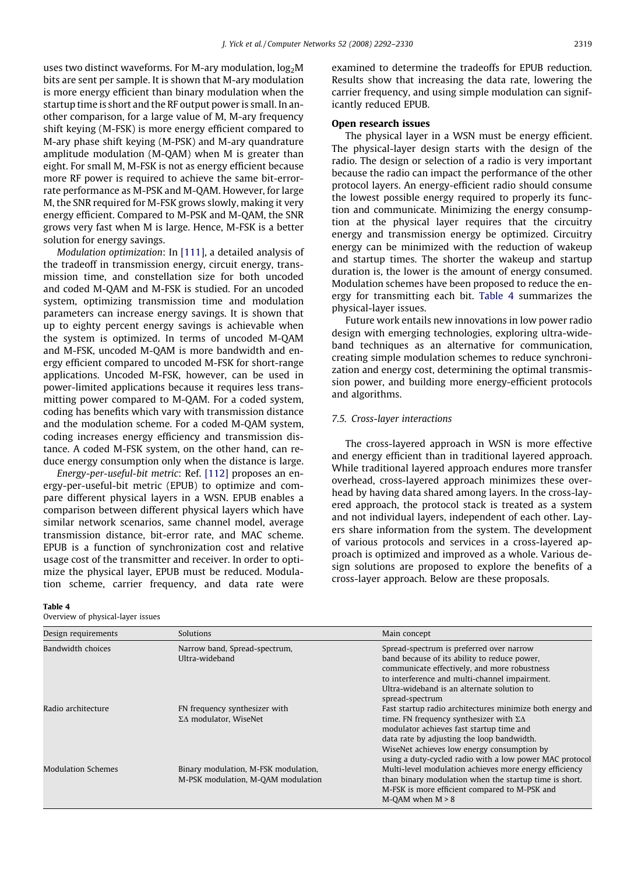uses two distinct waveforms. For M-ary modulation,  $log<sub>2</sub>M$ bits are sent per sample. It is shown that M-ary modulation is more energy efficient than binary modulation when the startup time is short and the RF output power is small. In another comparison, for a large value of M, M-ary frequency shift keying (M-FSK) is more energy efficient compared to M-ary phase shift keying (M-PSK) and M-ary quandrature amplitude modulation (M-QAM) when M is greater than eight. For small M, M-FSK is not as energy efficient because more RF power is required to achieve the same bit-errorrate performance as M-PSK and M-QAM. However, for large M, the SNR required for M-FSK grows slowly, making it very energy efficient. Compared to M-PSK and M-QAM, the SNR grows very fast when M is large. Hence, M-FSK is a better solution for energy savings.

Modulation optimization: In [\[111\],](#page-37-0) a detailed analysis of the tradeoff in transmission energy, circuit energy, transmission time, and constellation size for both uncoded and coded M-QAM and M-FSK is studied. For an uncoded system, optimizing transmission time and modulation parameters can increase energy savings. It is shown that up to eighty percent energy savings is achievable when the system is optimized. In terms of uncoded M-QAM and M-FSK, uncoded M-QAM is more bandwidth and energy efficient compared to uncoded M-FSK for short-range applications. Uncoded M-FSK, however, can be used in power-limited applications because it requires less transmitting power compared to M-QAM. For a coded system, coding has benefits which vary with transmission distance and the modulation scheme. For a coded M-QAM system, coding increases energy efficiency and transmission distance. A coded M-FSK system, on the other hand, can reduce energy consumption only when the distance is large.

Energy-per-useful-bit metric: Ref. [\[112\]](#page-37-0) proposes an energy-per-useful-bit metric (EPUB) to optimize and compare different physical layers in a WSN. EPUB enables a comparison between different physical layers which have similar network scenarios, same channel model, average transmission distance, bit-error rate, and MAC scheme. EPUB is a function of synchronization cost and relative usage cost of the transmitter and receiver. In order to optimize the physical layer, EPUB must be reduced. Modulation scheme, carrier frequency, and data rate were

### Table 4

Overview of physical-layer issues

examined to determine the tradeoffs for EPUB reduction. Results show that increasing the data rate, lowering the carrier frequency, and using simple modulation can significantly reduced EPUB.

# Open research issues

The physical layer in a WSN must be energy efficient. The physical-layer design starts with the design of the radio. The design or selection of a radio is very important because the radio can impact the performance of the other protocol layers. An energy-efficient radio should consume the lowest possible energy required to properly its function and communicate. Minimizing the energy consumption at the physical layer requires that the circuitry energy and transmission energy be optimized. Circuitry energy can be minimized with the reduction of wakeup and startup times. The shorter the wakeup and startup duration is, the lower is the amount of energy consumed. Modulation schemes have been proposed to reduce the energy for transmitting each bit. Table 4 summarizes the physical-layer issues.

Future work entails new innovations in low power radio design with emerging technologies, exploring ultra-wideband techniques as an alternative for communication, creating simple modulation schemes to reduce synchronization and energy cost, determining the optimal transmission power, and building more energy-efficient protocols and algorithms.

# 7.5. Cross-layer interactions

The cross-layered approach in WSN is more effective and energy efficient than in traditional layered approach. While traditional layered approach endures more transfer overhead, cross-layered approach minimizes these overhead by having data shared among layers. In the cross-layered approach, the protocol stack is treated as a system and not individual layers, independent of each other. Layers share information from the system. The development of various protocols and services in a cross-layered approach is optimized and improved as a whole. Various design solutions are proposed to explore the benefits of a cross-layer approach. Below are these proposals.

| Design requirements       | Solutions                                                                  | Main concept                                                                                                                                                                                                                                                                                                       |  |
|---------------------------|----------------------------------------------------------------------------|--------------------------------------------------------------------------------------------------------------------------------------------------------------------------------------------------------------------------------------------------------------------------------------------------------------------|--|
| Bandwidth choices         | Narrow band, Spread-spectrum,<br>Ultra-wideband                            | Spread-spectrum is preferred over narrow<br>band because of its ability to reduce power,<br>communicate effectively, and more robustness<br>to interference and multi-channel impairment.<br>Ultra-wideband is an alternate solution to<br>spread-spectrum                                                         |  |
| Radio architecture        | FN frequency synthesizer with<br>$\Sigma\Delta$ modulator. WiseNet         | Fast startup radio architectures minimize both energy and<br>time. FN frequency synthesizer with $\Sigma\Delta$<br>modulator achieves fast startup time and<br>data rate by adjusting the loop bandwidth.<br>WiseNet achieves low energy consumption by<br>using a duty-cycled radio with a low power MAC protocol |  |
| <b>Modulation Schemes</b> | Binary modulation, M-FSK modulation,<br>M-PSK modulation, M-QAM modulation | Multi-level modulation achieves more energy efficiency<br>than binary modulation when the startup time is short.<br>M-FSK is more efficient compared to M-PSK and<br>$M$ -QAM when $M > 8$                                                                                                                         |  |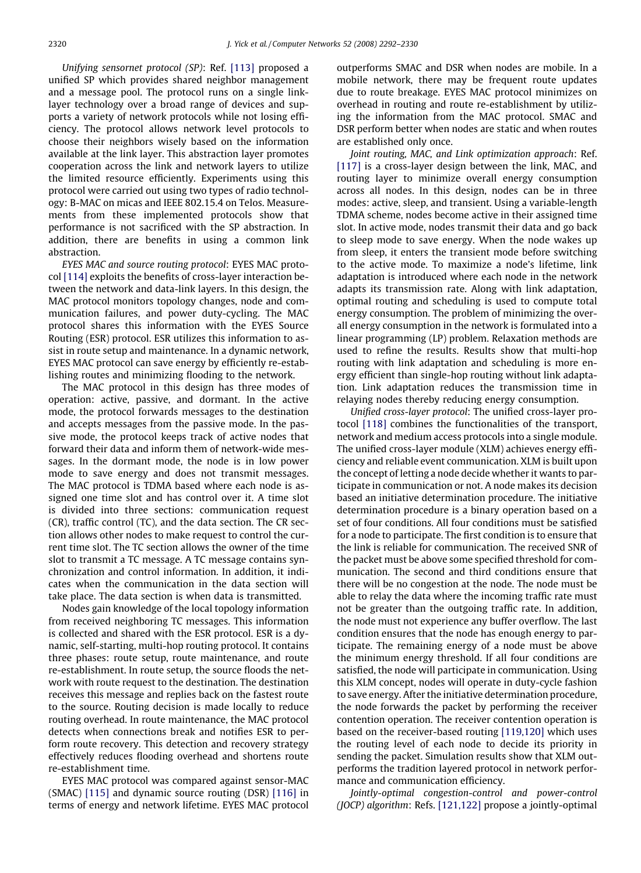Unifying sensornet protocol (SP): Ref. [\[113\]](#page-37-0) proposed a unified SP which provides shared neighbor management and a message pool. The protocol runs on a single linklayer technology over a broad range of devices and supports a variety of network protocols while not losing efficiency. The protocol allows network level protocols to choose their neighbors wisely based on the information available at the link layer. This abstraction layer promotes cooperation across the link and network layers to utilize the limited resource efficiently. Experiments using this protocol were carried out using two types of radio technology: B-MAC on micas and IEEE 802.15.4 on Telos. Measurements from these implemented protocols show that performance is not sacrificed with the SP abstraction. In addition, there are benefits in using a common link abstraction.

EYES MAC and source routing protocol: EYES MAC protocol [\[114\]](#page-37-0) exploits the benefits of cross-layer interaction between the network and data-link layers. In this design, the MAC protocol monitors topology changes, node and communication failures, and power duty-cycling. The MAC protocol shares this information with the EYES Source Routing (ESR) protocol. ESR utilizes this information to assist in route setup and maintenance. In a dynamic network, EYES MAC protocol can save energy by efficiently re-establishing routes and minimizing flooding to the network.

The MAC protocol in this design has three modes of operation: active, passive, and dormant. In the active mode, the protocol forwards messages to the destination and accepts messages from the passive mode. In the passive mode, the protocol keeps track of active nodes that forward their data and inform them of network-wide messages. In the dormant mode, the node is in low power mode to save energy and does not transmit messages. The MAC protocol is TDMA based where each node is assigned one time slot and has control over it. A time slot is divided into three sections: communication request (CR), traffic control (TC), and the data section. The CR section allows other nodes to make request to control the current time slot. The TC section allows the owner of the time slot to transmit a TC message. A TC message contains synchronization and control information. In addition, it indicates when the communication in the data section will take place. The data section is when data is transmitted.

Nodes gain knowledge of the local topology information from received neighboring TC messages. This information is collected and shared with the ESR protocol. ESR is a dynamic, self-starting, multi-hop routing protocol. It contains three phases: route setup, route maintenance, and route re-establishment. In route setup, the source floods the network with route request to the destination. The destination receives this message and replies back on the fastest route to the source. Routing decision is made locally to reduce routing overhead. In route maintenance, the MAC protocol detects when connections break and notifies ESR to perform route recovery. This detection and recovery strategy effectively reduces flooding overhead and shortens route re-establishment time.

EYES MAC protocol was compared against sensor-MAC (SMAC) [\[115\]](#page-37-0) and dynamic source routing (DSR) [\[116\]](#page-37-0) in terms of energy and network lifetime. EYES MAC protocol

outperforms SMAC and DSR when nodes are mobile. In a mobile network, there may be frequent route updates due to route breakage. EYES MAC protocol minimizes on overhead in routing and route re-establishment by utilizing the information from the MAC protocol. SMAC and DSR perform better when nodes are static and when routes are established only once.

Joint routing, MAC, and Link optimization approach: Ref. [\[117\]](#page-37-0) is a cross-layer design between the link, MAC, and routing layer to minimize overall energy consumption across all nodes. In this design, nodes can be in three modes: active, sleep, and transient. Using a variable-length TDMA scheme, nodes become active in their assigned time slot. In active mode, nodes transmit their data and go back to sleep mode to save energy. When the node wakes up from sleep, it enters the transient mode before switching to the active mode. To maximize a node's lifetime, link adaptation is introduced where each node in the network adapts its transmission rate. Along with link adaptation, optimal routing and scheduling is used to compute total energy consumption. The problem of minimizing the overall energy consumption in the network is formulated into a linear programming (LP) problem. Relaxation methods are used to refine the results. Results show that multi-hop routing with link adaptation and scheduling is more energy efficient than single-hop routing without link adaptation. Link adaptation reduces the transmission time in relaying nodes thereby reducing energy consumption.

Unified cross-layer protocol: The unified cross-layer protocol [\[118\]](#page-37-0) combines the functionalities of the transport, network and medium access protocols into a single module. The unified cross-layer module (XLM) achieves energy efficiency and reliable event communication. XLM is built upon the concept of letting a node decide whether it wants to participate in communication or not. A node makes its decision based an initiative determination procedure. The initiative determination procedure is a binary operation based on a set of four conditions. All four conditions must be satisfied for a node to participate. The first condition is to ensure that the link is reliable for communication. The received SNR of the packet must be above some specified threshold for communication. The second and third conditions ensure that there will be no congestion at the node. The node must be able to relay the data where the incoming traffic rate must not be greater than the outgoing traffic rate. In addition, the node must not experience any buffer overflow. The last condition ensures that the node has enough energy to participate. The remaining energy of a node must be above the minimum energy threshold. If all four conditions are satisfied, the node will participate in communication. Using this XLM concept, nodes will operate in duty-cycle fashion to save energy. After the initiative determination procedure, the node forwards the packet by performing the receiver contention operation. The receiver contention operation is based on the receiver-based routing [\[119,120\]](#page-37-0) which uses the routing level of each node to decide its priority in sending the packet. Simulation results show that XLM outperforms the tradition layered protocol in network performance and communication efficiency.

Jointly-optimal congestion-control and power-control (JOCP) algorithm: Refs. [\[121,122\]](#page-37-0) propose a jointly-optimal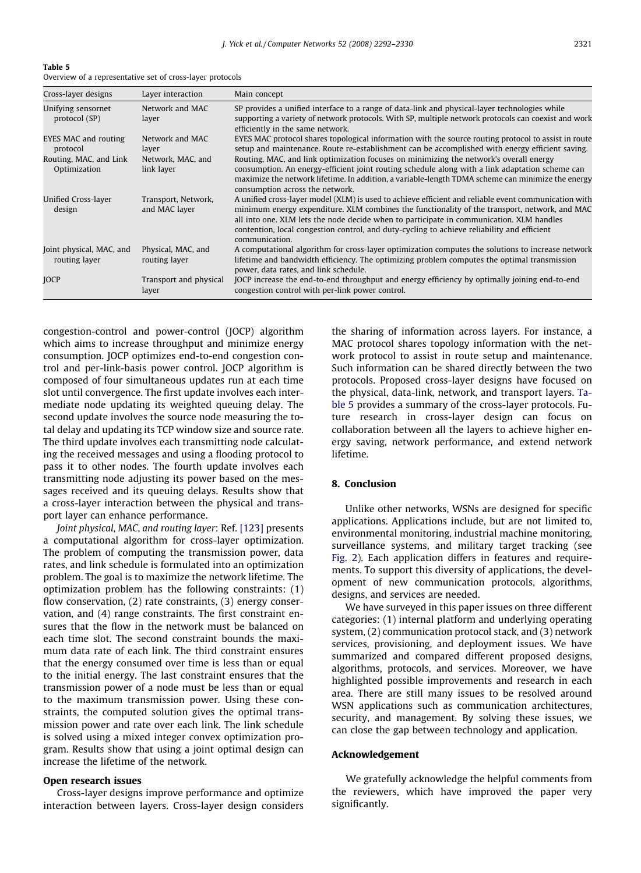### Table 5

Overview of a representative set of cross-layer protocols

| Cross-layer designs                       | Layer interaction                    | Main concept                                                                                                                                                                                                                                                                                                                                                                                                       |
|-------------------------------------------|--------------------------------------|--------------------------------------------------------------------------------------------------------------------------------------------------------------------------------------------------------------------------------------------------------------------------------------------------------------------------------------------------------------------------------------------------------------------|
| Unifying sensornet<br>protocol (SP)       | Network and MAC<br>layer             | SP provides a unified interface to a range of data-link and physical-layer technologies while<br>supporting a variety of network protocols. With SP, multiple network protocols can coexist and work<br>efficiently in the same network.                                                                                                                                                                           |
| EYES MAC and routing<br>protocol          | Network and MAC<br>layer             | EYES MAC protocol shares topological information with the source routing protocol to assist in route<br>setup and maintenance. Route re-establishment can be accomplished with energy efficient saving.                                                                                                                                                                                                            |
| Routing, MAC, and Link<br>Optimization    | Network, MAC, and<br>link layer      | Routing, MAC, and link optimization focuses on minimizing the network's overall energy<br>consumption. An energy-efficient joint routing schedule along with a link adaptation scheme can<br>maximize the network lifetime. In addition, a variable-length TDMA scheme can minimize the energy<br>consumption across the network.                                                                                  |
| Unified Cross-layer<br>design             | Transport, Network,<br>and MAC layer | A unified cross-layer model (XLM) is used to achieve efficient and reliable event communication with<br>minimum energy expenditure. XLM combines the functionality of the transport, network, and MAC<br>all into one. XLM lets the node decide when to participate in communication. XLM handles<br>contention, local congestion control, and duty-cycling to achieve reliability and efficient<br>communication. |
| Joint physical, MAC, and<br>routing layer | Physical, MAC, and<br>routing layer  | A computational algorithm for cross-layer optimization computes the solutions to increase network<br>lifetime and bandwidth efficiency. The optimizing problem computes the optimal transmission<br>power, data rates, and link schedule.                                                                                                                                                                          |
| <b>JOCP</b>                               | Transport and physical<br>layer      | JOCP increase the end-to-end throughput and energy efficiency by optimally joining end-to-end<br>congestion control with per-link power control.                                                                                                                                                                                                                                                                   |

congestion-control and power-control (JOCP) algorithm which aims to increase throughput and minimize energy consumption. JOCP optimizes end-to-end congestion control and per-link-basis power control. JOCP algorithm is composed of four simultaneous updates run at each time slot until convergence. The first update involves each intermediate node updating its weighted queuing delay. The second update involves the source node measuring the total delay and updating its TCP window size and source rate. The third update involves each transmitting node calculating the received messages and using a flooding protocol to pass it to other nodes. The fourth update involves each transmitting node adjusting its power based on the messages received and its queuing delays. Results show that a cross-layer interaction between the physical and transport layer can enhance performance.

Joint physical, MAC, and routing layer: Ref. [\[123\]](#page-37-0) presents a computational algorithm for cross-layer optimization. The problem of computing the transmission power, data rates, and link schedule is formulated into an optimization problem. The goal is to maximize the network lifetime. The optimization problem has the following constraints: (1) flow conservation, (2) rate constraints, (3) energy conservation, and (4) range constraints. The first constraint ensures that the flow in the network must be balanced on each time slot. The second constraint bounds the maximum data rate of each link. The third constraint ensures that the energy consumed over time is less than or equal to the initial energy. The last constraint ensures that the transmission power of a node must be less than or equal to the maximum transmission power. Using these constraints, the computed solution gives the optimal transmission power and rate over each link. The link schedule is solved using a mixed integer convex optimization program. Results show that using a joint optimal design can increase the lifetime of the network.

# Open research issues

Cross-layer designs improve performance and optimize interaction between layers. Cross-layer design considers

the sharing of information across layers. For instance, a MAC protocol shares topology information with the network protocol to assist in route setup and maintenance. Such information can be shared directly between the two protocols. Proposed cross-layer designs have focused on the physical, data-link, network, and transport layers. Table 5 provides a summary of the cross-layer protocols. Future research in cross-layer design can focus on collaboration between all the layers to achieve higher energy saving, network performance, and extend network lifetime.

### 8. Conclusion

Unlike other networks, WSNs are designed for specific applications. Applications include, but are not limited to, environmental monitoring, industrial machine monitoring, surveillance systems, and military target tracking (see [Fig. 2\)](#page-4-0). Each application differs in features and requirements. To support this diversity of applications, the development of new communication protocols, algorithms, designs, and services are needed.

We have surveyed in this paper issues on three different categories: (1) internal platform and underlying operating system, (2) communication protocol stack, and (3) network services, provisioning, and deployment issues. We have summarized and compared different proposed designs, algorithms, protocols, and services. Moreover, we have highlighted possible improvements and research in each area. There are still many issues to be resolved around WSN applications such as communication architectures, security, and management. By solving these issues, we can close the gap between technology and application.

### Acknowledgement

We gratefully acknowledge the helpful comments from the reviewers, which have improved the paper very significantly.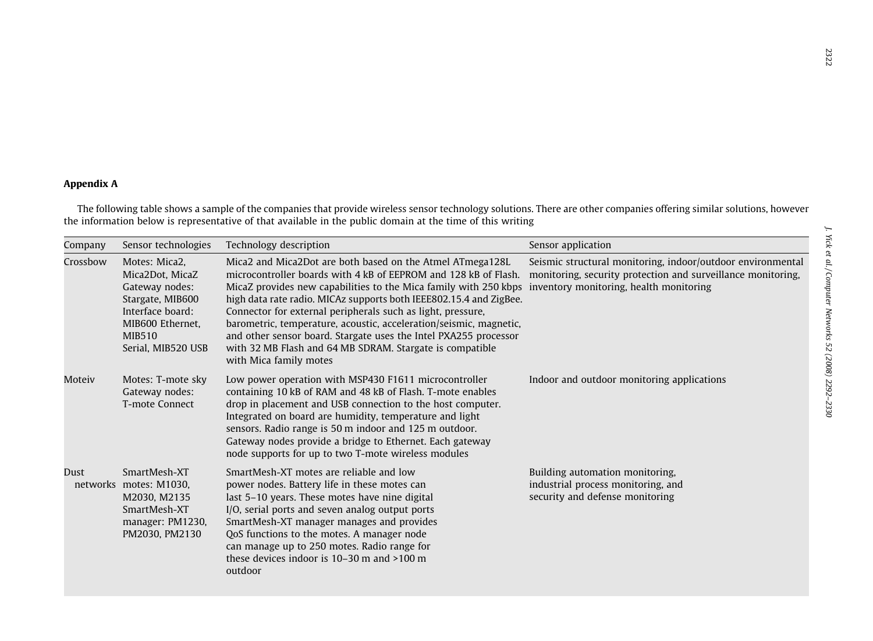# <span id="page-30-0"></span>Appendix A

The following table shows <sup>a</sup> sample of the companies that provide wireless sensor technology solutions. There are other companies offering similar solutions, however the information below is representative of that available in the public domain at the time of this writing

| Company  | Sensor technologies                                                                                                                                   | Technology description                                                                                                                                                                                                                                                                                                                                                                                                                                                                                                                                                                                        | Sensor application                                                                                                          |
|----------|-------------------------------------------------------------------------------------------------------------------------------------------------------|---------------------------------------------------------------------------------------------------------------------------------------------------------------------------------------------------------------------------------------------------------------------------------------------------------------------------------------------------------------------------------------------------------------------------------------------------------------------------------------------------------------------------------------------------------------------------------------------------------------|-----------------------------------------------------------------------------------------------------------------------------|
| Crossbow | Motes: Mica2.<br>Mica2Dot, MicaZ<br>Gateway nodes:<br>Stargate, MIB600<br>Interface board:<br>MIB600 Ethernet,<br><b>MIB510</b><br>Serial, MIB520 USB | Mica2 and Mica2Dot are both based on the Atmel ATmega128L<br>microcontroller boards with 4 kB of EEPROM and 128 kB of Flash.<br>MicaZ provides new capabilities to the Mica family with 250 kbps inventory monitoring, health monitoring<br>high data rate radio. MICAz supports both IEEE802.15.4 and ZigBee.<br>Connector for external peripherals such as light, pressure,<br>barometric, temperature, acoustic, acceleration/seismic, magnetic,<br>and other sensor board. Stargate uses the Intel PXA255 processor<br>with 32 MB Flash and 64 MB SDRAM. Stargate is compatible<br>with Mica family motes | Seismic structural monitoring, indoor/outdoor environmental<br>monitoring, security protection and surveillance monitoring, |
| Moteiv   | Motes: T-mote sky<br>Gateway nodes:<br>T-mote Connect                                                                                                 | Low power operation with MSP430 F1611 microcontroller<br>containing 10 kB of RAM and 48 kB of Flash. T-mote enables<br>drop in placement and USB connection to the host computer.<br>Integrated on board are humidity, temperature and light<br>sensors. Radio range is 50 m indoor and 125 m outdoor.<br>Gateway nodes provide a bridge to Ethernet. Each gateway<br>node supports for up to two T-mote wireless modules                                                                                                                                                                                     | Indoor and outdoor monitoring applications                                                                                  |
| Dust     | SmartMesh-XT<br>networks motes: M1030,<br>M2030, M2135<br>SmartMesh-XT<br>manager: PM1230,<br>PM2030, PM2130                                          | SmartMesh-XT motes are reliable and low<br>power nodes. Battery life in these motes can<br>last 5–10 years. These motes have nine digital<br>I/O, serial ports and seven analog output ports<br>SmartMesh-XT manager manages and provides<br>QoS functions to the motes. A manager node<br>can manage up to 250 motes. Radio range for<br>these devices indoor is $10-30$ m and $>100$ m<br>outdoor                                                                                                                                                                                                           | Building automation monitoring,<br>industrial process monitoring, and<br>security and defense monitoring                    |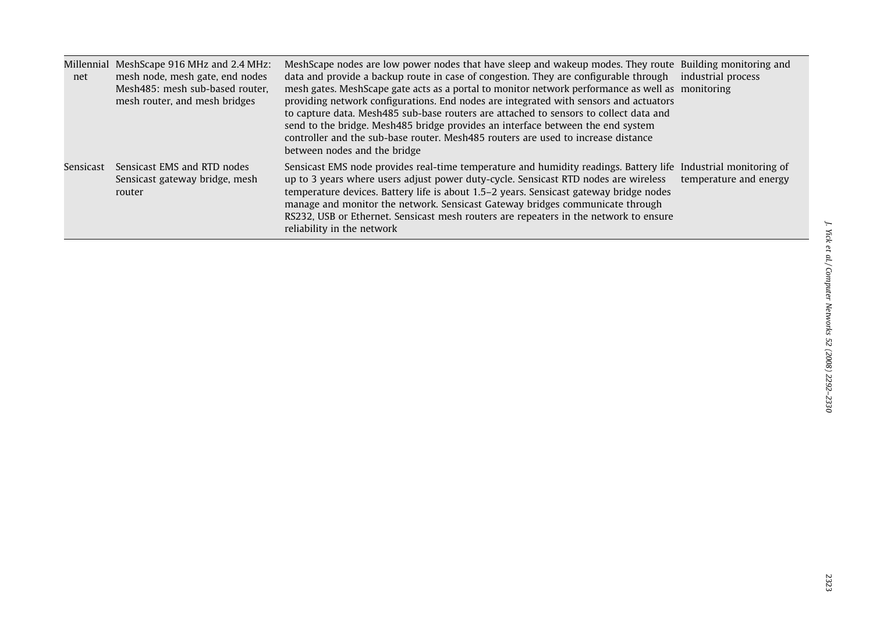|           | Millennial MeshScape 916 MHz and 2.4 MHz:                               | MeshScape nodes are low power nodes that have sleep and wakeup modes. They route Building monitoring and                                                                                                                                                                                                                                                                                                                                                                                                |                        |
|-----------|-------------------------------------------------------------------------|---------------------------------------------------------------------------------------------------------------------------------------------------------------------------------------------------------------------------------------------------------------------------------------------------------------------------------------------------------------------------------------------------------------------------------------------------------------------------------------------------------|------------------------|
| net       | mesh node, mesh gate, end nodes                                         | data and provide a backup route in case of congestion. They are configurable through                                                                                                                                                                                                                                                                                                                                                                                                                    | industrial process     |
|           | Mesh485: mesh sub-based router.                                         | mesh gates. MeshScape gate acts as a portal to monitor network performance as well as monitoring                                                                                                                                                                                                                                                                                                                                                                                                        |                        |
|           | mesh router, and mesh bridges                                           | providing network configurations. End nodes are integrated with sensors and actuators                                                                                                                                                                                                                                                                                                                                                                                                                   |                        |
|           |                                                                         | to capture data. Mesh485 sub-base routers are attached to sensors to collect data and                                                                                                                                                                                                                                                                                                                                                                                                                   |                        |
|           |                                                                         | send to the bridge. Mesh485 bridge provides an interface between the end system                                                                                                                                                                                                                                                                                                                                                                                                                         |                        |
|           |                                                                         | controller and the sub-base router. Mesh485 routers are used to increase distance                                                                                                                                                                                                                                                                                                                                                                                                                       |                        |
|           |                                                                         | between nodes and the bridge                                                                                                                                                                                                                                                                                                                                                                                                                                                                            |                        |
| Sensicast | Sensicast EMS and RTD nodes<br>Sensicast gateway bridge, mesh<br>router | Sensicast EMS node provides real-time temperature and humidity readings. Battery life Industrial monitoring of<br>up to 3 years where users adjust power duty-cycle. Sensicast RTD nodes are wireless<br>temperature devices. Battery life is about 1.5–2 years. Sensicast gateway bridge nodes<br>manage and monitor the network. Sensicast Gateway bridges communicate through<br>RS232, USB or Ethernet. Sensicast mesh routers are repeaters in the network to ensure<br>reliability in the network | temperature and energy |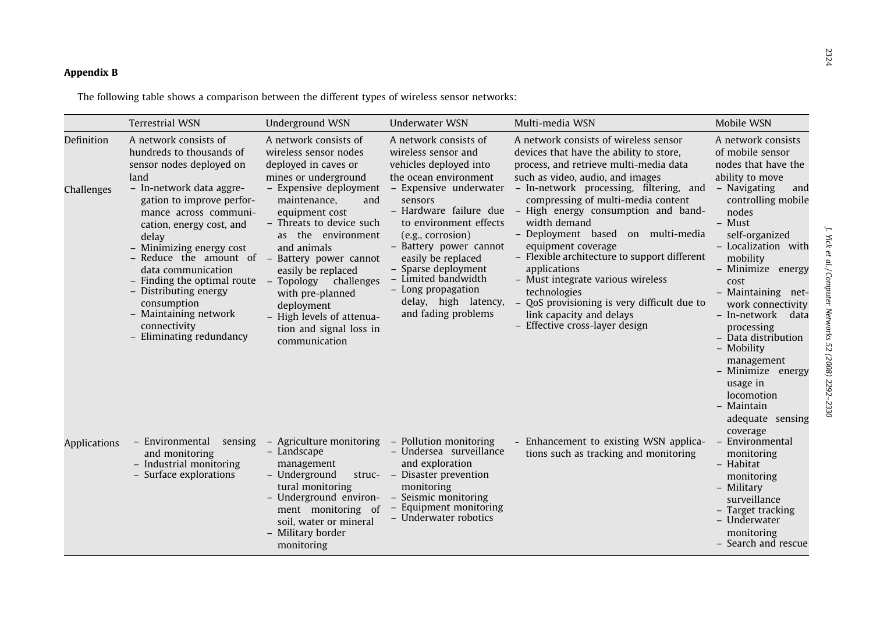# <span id="page-32-0"></span>Appendix B

The following table shows <sup>a</sup> comparison between the different types of wireless sensor networks:

|                     | <b>Terrestrial WSN</b>                                                                                                                                                                                                                                                                                                                 | Underground WSN                                                                                                                                                                                                                                                  | <b>Underwater WSN</b>                                                                                                                                                                                                                               | Multi-media WSN                                                                                                                                                                                                                                                                                                                                                                      | Mobile WSN                                                                                                                                                                                                                                                                                                                                                 |
|---------------------|----------------------------------------------------------------------------------------------------------------------------------------------------------------------------------------------------------------------------------------------------------------------------------------------------------------------------------------|------------------------------------------------------------------------------------------------------------------------------------------------------------------------------------------------------------------------------------------------------------------|-----------------------------------------------------------------------------------------------------------------------------------------------------------------------------------------------------------------------------------------------------|--------------------------------------------------------------------------------------------------------------------------------------------------------------------------------------------------------------------------------------------------------------------------------------------------------------------------------------------------------------------------------------|------------------------------------------------------------------------------------------------------------------------------------------------------------------------------------------------------------------------------------------------------------------------------------------------------------------------------------------------------------|
| Definition          | A network consists of<br>hundreds to thousands of<br>sensor nodes deployed on<br>land<br>- In-network data aggre-                                                                                                                                                                                                                      | A network consists of<br>wireless sensor nodes<br>deployed in caves or<br>mines or underground<br>- Expensive deployment                                                                                                                                         | A network consists of<br>wireless sensor and<br>vehicles deployed into<br>the ocean environment<br>- Expensive underwater                                                                                                                           | A network consists of wireless sensor<br>devices that have the ability to store,<br>process, and retrieve multi-media data<br>such as video, audio, and images<br>- In-network processing, filtering, and                                                                                                                                                                            | A network consists<br>of mobile sensor<br>nodes that have the<br>ability to move<br>- Navigating<br>and                                                                                                                                                                                                                                                    |
| Challenges          | gation to improve perfor-<br>mance across communi-<br>cation, energy cost, and<br>delay<br>- Minimizing energy cost<br>- Reduce the amount of - Battery power cannot<br>data communication<br>- Finding the optimal route<br>- Distributing energy<br>consumption<br>- Maintaining network<br>connectivity<br>- Eliminating redundancy | maintenance.<br>and<br>equipment cost<br>- Threats to device such<br>as the environment<br>and animals<br>easily be replaced<br>- Topology challenges<br>with pre-planned<br>deployment<br>- High levels of attenua-<br>tion and signal loss in<br>communication | sensors<br>- Hardware failure due<br>to environment effects<br>(e.g., corrosion)<br>- Battery power cannot<br>easily be replaced<br>- Sparse deployment<br>- Limited bandwidth<br>- Long propagation<br>delay, high latency,<br>and fading problems | compressing of multi-media content<br>- High energy consumption and band-<br>width demand<br>- Deployment based on multi-media<br>equipment coverage<br>- Flexible architecture to support different<br>applications<br>- Must integrate various wireless<br>technologies<br>QoS provisioning is very difficult due to<br>link capacity and delays<br>- Effective cross-layer design | controlling mobile<br>nodes<br>$-$ Must<br>self-organized<br>- Localization with<br>mobility<br>- Minimize energy<br>cost<br>- Maintaining net-<br>work connectivity<br>- In-network<br>data<br>processing<br>- Data distribution<br>- Mobility<br>management<br>- Minimize energy<br>usage in<br>locomotion<br>- Maintain<br>adequate sensing<br>coverage |
| <b>Applications</b> | - Environmental<br>sensing<br>and monitoring<br>- Industrial monitoring<br>- Surface explorations                                                                                                                                                                                                                                      | - Agriculture monitoring<br>- Landscape<br>management<br>- Underground<br>tural monitoring<br>- Underground environ-<br>ment monitoring of<br>soil, water or mineral<br>- Military border<br>monitoring                                                          | - Pollution monitoring<br>– Undersea surveillance<br>and exploration<br>struc- – Disaster prevention<br>monitoring<br>Seismic monitoring<br>- Equipment monitoring<br>- Underwater robotics                                                         | - Enhancement to existing WSN applica-<br>tions such as tracking and monitoring                                                                                                                                                                                                                                                                                                      | Environmental<br>monitoring<br>- Habitat<br>monitoring<br>- Military<br>surveillance<br>- Target tracking<br>- Underwater<br>monitoring<br>- Search and rescue                                                                                                                                                                                             |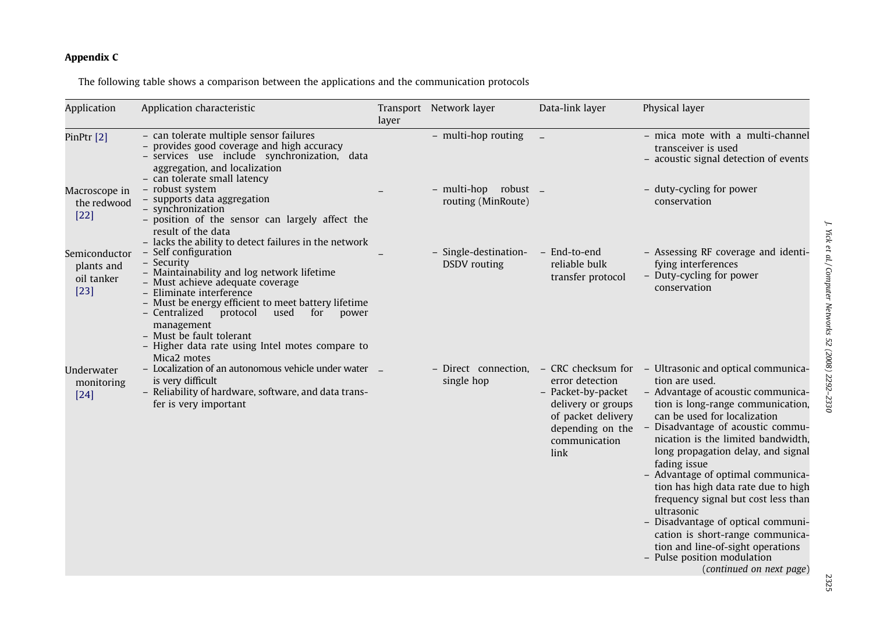# <span id="page-33-0"></span>Appendix C

The following table shows <sup>a</sup> comparison between the applications and the communication protocols

| Application                                         | Application characteristic                                                                                                                                                                                                                                                                                                                                                           | layer | Transport Network layer                       | Data-link layer                                                                                                                                                           | Physical layer                                                                                                                                                                                                                                                                                                                                                                                                                                                                                                                                                                                               |
|-----------------------------------------------------|--------------------------------------------------------------------------------------------------------------------------------------------------------------------------------------------------------------------------------------------------------------------------------------------------------------------------------------------------------------------------------------|-------|-----------------------------------------------|---------------------------------------------------------------------------------------------------------------------------------------------------------------------------|--------------------------------------------------------------------------------------------------------------------------------------------------------------------------------------------------------------------------------------------------------------------------------------------------------------------------------------------------------------------------------------------------------------------------------------------------------------------------------------------------------------------------------------------------------------------------------------------------------------|
| Pin $P$ tr [2]                                      | - can tolerate multiple sensor failures<br>- provides good coverage and high accuracy<br>- services use include synchronization, data<br>aggregation, and localization<br>- can tolerate small latency                                                                                                                                                                               |       | - multi-hop routing                           | $\overline{a}$                                                                                                                                                            | - mica mote with a multi-channel<br>transceiver is used<br>- acoustic signal detection of events                                                                                                                                                                                                                                                                                                                                                                                                                                                                                                             |
| Macroscope in<br>the redwood<br>$[22]$              | - robust system<br>- supports data aggregation<br>- synchronization<br>- position of the sensor can largely affect the<br>result of the data<br>- lacks the ability to detect failures in the network                                                                                                                                                                                |       | - multi-hop<br>robust -<br>routing (MinRoute) |                                                                                                                                                                           | - duty-cycling for power<br>conservation                                                                                                                                                                                                                                                                                                                                                                                                                                                                                                                                                                     |
| Semiconductor<br>plants and<br>oil tanker<br>$[23]$ | - Self configuration<br>- Security<br>- Maintainability and log network lifetime<br>- Must achieve adequate coverage<br>- Eliminate interference<br>- Must be energy efficient to meet battery lifetime<br>- Centralized<br>protocol<br>used<br>for<br>power<br>management<br>- Must be fault tolerant<br>- Higher data rate using Intel motes compare to<br>Mica <sub>2</sub> motes |       | - Single-destination-<br><b>DSDV</b> routing  | - End-to-end<br>reliable bulk<br>transfer protocol                                                                                                                        | - Assessing RF coverage and identi-<br>fying interferences<br>- Duty-cycling for power<br>conservation                                                                                                                                                                                                                                                                                                                                                                                                                                                                                                       |
| Underwater<br>monitoring<br>$[24]$                  | - Localization of an autonomous vehicle under water -<br>is very difficult<br>- Reliability of hardware, software, and data trans-<br>fer is very important                                                                                                                                                                                                                          |       | single hop                                    | - Direct connection, - CRC checksum for<br>error detection<br>- Packet-by-packet<br>delivery or groups<br>of packet delivery<br>depending on the<br>communication<br>link | - Ultrasonic and optical communica-<br>tion are used.<br>- Advantage of acoustic communica-<br>tion is long-range communication.<br>can be used for localization<br>- Disadvantage of acoustic commu-<br>nication is the limited bandwidth.<br>long propagation delay, and signal<br>fading issue<br>- Advantage of optimal communica-<br>tion has high data rate due to high<br>frequency signal but cost less than<br>ultrasonic<br>- Disadvantage of optical communi-<br>cation is short-range communica-<br>tion and line-of-sight operations<br>- Pulse position modulation<br>(continued on next page) |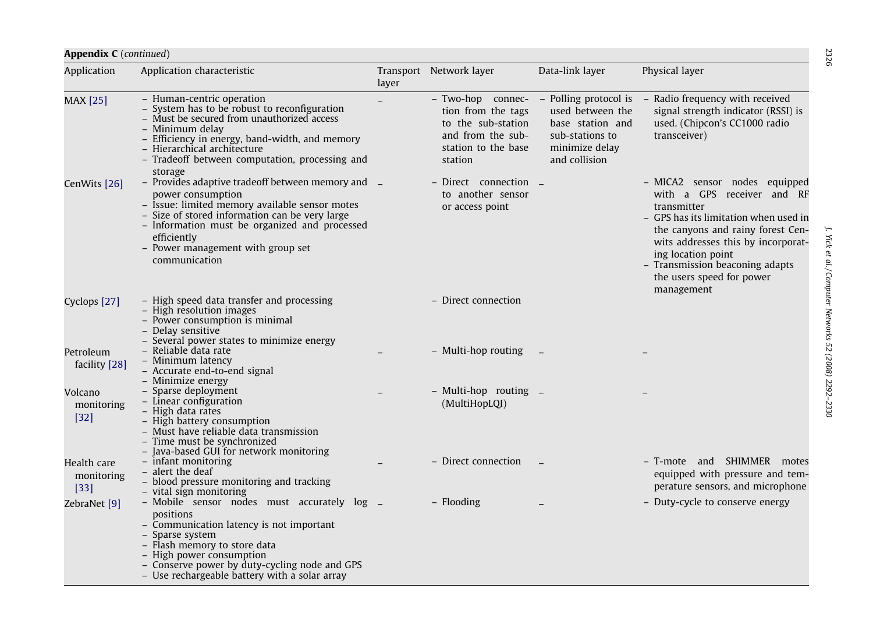# Appendix C (continued)

| Application                         | Application characteristic                                                                                                                                                                                                                                                                       | layer | Transport Network layer                                                                         | Data-link layer                                                                                                                       | Physical layer                                                                                                                                                                                                                                                                       |
|-------------------------------------|--------------------------------------------------------------------------------------------------------------------------------------------------------------------------------------------------------------------------------------------------------------------------------------------------|-------|-------------------------------------------------------------------------------------------------|---------------------------------------------------------------------------------------------------------------------------------------|--------------------------------------------------------------------------------------------------------------------------------------------------------------------------------------------------------------------------------------------------------------------------------------|
| <b>MAX</b> [25]                     | - Human-centric operation<br>- System has to be robust to reconfiguration<br>- Must be secured from unauthorized access<br>- Minimum delay<br>- Efficiency in energy, band-width, and memory<br>- Hierarchical architecture<br>- Tradeoff between computation, processing and<br>storage         |       | tion from the tags<br>to the sub-station<br>and from the sub-<br>station to the base<br>station | - Two-hop connec- - Polling protocol is<br>used between the<br>base station and<br>sub-stations to<br>minimize delay<br>and collision | - Radio frequency with received<br>signal strength indicator (RSSI) is<br>used. (Chipcon's CC1000 radio<br>transceiver)                                                                                                                                                              |
| CenWits [26]                        | - Provides adaptive tradeoff between memory and -<br>power consumption<br>- Issue: limited memory available sensor motes<br>- Size of stored information can be very large<br>- Information must be organized and processed<br>efficiently<br>- Power management with group set<br>communication |       | - Direct connection -<br>to another sensor<br>or access point                                   |                                                                                                                                       | - MICA2 sensor nodes equipped<br>with a GPS receiver and RF<br>transmitter<br>- GPS has its limitation when used in<br>the canyons and rainy forest Cen-<br>wits addresses this by incorporat-<br>ing location point<br>- Transmission beaconing adapts<br>the users speed for power |
| Cyclops [27]                        | - High speed data transfer and processing<br>- High resolution images<br>- Power consumption is minimal<br>- Delay sensitive                                                                                                                                                                     |       | - Direct connection                                                                             |                                                                                                                                       | management                                                                                                                                                                                                                                                                           |
| Petroleum<br>facility [28]          | - Several power states to minimize energy<br>– Reliable data rate<br>- Minimum latency<br>- Accurate end-to-end signal<br>- Minimize energy                                                                                                                                                      |       | - Multi-hop routing                                                                             |                                                                                                                                       |                                                                                                                                                                                                                                                                                      |
| Volcano<br>monitoring<br>$[32]$     | - Sparse deployment<br>- Linear configuration<br>- High data rates<br>- High battery consumption<br>- Must have reliable data transmission<br>- Time must be synchronized<br>- Java-based GUI for network monitoring                                                                             |       | - Multi-hop routing -<br>(MultiHopLQI)                                                          |                                                                                                                                       |                                                                                                                                                                                                                                                                                      |
| Health care<br>monitoring<br>$[33]$ | - infant monitoring<br>- alert the deaf<br>- blood pressure monitoring and tracking<br>- vital sign monitoring                                                                                                                                                                                   |       | - Direct connection                                                                             |                                                                                                                                       | SHIMMER motes<br>- T-mote and<br>equipped with pressure and tem-<br>perature sensors, and microphone                                                                                                                                                                                 |
| ZebraNet [9]                        | - Mobile sensor nodes must accurately log -<br>positions<br>- Communication latency is not important<br>- Sparse system<br>- Flash memory to store data<br>- High power consumption<br>- Conserve power by duty-cycling node and GPS<br>- Use rechargeable battery with a solar array            |       | - Flooding                                                                                      |                                                                                                                                       | - Duty-cycle to conserve energy                                                                                                                                                                                                                                                      |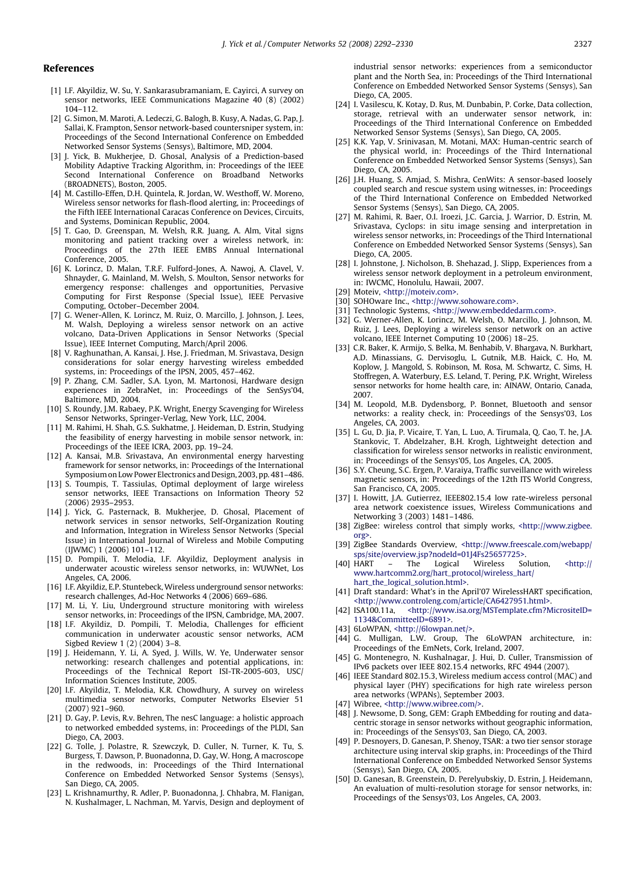### <span id="page-35-0"></span>References

- [1] I.F. Akyildiz, W. Su, Y. Sankarasubramaniam, E. Cayirci, A survey on sensor networks, IEEE Communications Magazine 40 (8) (2002) 104–112.
- [2] G. Simon, M. Maroti, A. Ledeczi, G. Balogh, B. Kusy, A. Nadas, G. Pap, J. Sallai, K. Frampton, Sensor network-based countersniper system, in: Proceedings of the Second International Conference on Embedded Networked Sensor Systems (Sensys), Baltimore, MD, 2004.
- [3] J. Yick, B. Mukherjee, D. Ghosal, Analysis of a Prediction-based Mobility Adaptive Tracking Algorithm, in: Proceedings of the IEEE Second International Conference on Broadband Networks (BROADNETS), Boston, 2005.
- [4] M. Castillo-Effen, D.H. Quintela, R. Jordan, W. Westhoff, W. Moreno, Wireless sensor networks for flash-flood alerting, in: Proceedings of the Fifth IEEE International Caracas Conference on Devices, Circuits, and Systems, Dominican Republic, 2004.
- [5] T. Gao, D. Greenspan, M. Welsh, R.R. Juang, A. Alm, Vital signs monitoring and patient tracking over a wireless network, in: Proceedings of the 27th IEEE EMBS Annual International Conference, 2005.
- [6] K. Lorincz, D. Malan, T.R.F. Fulford-Jones, A. Nawoj, A. Clavel, V. Shnayder, G. Mainland, M. Welsh, S. Moulton, Sensor networks for emergency response: challenges and opportunities, Pervasive Computing for First Response (Special Issue), IEEE Pervasive Computing, October–December 2004.
- [7] G. Wener-Allen, K. Lorincz, M. Ruiz, O. Marcillo, J. Johnson, J. Lees, M. Walsh, Deploying a wireless sensor network on an active volcano, Data-Driven Applications in Sensor Networks (Special Issue), IEEE Internet Computing, March/April 2006.
- [8] V. Raghunathan, A. Kansai, J. Hse, J. Friedman, M. Srivastava, Design considerations for solar energy harvesting wireless embedded systems, in: Proceedings of the IPSN, 2005, 457–462.
- [9] P. Zhang, C.M. Sadler, S.A. Lyon, M. Martonosi, Hardware design experiences in ZebraNet, in: Proceedings of the SenSys'04, Baltimore, MD, 2004.
- [10] S. Roundy, J.M. Rabaey, P.K. Wright, Energy Scavenging for Wireless Sensor Networks, Springer-Verlag, New York, LLC, 2004.
- [11] M. Rahimi, H. Shah, G.S. Sukhatme, J. Heideman, D. Estrin, Studying the feasibility of energy harvesting in mobile sensor network, in: Proceedings of the IEEE ICRA, 2003, pp. 19–24.
- [12] A. Kansai, M.B. Srivastava, An environmental energy harvesting framework for sensor networks, in: Proceedings of the International Symposium on Low Power Electronics and Design, 2003, pp. 481–486.
- [13] S. Toumpis, T. Tassiulas, Optimal deployment of large wireless sensor networks, IEEE Transactions on Information Theory 52 (2006) 2935–2953.
- [14] J. Yick, G. Pasternack, B. Mukherjee, D. Ghosal, Placement of network services in sensor networks, Self-Organization Routing and Information, Integration in Wireless Sensor Networks (Special Issue) in International Journal of Wireless and Mobile Computing (IJWMC) 1 (2006) 101–112.
- [15] D. Pompili, T. Melodia, I.F. Akyildiz, Deployment analysis in underwater acoustic wireless sensor networks, in: WUWNet, Los Angeles, CA, 2006.
- [16] I.F. Akyildiz, E.P. Stuntebeck, Wireless underground sensor networks: research challenges, Ad-Hoc Networks 4 (2006) 669–686.
- [17] M. Li, Y. Liu, Underground structure monitoring with wireless sensor networks, in: Proceedings of the IPSN, Cambridge, MA, 2007.
- [18] I.F. Akyildiz, D. Pompili, T. Melodia, Challenges for efficient communication in underwater acoustic sensor networks, ACM Sigbed Review 1 (2) (2004) 3–8.
- [19] J. Heidemann, Y. Li, A. Syed, J. Wills, W. Ye, Underwater sensor networking: research challenges and potential applications, in: Proceedings of the Technical Report ISI-TR-2005-603, USC/ Information Sciences Institute, 2005.
- [20] I.F. Akyildiz, T. Melodia, K.R. Chowdhury, A survey on wireless multimedia sensor networks, Computer Networks Elsevier 51 (2007) 921–960.
- [21] D. Gay, P. Levis, R.v. Behren, The nesC language: a holistic approach to networked embedded systems, in: Proceedings of the PLDI, San Diego, CA, 2003.
- [22] G. Tolle, J. Polastre, R. Szewczyk, D. Culler, N. Turner, K. Tu, S. Burgess, T. Dawson, P. Buonadonna, D. Gay, W. Hong, A macroscope in the redwoods, in: Proceedings of the Third International Conference on Embedded Networked Sensor Systems (Sensys), San Diego, CA, 2005.
- [23] L. Krishnamurthy, R. Adler, P. Buonadonna, J. Chhabra, M. Flanigan, N. Kushalmager, L. Nachman, M. Yarvis, Design and deployment of

industrial sensor networks: experiences from a semiconductor plant and the North Sea, in: Proceedings of the Third International Conference on Embedded Networked Sensor Systems (Sensys), San Diego, CA, 2005.

- [24] I. Vasilescu, K. Kotay, D. Rus, M. Dunbabin, P. Corke, Data collection, storage, retrieval with an underwater sensor network, in: Proceedings of the Third International Conference on Embedded Networked Sensor Systems (Sensys), San Diego, CA, 2005.
- [25] K.K. Yap, V. Srinivasan, M. Motani, MAX: Human-centric search of the physical world, in: Proceedings of the Third International Conference on Embedded Networked Sensor Systems (Sensys), San Diego, CA, 2005.
- [26] J.H. Huang, S. Amjad, S. Mishra, CenWits: A sensor-based loosely coupled search and rescue system using witnesses, in: Proceedings of the Third International Conference on Embedded Networked Sensor Systems (Sensys), San Diego, CA, 2005.
- [27] M. Rahimi, R. Baer, O.I. Iroezi, J.C. Garcia, J. Warrior, D. Estrin, M. Srivastava, Cyclops: in situ image sensing and interpretation in wireless sensor networks, in: Proceedings of the Third International Conference on Embedded Networked Sensor Systems (Sensys), San Diego, CA, 2005.
- [28] I. Johnstone, J. Nicholson, B. Shehazad, J. Slipp, Experiences from a wireless sensor network deployment in a petroleum environment, in: IWCMC, Honolulu, Hawaii, 2007.
- [29] Moteiv, [<http://moteiv.com>](http://moteiv.com).
- [30] SOHOware Inc., [<http://www.sohoware.com>.](http://www.sohoware.com)
- [31] Technologic Systems, [<http://www.embeddedarm.com>.](http://www.embeddedarm.com)
- [32] G. Werner-Allen, K. Lorincz, M. Welsh, O. Marcillo, J. Johnson, M. Ruiz, J. Lees, Deploying a wireless sensor network on an active volcano, IEEE Internet Computing 10 (2006) 18–25.
- [33] C.R. Baker, K. Armijo, S. Belka, M. Benhabib, V. Bhargava, N. Burkhart, A.D. Minassians, G. Dervisoglu, L. Gutnik, M.B. Haick, C. Ho, M. Koplow, J. Mangold, S. Robinson, M. Rosa, M. Schwartz, C. Sims, H. Stoffregen, A. Waterbury, E.S. Leland, T. Pering, P.K. Wright, Wireless sensor networks for home health care, in: AINAW, Ontario, Canada, 2007.
- [34] M. Leopold, M.B. Dydensborg, P. Bonnet, Bluetooth and sensor networks: a reality check, in: Proceedings of the Sensys'03, Los Angeles, CA, 2003.
- [35] L. Gu, D. Jia, P. Vicaire, T. Yan, L. Luo, A. Tirumala, Q. Cao, T. he, J.A. Stankovic, T. Abdelzaher, B.H. Krogh, Lightweight detection and classification for wireless sensor networks in realistic environment, in: Proceedings of the Sensys'05, Los Angeles, CA, 2005.
- [36] S.Y. Cheung, S.C. Ergen, P. Varaiya, Traffic surveillance with wireless magnetic sensors, in: Proceedings of the 12th ITS World Congress, San Francisco, CA, 2005.
- [37] I. Howitt, J.A. Gutierrez, IEEE802.15.4 low rate-wireless personal area network coexistence issues, Wireless Communications and Networking 3 (2003) 1481–1486.
- [38] ZigBee: wireless control that simply works, [<http://www.zigbee.](http://www.zigbee.org) [org>](http://www.zigbee.org).
- [39] ZigBee Standards Overview, [<http://www.freescale.com/webapp/](http://www.freescale.com/webapp/sps/site/overview.jsp?nodeId=01J4Fs25657725) [sps/site/overview.jsp?nodeId=01J4Fs25657725>.](http://www.freescale.com/webapp/sps/site/overview.jsp?nodeId=01J4Fs25657725)<br>HART – The Logical Wireless Solution,
- [40] HART The Logical Wireless Solution, [<http://](http://www.hartcomm2.org/hart_protocol/wireless_hart/hart_the_logical_solution.html) [www.hartcomm2.org/hart\\_protocol/wireless\\_hart/](http://www.hartcomm2.org/hart_protocol/wireless_hart/hart_the_logical_solution.html) [hart\\_the\\_logical\\_solution.html>.](http://www.hartcomm2.org/hart_protocol/wireless_hart/hart_the_logical_solution.html)
- [41] Draft standard: What's in the April'07 WirelessHART specification,
- [<http://www.controleng.com/article/CA6427951.html>](http://www.controleng.com/article/CA6427951.html).<br>[42] ISA100.11a, <http://www.isa.org/MSTemplate.cfm?M [42] ISA100.11a, [<http://www.isa.org/MSTemplate.cfm?MicrositeID=](http://www.isa.org/MSTemplate.cfm?MicrositeID=1134&CommitteeID=6891) [1134&CommitteeID=6891>](http://www.isa.org/MSTemplate.cfm?MicrositeID=1134&CommitteeID=6891).
- [43] 6LoWPAN, [<http://6lowpan.net/>.](http://6lowpan.net/)
- [44] G. Mulligan, L.W. Group, The 6LoWPAN architecture, in: Proceedings of the EmNets, Cork, Ireland, 2007.
- [45] G. Montenegro, N. Kushalnagar, J. Hui, D. Culler, Transmission of IPv6 packets over IEEE 802.15.4 networks, RFC 4944 (2007).
- [46] IEEE Standard 802.15.3, Wireless medium access control (MAC) and physical layer (PHY) specifications for high rate wireless person area networks (WPANs), September 2003.
- [47] Wibree, [<http://www.wibree.com/>](http://www.wibree.com/).
- [48] J. Newsome, D. Song, GEM: Graph EMbedding for routing and datacentric storage in sensor networks without geographic information, in: Proceedings of the Sensys'03, San Diego, CA, 2003.
- [49] P. Desnoyers, D. Ganesan, P. Shenoy, TSAR: a two tier sensor storage architecture using interval skip graphs, in: Proceedings of the Third International Conference on Embedded Networked Sensor Systems (Sensys), San Diego, CA, 2005.
- [50] D. Ganesan, B. Greenstein, D. Perelyubskiy, D. Estrin, J. Heidemann, An evaluation of multi-resolution storage for sensor networks, in: Proceedings of the Sensys'03, Los Angeles, CA, 2003.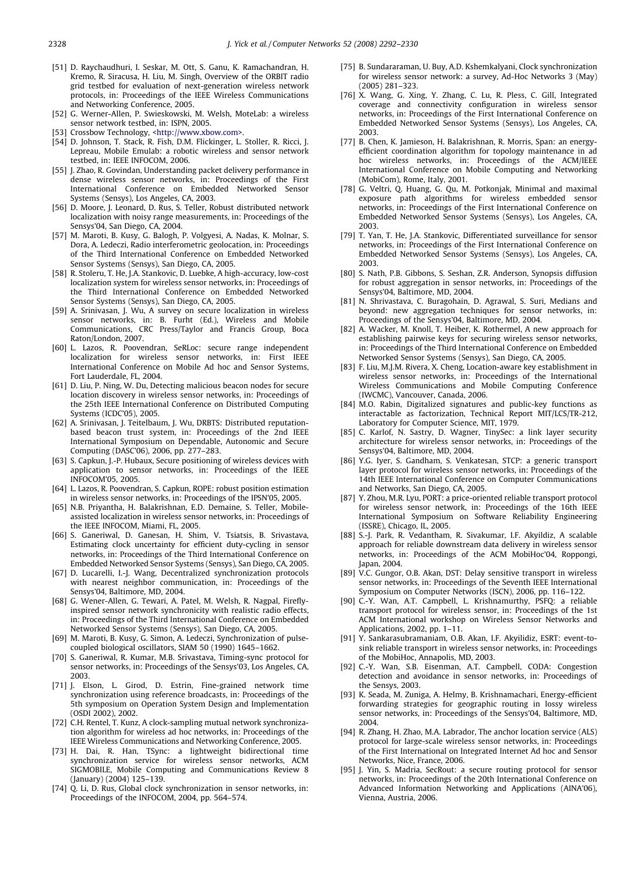- <span id="page-36-0"></span>[51] D. Raychaudhuri, I. Seskar, M. Ott, S. Ganu, K. Ramachandran, H. Kremo, R. Siracusa, H. Liu, M. Singh, Overview of the ORBIT radio grid testbed for evaluation of next-generation wireless network protocols, in: Proceedings of the IEEE Wireless Communications and Networking Conference, 2005.
- [52] G. Werner-Allen, P. Swieskowski, M. Welsh, MoteLab: a wireless sensor network testbed, in: ISPN, 2005.
- [53] Crossbow Technology, [<http://www.xbow.com>.](http://www.xbow.com)
- [54] D. Johnson, T. Stack, R. Fish, D.M. Flickinger, L. Stoller, R. Ricci, J. Lepreau, Mobile Emulab: a robotic wireless and sensor network testbed, in: IEEE INFOCOM, 2006.
- [55] J. Zhao, R. Govindan, Understanding packet delivery performance in dense wireless sensor networks, in: Proceedings of the First International Conference on Embedded Networked Sensor Systems (Sensys), Los Angeles, CA, 2003.
- [56] D. Moore, J. Leonard, D. Rus, S. Teller, Robust distributed network localization with noisy range measurements, in: Proceedings of the Sensys'04, San Diego, CA, 2004.
- [57] M. Maroti, B. Kusy, G. Balogh, P. Volgyesi, A. Nadas, K. Molnar, S. Dora, A. Ledeczi, Radio interferometric geolocation, in: Proceedings of the Third International Conference on Embedded Networked Sensor Systems (Sensys), San Diego, CA, 2005.
- [58] R. Stoleru, T. He, J.A. Stankovic, D. Luebke, A high-accuracy, low-cost localization system for wireless sensor networks, in: Proceedings of the Third International Conference on Embedded Networked Sensor Systems (Sensys), San Diego, CA, 2005.
- [59] A. Srinivasan, J. Wu, A survey on secure localization in wireless sensor networks, in: B. Furht (Ed.), Wireless and Mobile Communications, CRC Press/Taylor and Francis Group, Boca Raton/London, 2007.
- [60] L. Lazos, R. Poovendran, SeRLoc: secure range independent localization for wireless sensor networks, in: First IEEE International Conference on Mobile Ad hoc and Sensor Systems, Fort Lauderdale, FL, 2004.
- [61] D. Liu, P. Ning, W. Du, Detecting malicious beacon nodes for secure location discovery in wireless sensor networks, in: Proceedings of the 25th IEEE International Conference on Distributed Computing Systems (ICDC'05), 2005.
- [62] A. Srinivasan, J. Teitelbaum, J. Wu, DRBTS: Distributed reputationbased beacon trust system, in: Proceedings of the 2nd IEEE International Symposium on Dependable, Autonomic and Secure Computing (DASC'06), 2006, pp. 277–283.
- [63] S. Capkun, J.-P. Hubaux, Secure positioning of wireless devices with application to sensor networks, in: Proceedings of the IEEE INFOCOM'05, 2005.
- [64] L. Lazos, R. Poovendran, S. Capkun, ROPE: robust position estimation in wireless sensor networks, in: Proceedings of the IPSN'05, 2005.
- [65] N.B. Priyantha, H. Balakrishnan, E.D. Demaine, S. Teller, Mobileassisted localization in wireless sensor networks, in: Proceedings of the IEEE INFOCOM, Miami, FL, 2005.
- [66] S. Ganeriwal, D. Ganesan, H. Shim, V. Tsiatsis, B. Srivastava, Estimating clock uncertainty for efficient duty-cycling in sensor networks, in: Proceedings of the Third International Conference on Embedded Networked Sensor Systems (Sensys), San Diego, CA, 2005.
- [67] D. Lucarelli, I.-J. Wang, Decentralized synchronization protocols with nearest neighbor communication, in: Proceedings of the Sensys'04, Baltimore, MD, 2004.
- [68] G. Wener-Allen, G. Tewari, A. Patel, M. Welsh, R. Nagpal, Fireflyinspired sensor network synchronicity with realistic radio effects, in: Proceedings of the Third International Conference on Embedded Networked Sensor Systems (Sensys), San Diego, CA, 2005.
- [69] M. Maroti, B. Kusy, G. Simon, A. Ledeczi, Synchronization of pulsecoupled biological oscillators, SIAM 50 (1990) 1645–1662.
- [70] S. Ganeriwal, R. Kumar, M.B. Srivastava, Timing-sync protocol for sensor networks, in: Proceedings of the Sensys'03, Los Angeles, CA, 2003.
- [71] J. Elson, L. Girod, D. Estrin, Fine-grained network time synchronization using reference broadcasts, in: Proceedings of the 5th symposium on Operation System Design and Implementation (OSDI 2002), 2002.
- [72] C.H. Rentel, T. Kunz, A clock-sampling mutual network synchronization algorithm for wireless ad hoc networks, in: Proceedings of the IEEE Wireless Communications and Networking Conference, 2005.
- [73] H. Dai, R. Han, TSync: a lightweight bidirectional time synchronization service for wireless sensor networks, ACM SIGMOBILE, Mobile Computing and Communications Review 8 (January) (2004) 125–139.
- [74] Q. Li, D. Rus, Global clock synchronization in sensor networks, in: Proceedings of the INFOCOM, 2004, pp. 564–574.
- [75] B. Sundararaman, U. Buy, A.D. Kshemkalyani, Clock synchronization for wireless sensor network: a survey, Ad-Hoc Networks 3 (May) (2005) 281–323.
- [76] X. Wang, G. Xing, Y. Zhang, C. Lu, R. Pless, C. Gill, Integrated coverage and connectivity configuration in wireless sensor networks, in: Proceedings of the First International Conference on Embedded Networked Sensor Systems (Sensys), Los Angeles, CA, 2003.
- [77] B. Chen, K. Jamieson, H. Balakrishnan, R. Morris, Span: an energyefficient coordination algorithm for topology maintenance in ad hoc wireless networks, in: Proceedings of the ACM/IEEE International Conference on Mobile Computing and Networking (MobiCom), Rome, Italy, 2001.
- [78] G. Veltri, Q. Huang, G. Qu, M. Potkonjak, Minimal and maximal exposure path algorithms for wireless embedded sensor networks, in: Proceedings of the First International Conference on Embedded Networked Sensor Systems (Sensys), Los Angeles, CA, 2003.
- [79] T. Yan, T. He, J.A. Stankovic, Differentiated surveillance for sensor networks, in: Proceedings of the First International Conference on Embedded Networked Sensor Systems (Sensys), Los Angeles, CA, 2003.
- [80] S. Nath, P.B. Gibbons, S. Seshan, Z.R. Anderson, Synopsis diffusion for robust aggregation in sensor networks, in: Proceedings of the Sensys'04, Baltimore, MD, 2004.
- [81] N. Shrivastava, C. Buragohain, D. Agrawal, S. Suri, Medians and beyond: new aggregation techniques for sensor networks, in: Proceedings of the Sensys'04, Baltimore, MD, 2004.
- [82] A. Wacker, M. Knoll, T. Heiber, K. Rothermel, A new approach for establishing pairwise keys for securing wireless sensor networks, in: Proceedings of the Third International Conference on Embedded Networked Sensor Systems (Sensys), San Diego, CA, 2005.
- [83] F. Liu, M.J.M. Rivera, X. Cheng, Location-aware key establishment in wireless sensor networks, in: Proceedings of the International Wireless Communications and Mobile Computing Conference (IWCMC), Vancouver, Canada, 2006.
- [84] M.O. Rabin, Digitalized signatures and public-key functions as interactable as factorization, Technical Report MIT/LCS/TR-212, Laboratory for Computer Science, MIT, 1979.
- [85] C. Karlof, N. Sastry, D. Wagner, TinySec: a link layer security architecture for wireless sensor networks, in: Proceedings of the Sensys'04, Baltimore, MD, 2004.
- [86] Y.G. Iyer, S. Gandham, S. Venkatesan, STCP: a generic transport layer protocol for wireless sensor networks, in: Proceedings of the 14th IEEE International Conference on Computer Communications and Networks, San Diego, CA, 2005.
- [87] Y. Zhou, M.R. Lyu, PORT: a price-oriented reliable transport protocol for wireless sensor network, in: Proceedings of the 16th IEEE International Symposium on Software Reliability Engineering (ISSRE), Chicago, IL, 2005.
- [88] S.-J. Park, R. Vedantham, R. Sivakumar, I.F. Akyildiz, A scalable approach for reliable downstream data delivery in wireless sensor networks, in: Proceedings of the ACM MobiHoc'04, Roppongi, Japan, 2004.
- [89] V.C. Gungor, O.B. Akan, DST: Delay sensitive transport in wireless sensor networks, in: Proceedings of the Seventh IEEE International Symposium on Computer Networks (ISCN), 2006, pp. 116–122.
- [90] C.-Y. Wan, A.T. Campbell, L. Krishnamurthy, PSFQ: a reliable transport protocol for wireless sensor, in: Proceedings of the 1st ACM International workshop on Wireless Sensor Networks and Applications, 2002, pp. 1–11.
- [91] Y. Sankarasubramaniam, O.B. Akan, I.F. Akyilidiz, ESRT: event-tosink reliable transport in wireless sensor networks, in: Proceedings of the MobiHoc, Annapolis, MD, 2003.
- [92] C.-Y. Wan, S.B. Eisenman, A.T. Campbell, CODA: Congestion detection and avoidance in sensor networks, in: Proceedings of the Sensys, 2003.
- [93] K. Seada, M. Zuniga, A. Helmy, B. Krishnamachari, Energy-efficient forwarding strategies for geographic routing in lossy wireless sensor networks, in: Proceedings of the Sensys'04, Baltimore, MD, 2004.
- [94] R. Zhang, H. Zhao, M.A. Labrador, The anchor location service (ALS) protocol for large-scale wireless sensor networks, in: Proceedings of the First International on Integrated Internet Ad hoc and Sensor Networks, Nice, France, 2006.
- [95] J. Yin, S. Madria, SecRout: a secure routing protocol for sensor networks, in: Proceedings of the 20th International Conference on Advanced Information Networking and Applications (AINA'06), Vienna, Austria, 2006.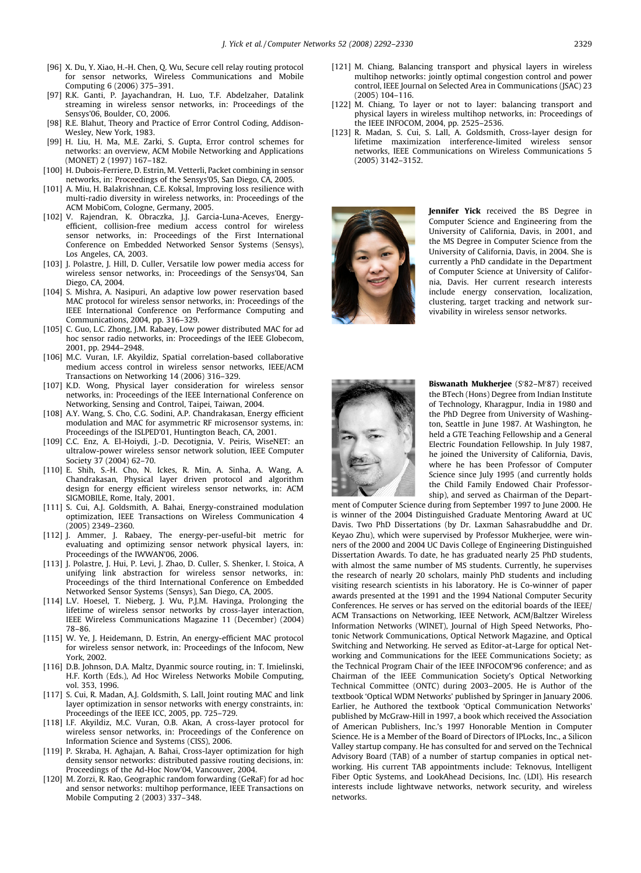- <span id="page-37-0"></span>[96] X. Du, Y. Xiao, H.-H. Chen, Q. Wu, Secure cell relay routing protocol for sensor networks, Wireless Communications and Mobile Computing 6 (2006) 375–391.
- [97] R.K. Ganti, P. Jayachandran, H. Luo, T.F. Abdelzaher, Datalink streaming in wireless sensor networks, in: Proceedings of the Sensys'06, Boulder, CO, 2006.
- [98] R.E. Blahut, Theory and Practice of Error Control Coding, Addison-Wesley, New York, 1983.
- [99] H. Liu, H. Ma, M.E. Zarki, S. Gupta, Error control schemes for networks: an overview, ACM Mobile Networking and Applications (MONET) 2 (1997) 167–182.
- [100] H. Dubois-Ferriere, D. Estrin, M. Vetterli, Packet combining in sensor networks, in: Proceedings of the Sensys'05, San Diego, CA, 2005.
- [101] A. Miu, H. Balakrishnan, C.E. Koksal, Improving loss resilience with multi-radio diversity in wireless networks, in: Proceedings of the ACM MobiCom, Cologne, Germany, 2005.
- [102] V. Rajendran, K. Obraczka, J.J. Garcia-Luna-Aceves, Energyefficient, collision-free medium access control for wireless sensor networks, in: Proceedings of the First International Conference on Embedded Networked Sensor Systems (Sensys), Los Angeles, CA, 2003.
- [103] J. Polastre, J. Hill, D. Culler, Versatile low power media access for wireless sensor networks, in: Proceedings of the Sensys'04, San Diego, CA, 2004.
- [104] S. Mishra, A. Nasipuri, An adaptive low power reservation based MAC protocol for wireless sensor networks, in: Proceedings of the IEEE International Conference on Performance Computing and Communications, 2004, pp. 316–329.
- [105] C. Guo, L.C. Zhong, J.M. Rabaey, Low power distributed MAC for ad hoc sensor radio networks, in: Proceedings of the IEEE Globecom, 2001, pp. 2944–2948.
- [106] M.C. Vuran, I.F. Akyildiz, Spatial correlation-based collaborative medium access control in wireless sensor networks, IEEE/ACM Transactions on Networking 14 (2006) 316–329.
- [107] K.D. Wong, Physical layer consideration for wireless sensor networks, in: Proceedings of the IEEE International Conference on Networking, Sensing and Control, Taipei, Taiwan, 2004.
- [108] A.Y. Wang, S. Cho, C.G. Sodini, A.P. Chandrakasan, Energy efficient modulation and MAC for asymmetric RF microsensor systems, in: Proceedings of the ISLPED'01, Huntington Beach, CA, 2001.
- [109] C.C. Enz, A. El-Hoiydi, J.-D. Decotignia, V. Peiris, WiseNET: an ultralow-power wireless sensor network solution, IEEE Computer Society 37 (2004) 62–70.
- [110] E. Shih, S.-H. Cho, N. Ickes, R. Min, A. Sinha, A. Wang, A. Chandrakasan, Physical layer driven protocol and algorithm design for energy efficient wireless sensor networks, in: ACM SIGMOBILE, Rome, Italy, 2001.
- [111] S. Cui, A.J. Goldsmith, A. Bahai, Energy-constrained modulation optimization, IEEE Transactions on Wireless Communication 4 (2005) 2349–2360.
- [112] J. Ammer, J. Rabaey, The energy-per-useful-bit metric for evaluating and optimizing sensor network physical layers, in: Proceedings of the IWWAN'06, 2006.
- [113] J. Polastre, J. Hui, P. Levi, J. Zhao, D. Culler, S. Shenker, I. Stoica, A unifying link abstraction for wireless sensor networks, in: Proceedings of the third International Conference on Embedded Networked Sensor Systems (Sensys), San Diego, CA, 2005.
- [114] L.V. Hoesel, T. Nieberg, J. Wu, P.J.M. Havinga, Prolonging the lifetime of wireless sensor networks by cross-layer interaction, IEEE Wireless Communications Magazine 11 (December) (2004) 78–86.
- [115] W. Ye, J. Heidemann, D. Estrin, An energy-efficient MAC protocol for wireless sensor network, in: Proceedings of the Infocom, New York, 2002.
- [116] D.B. Johnson, D.A. Maltz, Dyanmic source routing, in: T. Imielinski, H.F. Korth (Eds.), Ad Hoc Wireless Networks Mobile Computing, vol. 353, 1996.
- [117] S. Cui, R. Madan, A.J. Goldsmith, S. Lall, Joint routing MAC and link layer optimization in sensor networks with energy constraints, in: Proceedings of the IEEE ICC, 2005, pp. 725–729.
- [118] I.F. Akyildiz, M.C. Vuran, O.B. Akan, A cross-layer protocol for wireless sensor networks, in: Proceedings of the Conference on Information Science and Systems (CISS), 2006.
- [119] P. Skraba, H. Aghajan, A. Bahai, Cross-layer optimization for high density sensor networks: distributed passive routing decisions, in: Proceedings of the Ad-Hoc Now'04, Vancouver, 2004.
- [120] M. Zorzi, R. Rao, Geographic random forwarding (GeRaF) for ad hoc and sensor networks: multihop performance, IEEE Transactions on Mobile Computing 2 (2003) 337–348.
- [121] M. Chiang, Balancing transport and physical layers in wireless multihop networks: jointly optimal congestion control and power control, IEEE Journal on Selected Area in Communications (JSAC) 23 (2005) 104–116.
- [122] M. Chiang, To layer or not to layer: balancing transport and physical layers in wireless multihop networks, in: Proceedings of the IEEE INFOCOM, 2004, pp. 2525–2536.
- [123] R. Madan, S. Cui, S. Lall, A. Goldsmith, Cross-layer design for lifetime maximization interference-limited wireless sensor networks, IEEE Communications on Wireless Communications 5 (2005) 3142–3152.



Jennifer Yick received the BS Degree in Computer Science and Engineering from the University of California, Davis, in 2001, and the MS Degree in Computer Science from the University of California, Davis, in 2004. She is currently a PhD candidate in the Department of Computer Science at University of California, Davis. Her current research interests include energy conservation, localization, clustering, target tracking and network survivability in wireless sensor networks.



Biswanath Mukherjee (S'82-M'87) received the BTech (Hons) Degree from Indian Institute of Technology, Kharagpur, India in 1980 and the PhD Degree from University of Washington, Seattle in June 1987. At Washington, he held a GTE Teaching Fellowship and a General Electric Foundation Fellowship. In July 1987, he joined the University of California, Davis, where he has been Professor of Computer Science since July 1995 (and currently holds the Child Family Endowed Chair Professorship), and served as Chairman of the Depart-

ment of Computer Science during from September 1997 to June 2000. He is winner of the 2004 Distinguished Graduate Mentoring Award at UC Davis. Two PhD Dissertations (by Dr. Laxman Sahasrabuddhe and Dr. Keyao Zhu), which were supervised by Professor Mukherjee, were winners of the 2000 and 2004 UC Davis College of Engineering Distinguished Dissertation Awards. To date, he has graduated nearly 25 PhD students, with almost the same number of MS students. Currently, he supervises the research of nearly 20 scholars, mainly PhD students and including visiting research scientists in his laboratory. He is Co-winner of paper awards presented at the 1991 and the 1994 National Computer Security Conferences. He serves or has served on the editorial boards of the IEEE/ ACM Transactions on Networking, IEEE Network, ACM/Baltzer Wireless Information Networks (WINET), Journal of High Speed Networks, Photonic Network Communications, Optical Network Magazine, and Optical Switching and Networking. He served as Editor-at-Large for optical Networking and Communications for the IEEE Communications Society; as the Technical Program Chair of the IEEE INFOCOM'96 conference; and as Chairman of the IEEE Communication Society's Optical Networking Technical Committee (ONTC) during 2003–2005. He is Author of the textbook 'Optical WDM Networks' published by Springer in January 2006. Earlier, he Authored the textbook 'Optical Communication Networks' published by McGraw-Hill in 1997, a book which received the Association of American Publishers, Inc.'s 1997 Honorable Mention in Computer Science. He is a Member of the Board of Directors of IPLocks, Inc., a Silicon Valley startup company. He has consulted for and served on the Technical Advisory Board (TAB) of a number of startup companies in optical networking. His current TAB appointments include: Teknovus, Intelligent Fiber Optic Systems, and LookAhead Decisions, Inc. (LDI). His research interests include lightwave networks, network security, and wireless networks.